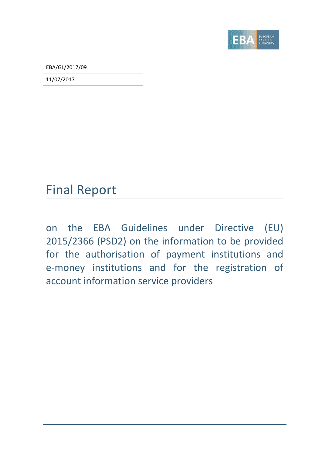

EBA/GL/2017/09

11/07/2017

## Final Report

on the EBA Guidelines under Directive (EU) 2015/2366 (PSD2) on the information to be provided for the authorisation of payment institutions and e-money institutions and for the registration of account information service providers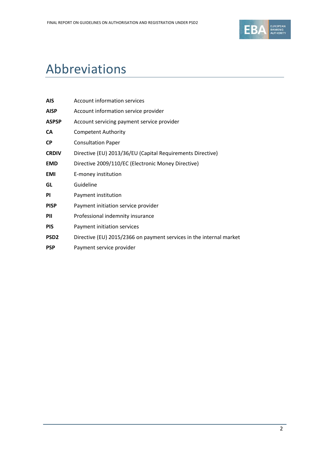

# Abbreviations

| <b>AIS</b>       | Account information services                                        |
|------------------|---------------------------------------------------------------------|
| <b>AISP</b>      | Account information service provider                                |
| <b>ASPSP</b>     | Account servicing payment service provider                          |
| CA               | <b>Competent Authority</b>                                          |
| <b>CP</b>        | <b>Consultation Paper</b>                                           |
| <b>CRDIV</b>     | Directive (EU) 2013/36/EU (Capital Requirements Directive)          |
| <b>EMD</b>       | Directive 2009/110/EC (Electronic Money Directive)                  |
| <b>EMI</b>       | E-money institution                                                 |
| GL               | Guideline                                                           |
| <b>PI</b>        | Payment institution                                                 |
| <b>PISP</b>      | Payment initiation service provider                                 |
| PII              | Professional indemnity insurance                                    |
| <b>PIS</b>       | Payment initiation services                                         |
| PSD <sub>2</sub> | Directive (EU) 2015/2366 on payment services in the internal market |
| <b>PSP</b>       | Payment service provider                                            |
|                  |                                                                     |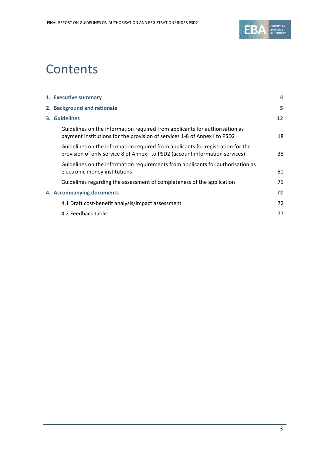

# **Contents**

| 1. Executive summary                                                                                                                                             |                   |
|------------------------------------------------------------------------------------------------------------------------------------------------------------------|-------------------|
| 2. Background and rationale                                                                                                                                      | 5                 |
| 3. Guidelines                                                                                                                                                    | $12 \overline{ }$ |
| Guidelines on the information required from applicants for authorisation as<br>payment institutions for the provision of services 1-8 of Annex I to PSD2         | 18                |
| Guidelines on the information required from applicants for registration for the<br>provision of only service 8 of Annex I to PSD2 (account information services) | 38                |
| Guidelines on the information requirements from applicants for authorisation as<br>electronic money institutions                                                 | 50                |
| Guidelines regarding the assessment of completeness of the application                                                                                           | 71                |
| 4. Accompanying documents                                                                                                                                        | 72                |
| 4.1 Draft cost-benefit analysis/impact assessment                                                                                                                | 72                |
| 4.2 Feedback table                                                                                                                                               | 77                |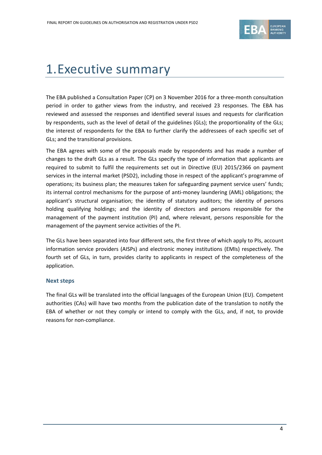

# <span id="page-3-0"></span>1.Executive summary

The EBA published a Consultation Paper (CP) on 3 November 2016 for a three-month consultation period in order to gather views from the industry, and received 23 responses. The EBA has reviewed and assessed the responses and identified several issues and requests for clarification by respondents, such as the level of detail of the guidelines (GLs); the proportionality of the GLs; the interest of respondents for the EBA to further clarify the addressees of each specific set of GLs; and the transitional provisions.

The EBA agrees with some of the proposals made by respondents and has made a number of changes to the draft GLs as a result. The GLs specify the type of information that applicants are required to submit to fulfil the requirements set out in Directive (EU) 2015/2366 on payment services in the internal market (PSD2), including those in respect of the applicant's programme of operations; its business plan; the measures taken for safeguarding payment service users' funds; its internal control mechanisms for the purpose of anti-money laundering (AML) obligations; the applicant's structural organisation; the identity of statutory auditors; the identity of persons holding qualifying holdings; and the identity of directors and persons responsible for the management of the payment institution (PI) and, where relevant, persons responsible for the management of the payment service activities of the PI.

The GLs have been separated into four different sets, the first three of which apply to PIs, account information service providers (AISPs) and electronic money institutions (EMIs) respectively. The fourth set of GLs, in turn, provides clarity to applicants in respect of the completeness of the application.

### **Next steps**

The final GLs will be translated into the official languages of the European Union (EU). Competent authorities (CAs) will have two months from the publication date of the translation to notify the EBA of whether or not they comply or intend to comply with the GLs, and, if not, to provide reasons for non-compliance.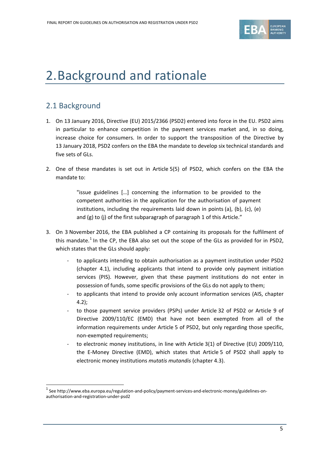

# <span id="page-4-0"></span>2.Background and rationale

## 2.1 Background

1

- 1. On 13 January 2016, Directive (EU) 2015/2366 (PSD2) entered into force in the EU. PSD2 aims in particular to enhance competition in the payment services market and, in so doing, increase choice for consumers. In order to support the transposition of the Directive by 13 January 2018, PSD2 confers on the EBA the mandate to develop six technical standards and five sets of GLs.
- 2. One of these mandates is set out in Article 5(5) of PSD2, which confers on the EBA the mandate to:

"issue guidelines […] concerning the information to be provided to the competent authorities in the application for the authorisation of payment institutions, including the requirements laid down in points (a), (b), (c), (e) and (g) to (j) of the first subparagraph of paragraph 1 of this Article."

- 3. On 3 November 2016, the EBA published a CP containing its proposals for the fulfilment of this mandate.<sup>[1](#page-4-1)</sup> In the CP, the EBA also set out the scope of the GLs as provided for in PSD2, which states that the GLs should apply:
	- to applicants intending to obtain authorisation as a payment institution under PSD2 (chapter 4.1), including applicants that intend to provide only payment initiation services (PIS). However, given that these payment institutions do not enter in possession of funds, some specific provisions of the GLs do not apply to them;
	- to applicants that intend to provide only account information services (AIS, chapter 4.2);
	- to those payment service providers (PSPs) under Article 32 of PSD2 or Article 9 of Directive 2009/110/EC (EMD) that have not been exempted from all of the information requirements under Article 5 of PSD2, but only regarding those specific, non-exempted requirements;
	- to electronic money institutions, in line with Article 3(1) of Directive (EU) 2009/110, the E-Money Directive (EMD), which states that Article 5 of PSD2 shall apply to electronic money institutions *mutatis mutandis* (chapter 4.3).

<span id="page-4-1"></span><sup>1</sup> See http://www.eba.europa.eu/regulation-and-policy/payment-services-and-electronic-money/guidelines-onauthorisation-and-registration-under-psd2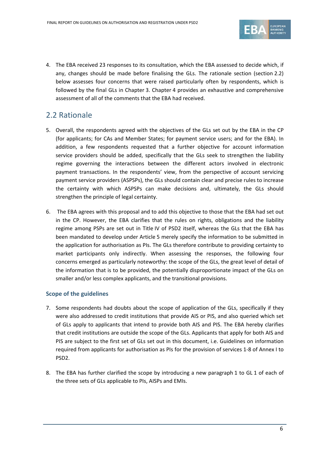

4. The EBA received 23 responses to its consultation, which the EBA assessed to decide which, if any, changes should be made before finalising the GLs. The rationale section (section 2.2) below assesses four concerns that were raised particularly often by respondents, which is followed by the final GLs in Chapter 3. Chapter 4 provides an exhaustive and comprehensive assessment of all of the comments that the EBA had received.

## 2.2 Rationale

- 5. Overall, the respondents agreed with the objectives of the GLs set out by the EBA in the CP (for applicants; for CAs and Member States; for payment service users; and for the EBA). In addition, a few respondents requested that a further objective for account information service providers should be added, specifically that the GLs seek to strengthen the liability regime governing the interactions between the different actors involved in electronic payment transactions. In the respondents' view, from the perspective of account servicing payment service providers (ASPSPs), the GLs should contain clear and precise rules to increase the certainty with which ASPSPs can make decisions and, ultimately, the GLs should strengthen the principle of legal certainty.
- 6. The EBA agrees with this proposal and to add this objective to those that the EBA had set out in the CP. However, the EBA clarifies that the rules on rights, obligations and the liability regime among PSPs are set out in Title IV of PSD2 itself, whereas the GLs that the EBA has been mandated to develop under Article 5 merely specify the information to be submitted in the application for authorisation as PIs. The GLs therefore contribute to providing certainty to market participants only indirectly. When assessing the responses, the following four concerns emerged as particularly noteworthy: the scope of the GLs, the great level of detail of the information that is to be provided, the potentially disproportionate impact of the GLs on smaller and/or less complex applicants, and the transitional provisions.

### **Scope of the guidelines**

- 7. Some respondents had doubts about the scope of application of the GLs, specifically if they were also addressed to credit institutions that provide AIS or PIS, and also queried which set of GLs apply to applicants that intend to provide both AIS and PIS. The EBA hereby clarifies that credit institutions are outside the scope of the GLs. Applicants that apply for both AIS and PIS are subject to the first set of GLs set out in this document, i.e. Guidelines on information required from applicants for authorisation as PIs for the provision of services 1-8 of Annex I to PSD2.
- 8. The EBA has further clarified the scope by introducing a new paragraph 1 to GL 1 of each of the three sets of GLs applicable to PIs, AISPs and EMIs.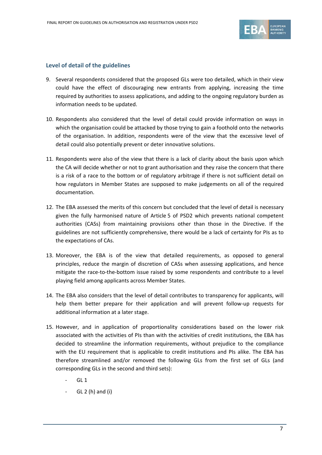

### **Level of detail of the guidelines**

- 9. Several respondents considered that the proposed GLs were too detailed, which in their view could have the effect of discouraging new entrants from applying, increasing the time required by authorities to assess applications, and adding to the ongoing regulatory burden as information needs to be updated.
- 10. Respondents also considered that the level of detail could provide information on ways in which the organisation could be attacked by those trying to gain a foothold onto the networks of the organisation. In addition, respondents were of the view that the excessive level of detail could also potentially prevent or deter innovative solutions.
- 11. Respondents were also of the view that there is a lack of clarity about the basis upon which the CA will decide whether or not to grant authorisation and they raise the concern that there is a risk of a race to the bottom or of regulatory arbitrage if there is not sufficient detail on how regulators in Member States are supposed to make judgements on all of the required documentation.
- 12. The EBA assessed the merits of this concern but concluded that the level of detail is necessary given the fully harmonised nature of Article 5 of PSD2 which prevents national competent authorities (CASs) from maintaining provisions other than those in the Directive. If the guidelines are not sufficiently comprehensive, there would be a lack of certainty for PIs as to the expectations of CAs.
- 13. Moreover, the EBA is of the view that detailed requirements, as opposed to general principles, reduce the margin of discretion of CASs when assessing applications, and hence mitigate the race-to-the-bottom issue raised by some respondents and contribute to a level playing field among applicants across Member States.
- 14. The EBA also considers that the level of detail contributes to transparency for applicants, will help them better prepare for their application and will prevent follow-up requests for additional information at a later stage.
- 15. However, and in application of proportionality considerations based on the lower risk associated with the activities of PIs than with the activities of credit institutions, the EBA has decided to streamline the information requirements, without prejudice to the compliance with the EU requirement that is applicable to credit institutions and PIs alike. The EBA has therefore streamlined and/or removed the following GLs from the first set of GLs (and corresponding GLs in the second and third sets):
	- **GL 1**
	- $GL 2(h)$  and  $(i)$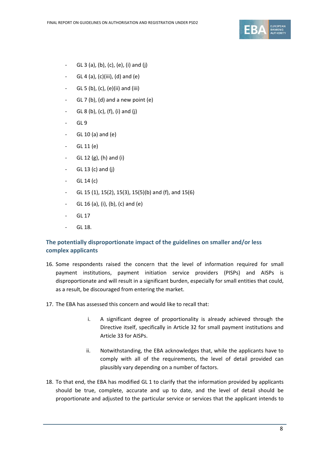

- GL 3 (a), (b), (c), (e), (i) and (j)
- GL 4 (a), (c)(iii), (d) and (e)
- $GL 5 (b)$ ,  $(c)$ ,  $(e)$  $(ii)$  and  $(iii)$
- $-GL 7$  (b), (d) and a new point (e)
- GL 8 (b), (c), (f), (i) and (j)
- $-$  GL 9
- $-$  GL 10 (a) and (e)
- GL 11 (e)
- GL 12 (g), (h) and (i)
- $-$  GL 13 (c) and (j)
- $-$  GL 14 (c)
- GL 15 (1), 15(2), 15(3), 15(5)(b) and (f), and 15(6)
- GL 16 (a), (i), (b), (c) and (e)
- GL 17
- GL 18.

### **The potentially disproportionate impact of the guidelines on smaller and/or less complex applicants**

- 16. Some respondents raised the concern that the level of information required for small payment institutions, payment initiation service providers (PISPs) and AISPs is disproportionate and will result in a significant burden, especially for small entities that could, as a result, be discouraged from entering the market.
- 17. The EBA has assessed this concern and would like to recall that:
	- i. A significant degree of proportionality is already achieved through the Directive itself, specifically in Article 32 for small payment institutions and Article 33 for AISPs.
	- ii. Notwithstanding, the EBA acknowledges that, while the applicants have to comply with all of the requirements, the level of detail provided can plausibly vary depending on a number of factors.
- 18. To that end, the EBA has modified GL 1 to clarify that the information provided by applicants should be true, complete, accurate and up to date, and the level of detail should be proportionate and adjusted to the particular service or services that the applicant intends to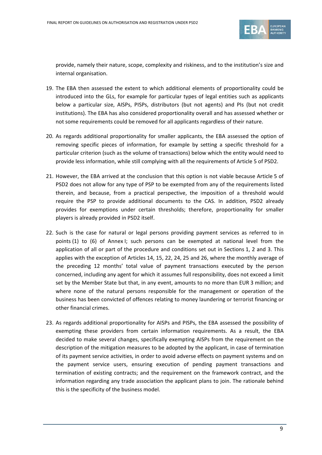

provide, namely their nature, scope, complexity and riskiness, and to the institution's size and internal organisation.

- 19. The EBA then assessed the extent to which additional elements of proportionality could be introduced into the GLs, for example for particular types of legal entities such as applicants below a particular size, AISPs, PISPs, distributors (but not agents) and PIs (but not credit institutions). The EBA has also considered proportionality overall and has assessed whether or not some requirements could be removed for all applicants regardless of their nature.
- 20. As regards additional proportionality for smaller applicants, the EBA assessed the option of removing specific pieces of information, for example by setting a specific threshold for a particular criterion (such as the volume of transactions) below which the entity would need to provide less information, while still complying with all the requirements of Article 5 of PSD2.
- 21. However, the EBA arrived at the conclusion that this option is not viable because Article 5 of PSD2 does not allow for any type of PSP to be exempted from any of the requirements listed therein, and because, from a practical perspective, the imposition of a threshold would require the PSP to provide additional documents to the CAS. In addition, PSD2 already provides for exemptions under certain thresholds; therefore, proportionality for smaller players is already provided in PSD2 itself.
- 22. Such is the case for natural or legal persons providing payment services as referred to in points (1) to (6) of Annex I; such persons can be exempted at national level from the application of all or part of the procedure and conditions set out in Sections 1, 2 and 3. This applies with the exception of Articles 14, 15, 22, 24, 25 and 26, where the monthly average of the preceding 12 months' total value of payment transactions executed by the person concerned, including any agent for which it assumes full responsibility, does not exceed a limit set by the Member State but that, in any event, amounts to no more than EUR 3 million; and where none of the natural persons responsible for the management or operation of the business has been convicted of offences relating to money laundering or terrorist financing or other financial crimes.
- 23. As regards additional proportionality for AISPs and PISPs, the EBA assessed the possibility of exempting these providers from certain information requirements. As a result, the EBA decided to make several changes, specifically exempting AISPs from the requirement on the description of the mitigation measures to be adopted by the applicant, in case of termination of its payment service activities, in order to avoid adverse effects on payment systems and on the payment service users, ensuring execution of pending payment transactions and termination of existing contracts; and the requirement on the framework contract, and the information regarding any trade association the applicant plans to join. The rationale behind this is the specificity of the business model.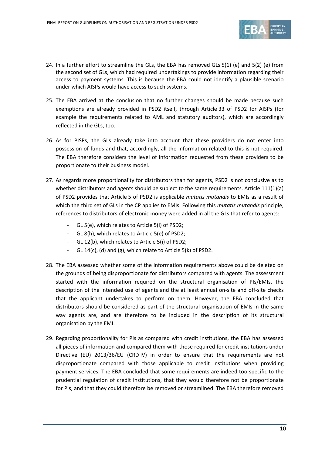

- 24. In a further effort to streamline the GLs, the EBA has removed GLs 5(1) (e) and 5(2) (e) from the second set of GLs, which had required undertakings to provide information regarding their access to payment systems. This is because the EBA could not identify a plausible scenario under which AISPs would have access to such systems.
- 25. The EBA arrived at the conclusion that no further changes should be made because such exemptions are already provided in PSD2 itself, through Article 33 of PSD2 for AISPs (for example the requirements related to AML and statutory auditors), which are accordingly reflected in the GLs, too.
- 26. As for PISPs, the GLs already take into account that these providers do not enter into possession of funds and that, accordingly, all the information related to this is not required. The EBA therefore considers the level of information requested from these providers to be proportionate to their business model.
- 27. As regards more proportionality for distributors than for agents, PSD2 is not conclusive as to whether distributors and agents should be subject to the same requirements. Article 111(1)(a) of PSD2 provides that Article 5 of PSD2 is applicable *mutatis mutandis* to EMIs as a result of which the third set of GLs in the CP applies to EMIs. Following this *mutatis mutandis* principle, references to distributors of electronic money were added in all the GLs that refer to agents:
	- GL 5(e), which relates to Article 5(I) of PSD2;
	- GL 8(h), which relates to Article 5(e) of PSD2;
	- GL 12(b), which relates to Article 5(i) of PSD2;
	- GL 14(c), (d) and (g), which relate to Article 5(k) of PSD2.
- 28. The EBA assessed whether some of the information requirements above could be deleted on the grounds of being disproportionate for distributors compared with agents. The assessment started with the information required on the structural organisation of PIs/EMIs, the description of the intended use of agents and the at least annual on-site and off-site checks that the applicant undertakes to perform on them. However, the EBA concluded that distributors should be considered as part of the structural organisation of EMIs in the same way agents are, and are therefore to be included in the description of its structural organisation by the EMI.
- 29. Regarding proportionality for PIs as compared with credit institutions, the EBA has assessed all pieces of information and compared them with those required for credit institutions under Directive (EU) 2013/36/EU (CRD IV) in order to ensure that the requirements are not disproportionate compared with those applicable to credit institutions when providing payment services. The EBA concluded that some requirements are indeed too specific to the prudential regulation of credit institutions, that they would therefore not be proportionate for PIs, and that they could therefore be removed or streamlined. The EBA therefore removed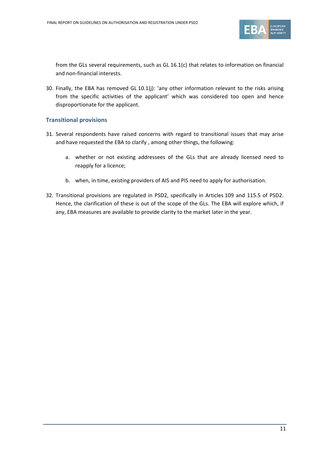

from the GLs several requirements, such as GL 16.1(c) that relates to information on financial and non-financial interests.

30. Finally, the EBA has removed GL 10.1(j): 'any other information relevant to the risks arising from the specific activities of the applicant' which was considered too open and hence disproportionate for the applicant.

### **Transitional provisions**

- 31. Several respondents have raised concerns with regard to transitional issues that may arise and have requested the EBA to clarify , among other things, the following:
	- a. whether or not existing addressees of the GLs that are already licensed need to reapply for a licence;
	- b. when, in time, existing providers of AIS and PIS need to apply for authorisation.
- 32. Transitional provisions are regulated in PSD2, specifically in Articles 109 and 115.5 of PSD2. Hence, the clarification of these is out of the scope of the GLs. The EBA will explore which, if any, EBA measures are available to provide clarity to the market later in the year.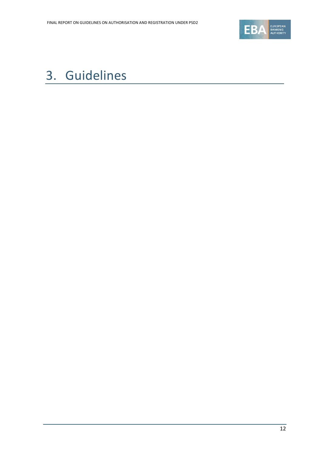

# <span id="page-11-0"></span>3. Guidelines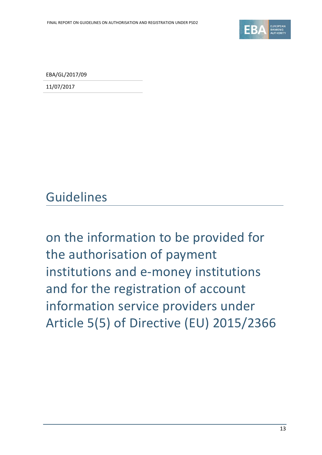

EBA/GL/2017/09

11/07/2017

Guidelines

on the information to be provided for the authorisation of payment institutions and e-money institutions and for the registration of account information service providers under Article 5(5) of Directive (EU) 2015/2366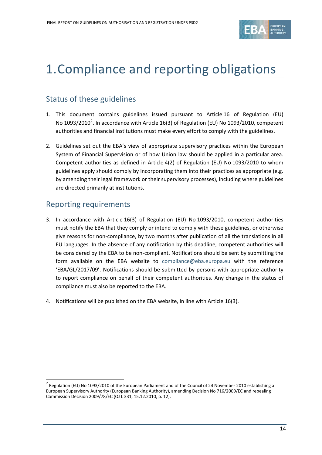

## 1.Compliance and reporting obligations

## Status of these guidelines

- 1. This document contains guidelines issued pursuant to Article 16 of Regulation (EU) No 1093/[2](#page-13-0)010<sup>2</sup>. In accordance with Article 16(3) of Regulation (EU) No 1093/2010, competent authorities and financial institutions must make every effort to comply with the guidelines.
- 2. Guidelines set out the EBA's view of appropriate supervisory practices within the European System of Financial Supervision or of how Union law should be applied in a particular area. Competent authorities as defined in Article 4(2) of Regulation (EU) No 1093/2010 to whom guidelines apply should comply by incorporating them into their practices as appropriate (e.g. by amending their legal framework or their supervisory processes), including where guidelines are directed primarily at institutions.

## Reporting requirements

 $\overline{a}$ 

- 3. In accordance with Article 16(3) of Regulation (EU) No 1093/2010, competent authorities must notify the EBA that they comply or intend to comply with these guidelines, or otherwise give reasons for non-compliance, by two months after publication of all the translations in all EU languages. In the absence of any notification by this deadline, competent authorities will be considered by the EBA to be non-compliant. Notifications should be sent by submitting the form available on the EBA website to [compliance@eba.europa.eu](mailto:compliance@eba.europa.eu) with the reference 'EBA/GL/2017/09'. Notifications should be submitted by persons with appropriate authority to report compliance on behalf of their competent authorities. Any change in the status of compliance must also be reported to the EBA.
- 4. Notifications will be published on the EBA website, in line with Article 16(3).

<span id="page-13-0"></span><sup>&</sup>lt;sup>2</sup> Regulation (EU) No 1093/2010 of the European Parliament and of the Council of 24 November 2010 establishing a European Supervisory Authority (European Banking Authority), amending Decision No 716/2009/EC and repealing Commission Decision 2009/78/EC (OJ L 331, 15.12.2010, p. 12).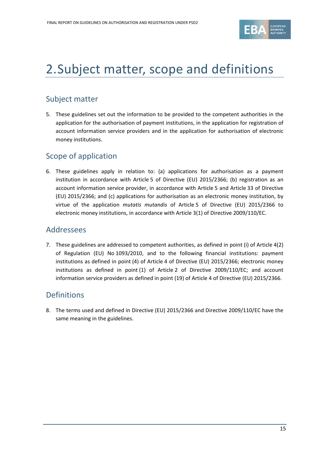

# 2.Subject matter, scope and definitions

## Subject matter

5. These guidelines set out the information to be provided to the competent authorities in the application for the authorisation of payment institutions, in the application for registration of account information service providers and in the application for authorisation of electronic money institutions.

## Scope of application

6. These guidelines apply in relation to: (a) applications for authorisation as a payment institution in accordance with Article 5 of Directive (EU) 2015/2366; (b) registration as an account information service provider, in accordance with Article 5 and Article 33 of Directive (EU) 2015/2366; and (c) applications for authorisation as an electronic money institution, by virtue of the application *mutatis mutandis* of Article 5 of Directive (EU) 2015/2366 to electronic money institutions, in accordance with Article 3(1) of Directive 2009/110/EC.

### Addressees

7. These guidelines are addressed to competent authorities, as defined in point (i) of Article 4(2) of Regulation (EU) No 1093/2010, and to the following financial institutions: payment institutions as defined in point (4) of Article 4 of Directive (EU) 2015/2366; electronic money institutions as defined in point (1) of Article 2 of Directive 2009/110/EC; and account information service providers as defined in point (19) of Article 4 of Directive (EU) 2015/2366.

### Definitions

8. The terms used and defined in Directive (EU) 2015/2366 and Directive 2009/110/EC have the same meaning in the guidelines.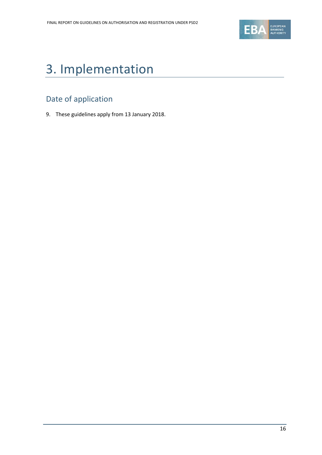

# 3. Implementation

## Date of application

9. These guidelines apply from 13 January 2018.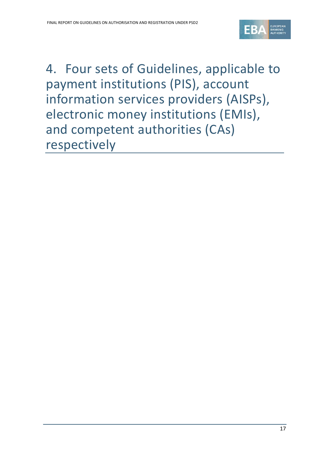

4. Four sets of Guidelines, applicable to payment institutions (PIS), account information services providers (AISPs), electronic money institutions (EMIs), and competent authorities (CAs) respectively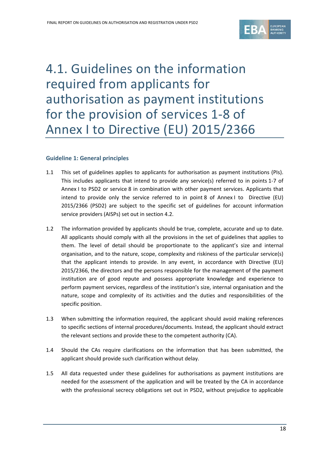

# 4.1. Guidelines on the information required from applicants for authorisation as payment institutions for the provision of services 1-8 of Annex I to Directive (EU) 2015/2366

### **Guideline 1: General principles**

- 1.1 This set of guidelines applies to applicants for authorisation as payment institutions (PIs). This includes applicants that intend to provide any service(s) referred to in points 1-7 of Annex I to PSD2 or service 8 in combination with other payment services. Applicants that intend to provide only the service referred to in point 8 of Annex I to Directive (EU) 2015/2366 (PSD2) are subject to the specific set of guidelines for account information service providers (AISPs) set out in section 4.2.
- 1.2 The information provided by applicants should be true, complete, accurate and up to date. All applicants should comply with all the provisions in the set of guidelines that applies to them. The level of detail should be proportionate to the applicant's size and internal organisation, and to the nature, scope, complexity and riskiness of the particular service(s) that the applicant intends to provide. In any event, in accordance with Directive (EU) 2015/2366, the directors and the persons responsible for the management of the payment institution are of good repute and possess appropriate knowledge and experience to perform payment services, regardless of the institution's size, internal organisation and the nature, scope and complexity of its activities and the duties and responsibilities of the specific position.
- 1.3 When submitting the information required, the applicant should avoid making references to specific sections of internal procedures/documents. Instead, the applicant should extract the relevant sections and provide these to the competent authority (CA).
- 1.4 Should the CAs require clarifications on the information that has been submitted, the applicant should provide such clarification without delay.
- 1.5 All data requested under these guidelines for authorisations as payment institutions are needed for the assessment of the application and will be treated by the CA in accordance with the professional secrecy obligations set out in PSD2, without prejudice to applicable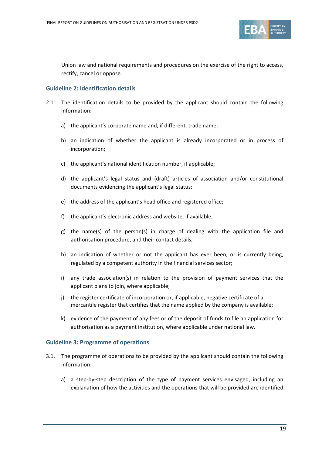

Union law and national requirements and procedures on the exercise of the right to access, rectify, cancel or oppose.

### **Guideline 2: Identification details**

- 2.1 The identification details to be provided by the applicant should contain the following information:
	- a) the applicant's corporate name and, if different, trade name;
	- b) an indication of whether the applicant is already incorporated or in process of incorporation;
	- c) the applicant's national identification number, if applicable;
	- d) the applicant's legal status and (draft) articles of association and/or constitutional documents evidencing the applicant's legal status;
	- e) the address of the applicant's head office and registered office;
	- f) the applicant's electronic address and website, if available;
	- g) the name(s) of the person(s) in charge of dealing with the application file and authorisation procedure, and their contact details;
	- h) an indication of whether or not the applicant has ever been, or is currently being, regulated by a competent authority in the financial services sector;
	- i) any trade association(s) in relation to the provision of payment services that the applicant plans to join, where applicable;
	- j) the register certificate of incorporation or, if applicable, negative certificate of a mercantile register that certifies that the name applied by the company is available;
	- k) evidence of the payment of any fees or of the deposit of funds to file an application for authorisation as a payment institution, where applicable under national law.

#### **Guideline 3: Programme of operations**

- 3.1. The programme of operations to be provided by the applicant should contain the following information:
	- a) a step-by-step description of the type of payment services envisaged, including an explanation of how the activities and the operations that will be provided are identified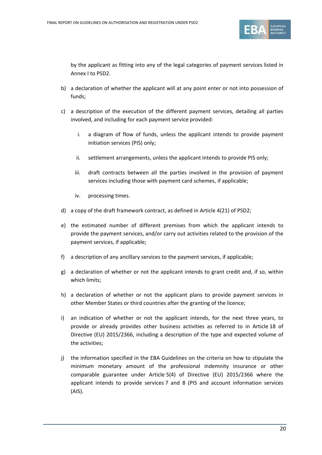

by the applicant as fitting into any of the legal categories of payment services listed in Annex I to PSD2.

- b) a declaration of whether the applicant will at any point enter or not into possession of funds;
- c) a description of the execution of the different payment services, detailing all parties involved, and including for each payment service provided:
	- i. a diagram of flow of funds, unless the applicant intends to provide payment initiation services (PIS) only;
	- ii. settlement arrangements, unless the applicant intends to provide PIS only;
	- iii. draft contracts between all the parties involved in the provision of payment services including those with payment card schemes, if applicable;
	- iv. processing times.
- d) a copy of the draft framework contract, as defined in Article 4(21) of PSD2;
- e) the estimated number of different premises from which the applicant intends to provide the payment services, and/or carry out activities related to the provision of the payment services, if applicable;
- f) a description of any ancillary services to the payment services, if applicable;
- g) a declaration of whether or not the applicant intends to grant credit and, if so, within which limits;
- h) a declaration of whether or not the applicant plans to provide payment services in other Member States or third countries after the granting of the licence;
- i) an indication of whether or not the applicant intends, for the next three years, to provide or already provides other business activities as referred to in Article 18 of Directive (EU) 2015/2366, including a description of the type and expected volume of the activities;
- j) the information specified in the EBA Guidelines on the criteria on how to stipulate the minimum monetary amount of the professional indemnity insurance or other comparable guarantee under Article 5(4) of Directive (EU) 2015/2366 where the applicant intends to provide services 7 and 8 (PIS and account information services (AIS).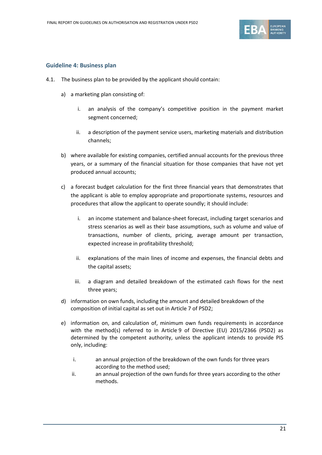

### **Guideline 4: Business plan**

- 4.1. The business plan to be provided by the applicant should contain:
	- a) a marketing plan consisting of:
		- i. an analysis of the company's competitive position in the payment market segment concerned;
		- ii. a description of the payment service users, marketing materials and distribution channels;
	- b) where available for existing companies, certified annual accounts for the previous three years, or a summary of the financial situation for those companies that have not yet produced annual accounts;
	- c) a forecast budget calculation for the first three financial years that demonstrates that the applicant is able to employ appropriate and proportionate systems, resources and procedures that allow the applicant to operate soundly; it should include:
		- i. an income statement and balance-sheet forecast, including target scenarios and stress scenarios as well as their base assumptions, such as volume and value of transactions, number of clients, pricing, average amount per transaction, expected increase in profitability threshold;
		- ii. explanations of the main lines of income and expenses, the financial debts and the capital assets;
		- iii. a diagram and detailed breakdown of the estimated cash flows for the next three years;
	- d) information on own funds, including the amount and detailed breakdown of the composition of initial capital as set out in Article 7 of PSD2;
	- e) information on, and calculation of, minimum own funds requirements in accordance with the method(s) referred to in Article 9 of Directive (EU) 2015/2366 (PSD2) as determined by the competent authority, unless the applicant intends to provide PIS only, including:
		- i. an annual projection of the breakdown of the own funds for three years according to the method used;
		- ii. an annual projection of the own funds for three years according to the other methods.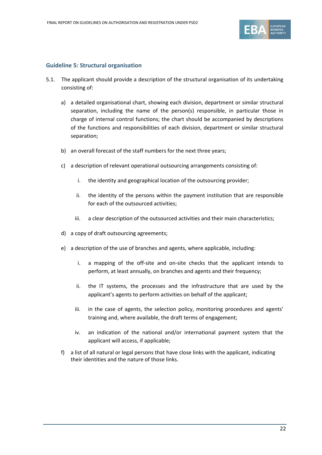

### **Guideline 5: Structural organisation**

- 5.1. The applicant should provide a description of the structural organisation of its undertaking consisting of:
	- a) a detailed organisational chart, showing each division, department or similar structural separation, including the name of the person(s) responsible, in particular those in charge of internal control functions; the chart should be accompanied by descriptions of the functions and responsibilities of each division, department or similar structural separation;
	- b) an overall forecast of the staff numbers for the next three years;
	- c) a description of relevant operational outsourcing arrangements consisting of:
		- i. the identity and geographical location of the outsourcing provider;
		- ii. the identity of the persons within the payment institution that are responsible for each of the outsourced activities;
		- iii. a clear description of the outsourced activities and their main characteristics;
	- d) a copy of draft outsourcing agreements;
	- e) a description of the use of branches and agents, where applicable, including:
		- i. a mapping of the off-site and on-site checks that the applicant intends to perform, at least annually, on branches and agents and their frequency;
		- ii. the IT systems, the processes and the infrastructure that are used by the applicant's agents to perform activities on behalf of the applicant;
		- iii. in the case of agents, the selection policy, monitoring procedures and agents' training and, where available, the draft terms of engagement;
		- iv. an indication of the national and/or international payment system that the applicant will access, if applicable;
	- f) a list of all natural or legal persons that have close links with the applicant, indicating their identities and the nature of those links.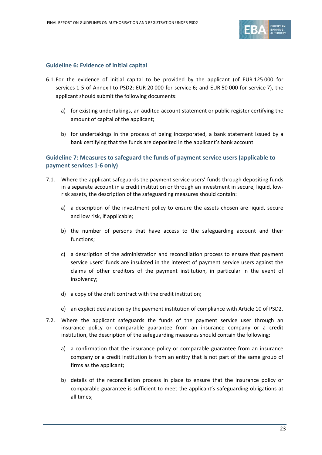

### **Guideline 6: Evidence of initial capital**

- 6.1. For the evidence of initial capital to be provided by the applicant (of EUR 125 000 for services 1-5 of Annex I to PSD2; EUR 20 000 for service 6; and EUR 50 000 for service 7), the applicant should submit the following documents:
	- a) for existing undertakings, an audited account statement or public register certifying the amount of capital of the applicant;
	- b) for undertakings in the process of being incorporated, a bank statement issued by a bank certifying that the funds are deposited in the applicant's bank account.

### **Guideline 7: Measures to safeguard the funds of payment service users (applicable to payment services 1-6 only)**

- 7.1. Where the applicant safeguards the payment service users' funds through depositing funds in a separate account in a credit institution or through an investment in secure, liquid, lowrisk assets, the description of the safeguarding measures should contain:
	- a) a description of the investment policy to ensure the assets chosen are liquid, secure and low risk, if applicable;
	- b) the number of persons that have access to the safeguarding account and their functions;
	- c) a description of the administration and reconciliation process to ensure that payment service users' funds are insulated in the interest of payment service users against the claims of other creditors of the payment institution, in particular in the event of insolvency;
	- d) a copy of the draft contract with the credit institution;
	- e) an explicit declaration by the payment institution of compliance with Article 10 of PSD2.
- 7.2. Where the applicant safeguards the funds of the payment service user through an insurance policy or comparable guarantee from an insurance company or a credit institution, the description of the safeguarding measures should contain the following:
	- a) a confirmation that the insurance policy or comparable guarantee from an insurance company or a credit institution is from an entity that is not part of the same group of firms as the applicant;
	- b) details of the reconciliation process in place to ensure that the insurance policy or comparable guarantee is sufficient to meet the applicant's safeguarding obligations at all times;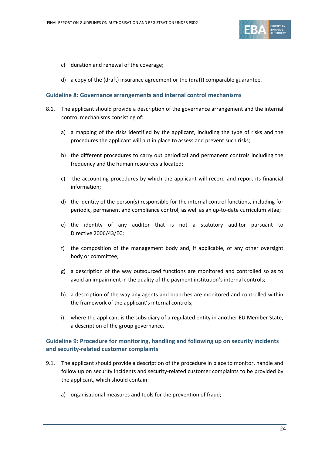

- c) duration and renewal of the coverage;
- d) a copy of the (draft) insurance agreement or the (draft) comparable guarantee.

#### **Guideline 8: Governance arrangements and internal control mechanisms**

- 8.1. The applicant should provide a description of the governance arrangement and the internal control mechanisms consisting of:
	- a) a mapping of the risks identified by the applicant, including the type of risks and the procedures the applicant will put in place to assess and prevent such risks;
	- b) the different procedures to carry out periodical and permanent controls including the frequency and the human resources allocated;
	- c) the accounting procedures by which the applicant will record and report its financial information;
	- d) the identity of the person(s) responsible for the internal control functions, including for periodic, permanent and compliance control, as well as an up-to-date curriculum vitae;
	- e) the identity of any auditor that is not a statutory auditor pursuant to Directive 2006/43/EC;
	- f) the composition of the management body and, if applicable, of any other oversight body or committee;
	- g) a description of the way outsourced functions are monitored and controlled so as to avoid an impairment in the quality of the payment institution's internal controls;
	- h) a description of the way any agents and branches are monitored and controlled within the framework of the applicant's internal controls;
	- i) where the applicant is the subsidiary of a regulated entity in another EU Member State, a description of the group governance.

### **Guideline 9: Procedure for monitoring, handling and following up on security incidents and security-related customer complaints**

- 9.1. The applicant should provide a description of the procedure in place to monitor, handle and follow up on security incidents and security-related customer complaints to be provided by the applicant, which should contain:
	- a) organisational measures and tools for the prevention of fraud;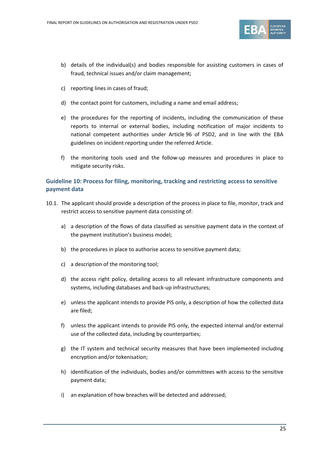

- b) details of the individual(s) and bodies responsible for assisting customers in cases of fraud, technical issues and/or claim management;
- c) reporting lines in cases of fraud;
- d) the contact point for customers, including a name and email address;
- e) the procedures for the reporting of incidents, including the communication of these reports to internal or external bodies, including notification of major incidents to national competent authorities under Article 96 of PSD2, and in line with the EBA guidelines on incident reporting under the referred Article.
- f) the monitoring tools used and the follow-up measures and procedures in place to mitigate security risks.

### **Guideline 10: Process for filing, monitoring, tracking and restricting access to sensitive payment data**

- 10.1. The applicant should provide a description of the process in place to file, monitor, track and restrict access to sensitive payment data consisting of:
	- a) a description of the flows of data classified as sensitive payment data in the context of the payment institution's business model;
	- b) the procedures in place to authorise access to sensitive payment data;
	- c) a description of the monitoring tool;
	- d) the access right policy, detailing access to all relevant infrastructure components and systems, including databases and back-up infrastructures;
	- e) unless the applicant intends to provide PIS only, a description of how the collected data are filed;
	- f) unless the applicant intends to provide PIS only, the expected internal and/or external use of the collected data, including by counterparties;
	- g) the IT system and technical security measures that have been implemented including encryption and/or tokenisation;
	- h) identification of the individuals, bodies and/or committees with access to the sensitive payment data;
	- i) an explanation of how breaches will be detected and addressed;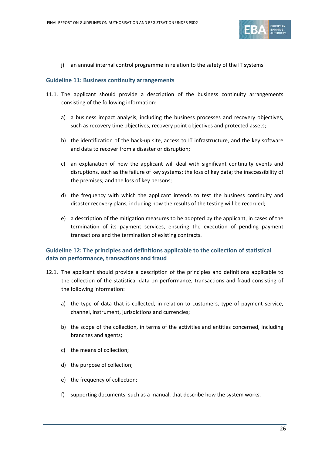

j) an annual internal control programme in relation to the safety of the IT systems.

#### **Guideline 11: Business continuity arrangements**

- 11.1. The applicant should provide a description of the business continuity arrangements consisting of the following information:
	- a) a business impact analysis, including the business processes and recovery objectives, such as recovery time objectives, recovery point objectives and protected assets;
	- b) the identification of the back-up site, access to IT infrastructure, and the key software and data to recover from a disaster or disruption;
	- c) an explanation of how the applicant will deal with significant continuity events and disruptions, such as the failure of key systems; the loss of key data; the inaccessibility of the premises; and the loss of key persons;
	- d) the frequency with which the applicant intends to test the business continuity and disaster recovery plans, including how the results of the testing will be recorded;
	- e) a description of the mitigation measures to be adopted by the applicant, in cases of the termination of its payment services, ensuring the execution of pending payment transactions and the termination of existing contracts.

### **Guideline 12: The principles and definitions applicable to the collection of statistical data on performance, transactions and fraud**

- 12.1. The applicant should provide a description of the principles and definitions applicable to the collection of the statistical data on performance, transactions and fraud consisting of the following information:
	- a) the type of data that is collected, in relation to customers, type of payment service, channel, instrument, jurisdictions and currencies;
	- b) the scope of the collection, in terms of the activities and entities concerned, including branches and agents;
	- c) the means of collection;
	- d) the purpose of collection;
	- e) the frequency of collection;
	- f) supporting documents, such as a manual, that describe how the system works.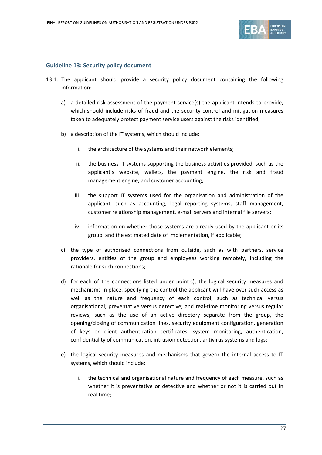

### **Guideline 13: Security policy document**

- 13.1. The applicant should provide a security policy document containing the following information:
	- a) a detailed risk assessment of the payment service(s) the applicant intends to provide, which should include risks of fraud and the security control and mitigation measures taken to adequately protect payment service users against the risks identified;
	- b) a description of the IT systems, which should include:
		- i. the architecture of the systems and their network elements;
		- ii. the business IT systems supporting the business activities provided, such as the applicant's website, wallets, the payment engine, the risk and fraud management engine, and customer accounting;
		- iii. the support IT systems used for the organisation and administration of the applicant, such as accounting, legal reporting systems, staff management, customer relationship management, e-mail servers and internal file servers;
		- iv. information on whether those systems are already used by the applicant or its group, and the estimated date of implementation, if applicable;
	- c) the type of authorised connections from outside, such as with partners, service providers, entities of the group and employees working remotely, including the rationale for such connections;
	- d) for each of the connections listed under point c), the logical security measures and mechanisms in place, specifying the control the applicant will have over such access as well as the nature and frequency of each control, such as technical versus organisational; preventative versus detective; and real-time monitoring versus regular reviews, such as the use of an active directory separate from the group, the opening/closing of communication lines, security equipment configuration, generation of keys or client authentication certificates, system monitoring, authentication, confidentiality of communication, intrusion detection, antivirus systems and logs;
	- e) the logical security measures and mechanisms that govern the internal access to IT systems, which should include:
		- i. the technical and organisational nature and frequency of each measure, such as whether it is preventative or detective and whether or not it is carried out in real time;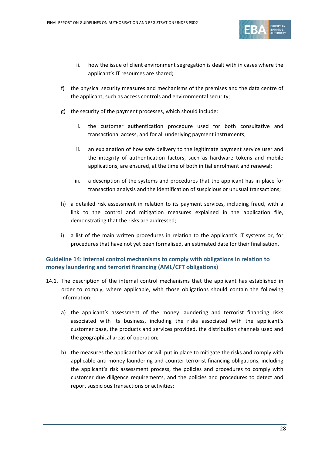

- ii. how the issue of client environment segregation is dealt with in cases where the applicant's IT resources are shared;
- f) the physical security measures and mechanisms of the premises and the data centre of the applicant, such as access controls and environmental security;
- g) the security of the payment processes, which should include:
	- i. the customer authentication procedure used for both consultative and transactional access, and for all underlying payment instruments;
	- ii. an explanation of how safe delivery to the legitimate payment service user and the integrity of authentication factors, such as hardware tokens and mobile applications, are ensured, at the time of both initial enrolment and renewal;
	- iii. a description of the systems and procedures that the applicant has in place for transaction analysis and the identification of suspicious or unusual transactions;
- h) a detailed risk assessment in relation to its payment services, including fraud, with a link to the control and mitigation measures explained in the application file, demonstrating that the risks are addressed;
- i) a list of the main written procedures in relation to the applicant's IT systems or, for procedures that have not yet been formalised, an estimated date for their finalisation.

### **Guideline 14: Internal control mechanisms to comply with obligations in relation to money laundering and terrorist financing (AML/CFT obligations)**

- 14.1. The description of the internal control mechanisms that the applicant has established in order to comply, where applicable, with those obligations should contain the following information:
	- a) the applicant's assessment of the money laundering and terrorist financing risks associated with its business, including the risks associated with the applicant's customer base, the products and services provided, the distribution channels used and the geographical areas of operation;
	- b) the measures the applicant has or will put in place to mitigate the risks and comply with applicable anti-money laundering and counter terrorist financing obligations, including the applicant's risk assessment process, the policies and procedures to comply with customer due diligence requirements, and the policies and procedures to detect and report suspicious transactions or activities;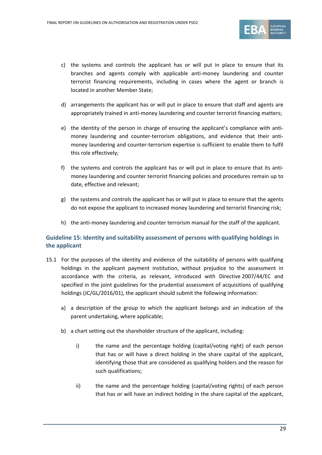

- c) the systems and controls the applicant has or will put in place to ensure that its branches and agents comply with applicable anti-money laundering and counter terrorist financing requirements, including in cases where the agent or branch is located in another Member State;
- d) arrangements the applicant has or will put in place to ensure that staff and agents are appropriately trained in anti-money laundering and counter terrorist financing matters;
- e) the identity of the person in charge of ensuring the applicant's compliance with antimoney laundering and counter-terrorism obligations, and evidence that their antimoney laundering and counter-terrorism expertise is sufficient to enable them to fulfil this role effectively;
- f) the systems and controls the applicant has or will put in place to ensure that its antimoney laundering and counter terrorist financing policies and procedures remain up to date, effective and relevant;
- g) the systems and controls the applicant has or will put in place to ensure that the agents do not expose the applicant to increased money laundering and terrorist financing risk;
- h) the anti-money laundering and counter terrorism manual for the staff of the applicant.

### **Guideline 15: Identity and suitability assessment of persons with qualifying holdings in the applicant**

- 15.1 For the purposes of the identity and evidence of the suitability of persons with qualifying holdings in the applicant payment institution, without prejudice to the assessment in accordance with the criteria, as relevant, introduced with Directive 2007/44/EC and specified in the joint guidelines for the prudential assessment of acquisitions of qualifying holdings (JC/GL/2016/01), the applicant should submit the following information:
	- a) a description of the group to which the applicant belongs and an indication of the parent undertaking, where applicable;
	- b) a chart setting out the shareholder structure of the applicant, including:
		- i) the name and the percentage holding (capital/voting right) of each person that has or will have a direct holding in the share capital of the applicant, identifying those that are considered as qualifying holders and the reason for such qualifications;
		- ii) the name and the percentage holding (capital/voting rights) of each person that has or will have an indirect holding in the share capital of the applicant,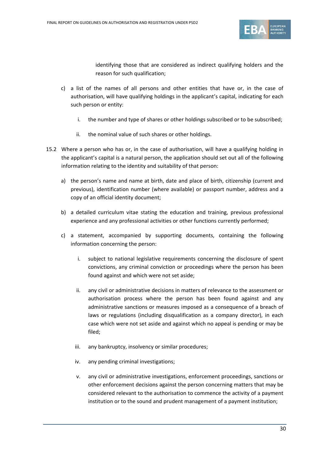

identifying those that are considered as indirect qualifying holders and the reason for such qualification;

- c) a list of the names of all persons and other entities that have or, in the case of authorisation, will have qualifying holdings in the applicant's capital, indicating for each such person or entity:
	- i. the number and type of shares or other holdings subscribed or to be subscribed;
	- ii. the nominal value of such shares or other holdings.
- 15.2 Where a person who has or, in the case of authorisation, will have a qualifying holding in the applicant's capital is a natural person, the application should set out all of the following information relating to the identity and suitability of that person:
	- a) the person's name and name at birth, date and place of birth, citizenship (current and previous), identification number (where available) or passport number, address and a copy of an official identity document;
	- b) a detailed curriculum vitae stating the education and training, previous professional experience and any professional activities or other functions currently performed;
	- c) a statement, accompanied by supporting documents, containing the following information concerning the person:
		- i. subject to national legislative requirements concerning the disclosure of spent convictions, any criminal conviction or proceedings where the person has been found against and which were not set aside;
		- ii. any civil or administrative decisions in matters of relevance to the assessment or authorisation process where the person has been found against and any administrative sanctions or measures imposed as a consequence of a breach of laws or regulations (including disqualification as a company director), in each case which were not set aside and against which no appeal is pending or may be filed;
		- iii. any bankruptcy, insolvency or similar procedures;
		- iv. any pending criminal investigations;
		- v. any civil or administrative investigations, enforcement proceedings, sanctions or other enforcement decisions against the person concerning matters that may be considered relevant to the authorisation to commence the activity of a payment institution or to the sound and prudent management of a payment institution;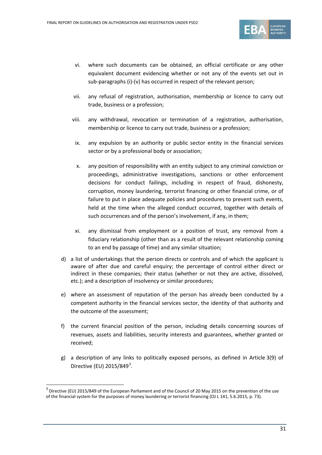

- vi. where such documents can be obtained, an official certificate or any other equivalent document evidencing whether or not any of the events set out in sub-paragraphs (i)-(v) has occurred in respect of the relevant person;
- vii. any refusal of registration, authorisation, membership or licence to carry out trade, business or a profession;
- viii. any withdrawal, revocation or termination of a registration, authorisation, membership or licence to carry out trade, business or a profession;
- ix. any expulsion by an authority or public sector entity in the financial services sector or by a professional body or association;
- x. any position of responsibility with an entity subject to any criminal conviction or proceedings, administrative investigations, sanctions or other enforcement decisions for conduct failings, including in respect of fraud, dishonesty, corruption, money laundering, terrorist financing or other financial crime, or of failure to put in place adequate policies and procedures to prevent such events, held at the time when the alleged conduct occurred, together with details of such occurrences and of the person's involvement, if any, in them;
- xi. any dismissal from employment or a position of trust, any removal from a fiduciary relationship (other than as a result of the relevant relationship coming to an end by passage of time) and any similar situation;
- d) a list of undertakings that the person directs or controls and of which the applicant is aware of after due and careful enquiry; the percentage of control either direct or indirect in these companies; their status (whether or not they are active, dissolved, etc.); and a description of insolvency or similar procedures;
- e) where an assessment of reputation of the person has already been conducted by a competent authority in the financial services sector, the identity of that authority and the outcome of the assessment;
- f) the current financial position of the person, including details concerning sources of revenues, assets and liabilities, security interests and guarantees, whether granted or received;
- g) a description of any links to politically exposed persons, as defined in Article 3(9) of Directive (EU)  $2015/849^3$  $2015/849^3$ .

 $\overline{a}$ 

<span id="page-30-0"></span> $3$  Directive (EU) 2015/849 of the European Parliament and of the Council of 20 May 2015 on the prevention of the use of the financial system for the purposes of money laundering or terrorist financing (OJ L 141, 5.6.2015, p. 73).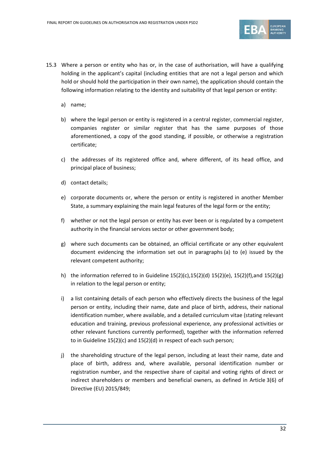

- 15.3 Where a person or entity who has or, in the case of authorisation, will have a qualifying holding in the applicant's capital (including entities that are not a legal person and which hold or should hold the participation in their own name), the application should contain the following information relating to the identity and suitability of that legal person or entity:
	- a) name;
	- b) where the legal person or entity is registered in a central register, commercial register, companies register or similar register that has the same purposes of those aforementioned, a copy of the good standing, if possible, or otherwise a registration certificate;
	- c) the addresses of its registered office and, where different, of its head office, and principal place of business;
	- d) contact details;
	- e) corporate documents or, where the person or entity is registered in another Member State, a summary explaining the main legal features of the legal form or the entity;
	- f) whether or not the legal person or entity has ever been or is regulated by a competent authority in the financial services sector or other government body;
	- g) where such documents can be obtained, an official certificate or any other equivalent document evidencing the information set out in paragraphs (a) to (e) issued by the relevant competent authority;
	- h) the information referred to in Guideline 15(2)(c),15(2)(d) 15(2)(e), 15(2)(f),and 15(2)(g) in relation to the legal person or entity;
	- i) a list containing details of each person who effectively directs the business of the legal person or entity, including their name, date and place of birth, address, their national identification number, where available, and a detailed curriculum vitae (stating relevant education and training, previous professional experience, any professional activities or other relevant functions currently performed), together with the information referred to in Guideline 15(2)(c) and 15(2)(d) in respect of each such person;
	- j) the shareholding structure of the legal person, including at least their name, date and place of birth, address and, where available, personal identification number or registration number, and the respective share of capital and voting rights of direct or indirect shareholders or members and beneficial owners, as defined in Article 3(6) of Directive (EU) 2015/849;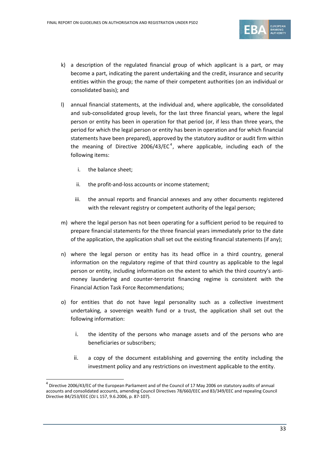

- k) a description of the regulated financial group of which applicant is a part, or may become a part, indicating the parent undertaking and the credit, insurance and security entities within the group; the name of their competent authorities (on an individual or consolidated basis); and
- l) annual financial statements, at the individual and, where applicable, the consolidated and sub-consolidated group levels, for the last three financial years, where the legal person or entity has been in operation for that period (or, if less than three years, the period for which the legal person or entity has been in operation and for which financial statements have been prepared), approved by the statutory auditor or audit firm within the meaning of Directive 2006/[4](#page-32-0)3/EC<sup>4</sup>, where applicable, including each of the following items:
	- i. the balance sheet;

 $\overline{a}$ 

- ii. the profit-and-loss accounts or income statement;
- iii. the annual reports and financial annexes and any other documents registered with the relevant registry or competent authority of the legal person;
- m) where the legal person has not been operating for a sufficient period to be required to prepare financial statements for the three financial years immediately prior to the date of the application, the application shall set out the existing financial statements (if any);
- n) where the legal person or entity has its head office in a third country, general information on the regulatory regime of that third country as applicable to the legal person or entity, including information on the extent to which the third country's antimoney laundering and counter-terrorist financing regime is consistent with the Financial Action Task Force Recommendations;
- o) for entities that do not have legal personality such as a collective investment undertaking, a sovereign wealth fund or a trust, the application shall set out the following information:
	- i. the identity of the persons who manage assets and of the persons who are beneficiaries or subscribers;
	- ii. a copy of the document establishing and governing the entity including the investment policy and any restrictions on investment applicable to the entity.

<span id="page-32-0"></span> $4$  Directive 2006/43/EC of the European Parliament and of the Council of 17 May 2006 on statutory audits of annual accounts and consolidated accounts, amending Council Directives 78/660/EEC and 83/349/EEC and repealing Council Directive 84/253/EEC (OJ L 157, 9.6.2006, p. 87-107).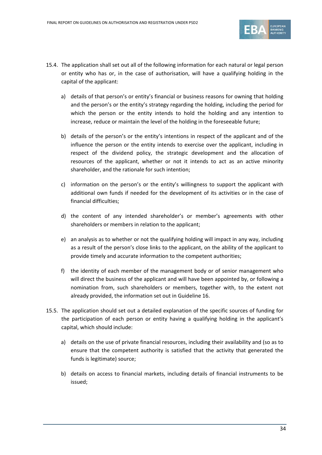

- 15.4. The application shall set out all of the following information for each natural or legal person or entity who has or, in the case of authorisation, will have a qualifying holding in the capital of the applicant:
	- a) details of that person's or entity's financial or business reasons for owning that holding and the person's or the entity's strategy regarding the holding, including the period for which the person or the entity intends to hold the holding and any intention to increase, reduce or maintain the level of the holding in the foreseeable future;
	- b) details of the person's or the entity's intentions in respect of the applicant and of the influence the person or the entity intends to exercise over the applicant, including in respect of the dividend policy, the strategic development and the allocation of resources of the applicant, whether or not it intends to act as an active minority shareholder, and the rationale for such intention;
	- c) information on the person's or the entity's willingness to support the applicant with additional own funds if needed for the development of its activities or in the case of financial difficulties;
	- d) the content of any intended shareholder's or member's agreements with other shareholders or members in relation to the applicant;
	- e) an analysis as to whether or not the qualifying holding will impact in any way, including as a result of the person's close links to the applicant, on the ability of the applicant to provide timely and accurate information to the competent authorities;
	- f) the identity of each member of the management body or of senior management who will direct the business of the applicant and will have been appointed by, or following a nomination from, such shareholders or members, together with, to the extent not already provided, the information set out in Guideline 16.
- 15.5. The application should set out a detailed explanation of the specific sources of funding for the participation of each person or entity having a qualifying holding in the applicant's capital, which should include:
	- a) details on the use of private financial resources, including their availability and (so as to ensure that the competent authority is satisfied that the activity that generated the funds is legitimate) source;
	- b) details on access to financial markets, including details of financial instruments to be issued;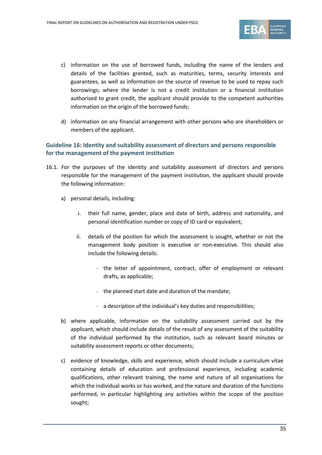

- c) information on the use of borrowed funds, including the name of the lenders and details of the facilities granted, such as maturities, terms, security interests and guarantees, as well as information on the source of revenue to be used to repay such borrowings; where the lender is not a credit institution or a financial institution authorised to grant credit, the applicant should provide to the competent authorities information on the origin of the borrowed funds;
- d) information on any financial arrangement with other persons who are shareholders or members of the applicant.

### **Guideline 16: Identity and suitability assessment of directors and persons responsible for the management of the payment institution**

- 16.1. For the purposes of the identity and suitability assessment of directors and persons responsible for the management of the payment institution, the applicant should provide the following information:
	- a) personal details, including:
		- i. their full name, gender, place and date of birth, address and nationality, and personal identification number or copy of ID card or equivalent;
		- ii. details of the position for which the assessment is sought, whether or not the management body position is executive or non-executive. This should also include the following details:
			- the letter of appointment, contract, offer of employment or relevant drafts, as applicable;
			- the planned start date and duration of the mandate;
			- a description of the individual's key duties and responsibilities;
	- b) where applicable, information on the suitability assessment carried out by the applicant, which should include details of the result of any assessment of the suitability of the individual performed by the institution, such as relevant board minutes or suitability assessment reports or other documents;
	- c) evidence of knowledge, skills and experience, which should include a curriculum vitae containing details of education and professional experience, including academic qualifications, other relevant training, the name and nature of all organisations for which the individual works or has worked, and the nature and duration of the functions performed, in particular highlighting any activities within the scope of the position sought;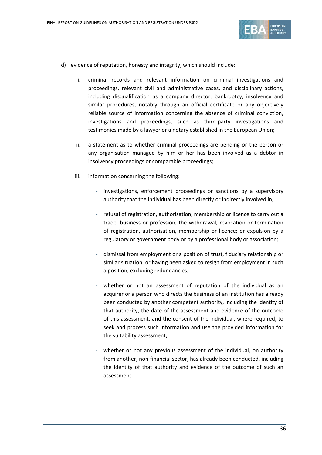

- d) evidence of reputation, honesty and integrity, which should include:
	- i. criminal records and relevant information on criminal investigations and proceedings, relevant civil and administrative cases, and disciplinary actions, including disqualification as a company director, bankruptcy, insolvency and similar procedures, notably through an official certificate or any objectively reliable source of information concerning the absence of criminal conviction, investigations and proceedings, such as third-party investigations and testimonies made by a lawyer or a notary established in the European Union;
	- ii. a statement as to whether criminal proceedings are pending or the person or any organisation managed by him or her has been involved as a debtor in insolvency proceedings or comparable proceedings;
	- iii. information concerning the following:
		- investigations, enforcement proceedings or sanctions by a supervisory authority that the individual has been directly or indirectly involved in;
		- refusal of registration, authorisation, membership or licence to carry out a trade, business or profession; the withdrawal, revocation or termination of registration, authorisation, membership or licence; or expulsion by a regulatory or government body or by a professional body or association;
		- dismissal from employment or a position of trust, fiduciary relationship or similar situation, or having been asked to resign from employment in such a position, excluding redundancies;
		- whether or not an assessment of reputation of the individual as an acquirer or a person who directs the business of an institution has already been conducted by another competent authority, including the identity of that authority, the date of the assessment and evidence of the outcome of this assessment, and the consent of the individual, where required, to seek and process such information and use the provided information for the suitability assessment;
		- whether or not any previous assessment of the individual, on authority from another, non-financial sector, has already been conducted, including the identity of that authority and evidence of the outcome of such an assessment.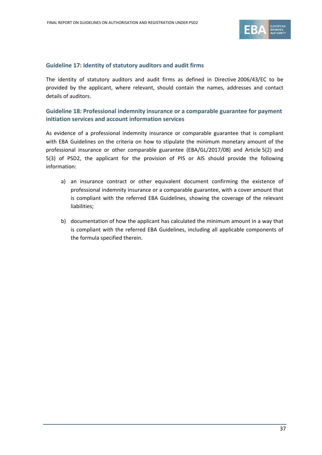

#### **Guideline 17: Identity of statutory auditors and audit firms**

The identity of statutory auditors and audit firms as defined in Directive 2006/43/EC to be provided by the applicant, where relevant, should contain the names, addresses and contact details of auditors.

## **Guideline 18: Professional indemnity insurance or a comparable guarantee for payment initiation services and account information services**

As evidence of a professional indemnity insurance or comparable guarantee that is compliant with EBA Guidelines on the criteria on how to stipulate the minimum monetary amount of the professional insurance or other comparable guarantee (EBA/GL/2017/08) and Article 5(2) and 5(3) of PSD2, the applicant for the provision of PIS or AIS should provide the following information:

- a) an insurance contract or other equivalent document confirming the existence of professional indemnity insurance or a comparable guarantee, with a cover amount that is compliant with the referred EBA Guidelines, showing the coverage of the relevant liabilities;
- b) documentation of how the applicant has calculated the minimum amount in a way that is compliant with the referred EBA Guidelines, including all applicable components of the formula specified therein.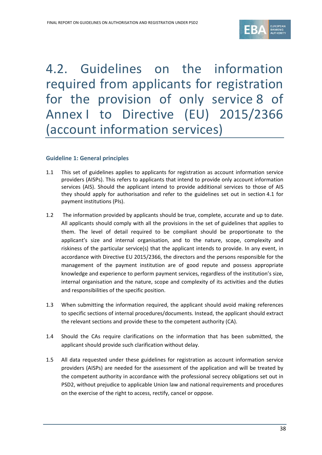

# 4.2. Guidelines on the information required from applicants for registration for the provision of only service 8 of Annex I to Directive (EU) 2015/2366 (account information services)

## **Guideline 1: General principles**

- 1.1 This set of guidelines applies to applicants for registration as account information service providers (AISPs). This refers to applicants that intend to provide only account information services (AIS). Should the applicant intend to provide additional services to those of AIS they should apply for authorisation and refer to the guidelines set out in section 4.1 for payment institutions (PIs).
- 1.2 The information provided by applicants should be true, complete, accurate and up to date. All applicants should comply with all the provisions in the set of guidelines that applies to them. The level of detail required to be compliant should be proportionate to the applicant's size and internal organisation, and to the nature, scope, complexity and riskiness of the particular service(s) that the applicant intends to provide. In any event, in accordance with Directive EU 2015/2366, the directors and the persons responsible for the management of the payment institution are of good repute and possess appropriate knowledge and experience to perform payment services, regardless of the institution's size, internal organisation and the nature, scope and complexity of its activities and the duties and responsibilities of the specific position.
- 1.3 When submitting the information required, the applicant should avoid making references to specific sections of internal procedures/documents. Instead, the applicant should extract the relevant sections and provide these to the competent authority (CA).
- 1.4 Should the CAs require clarifications on the information that has been submitted, the applicant should provide such clarification without delay.
- 1.5 All data requested under these guidelines for registration as account information service providers (AISPs) are needed for the assessment of the application and will be treated by the competent authority in accordance with the professional secrecy obligations set out in PSD2, without prejudice to applicable Union law and national requirements and procedures on the exercise of the right to access, rectify, cancel or oppose.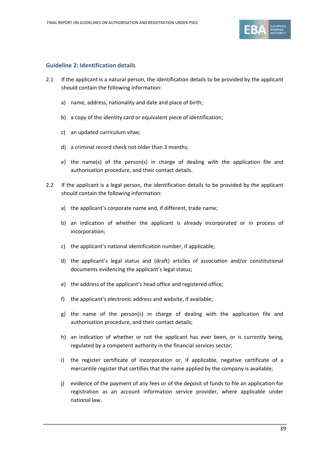

#### **Guideline 2: Identification details**

- 2.1 If the applicant is a natural person, the identification details to be provided by the applicant should contain the following information:
	- a) name, address, nationality and date and place of birth;
	- b) a copy of the identity card or equivalent piece of identification;
	- c) an updated curriculum vitae;
	- d) a criminal record check not older than 3 months;
	- e) the name(s) of the person(s) in charge of dealing with the application file and authorisation procedure, and their contact details.
- 2.2 If the applicant is a legal person, the identification details to be provided by the applicant should contain the following information:
	- a) the applicant's corporate name and, if different, trade name;
	- b) an indication of whether the applicant is already incorporated or in process of incorporation;
	- c) the applicant's national identification number, if applicable;
	- d) the applicant's legal status and (draft) articles of association and/or constitutional documents evidencing the applicant's legal status;
	- e) the address of the applicant's head office and registered office;
	- f) the applicant's electronic address and website, if available;
	- g) the name of the person(s) in charge of dealing with the application file and authorisation procedure, and their contact details;
	- h) an indication of whether or not the applicant has ever been, or is currently being, regulated by a competent authority in the financial services sector;
	- i) the register certificate of incorporation or, if applicable, negative certificate of a mercantile register that certifies that the name applied by the company is available;
	- j) evidence of the payment of any fees or of the deposit of funds to file an application for registration as an account information service provider, where applicable under national law.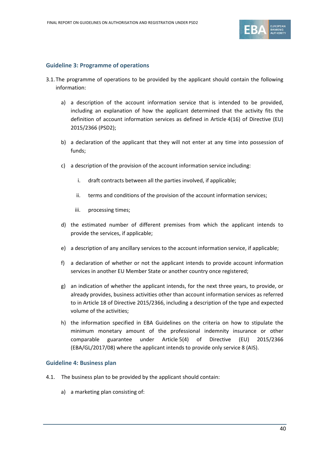

#### **Guideline 3: Programme of operations**

- 3.1.The programme of operations to be provided by the applicant should contain the following information:
	- a) a description of the account information service that is intended to be provided, including an explanation of how the applicant determined that the activity fits the definition of account information services as defined in Article 4(16) of Directive (EU) 2015/2366 (PSD2);
	- b) a declaration of the applicant that they will not enter at any time into possession of funds;
	- c) a description of the provision of the account information service including:
		- i. draft contracts between all the parties involved, if applicable;
		- ii. terms and conditions of the provision of the account information services;
		- iii. processing times;
	- d) the estimated number of different premises from which the applicant intends to provide the services, if applicable;
	- e) a description of any ancillary services to the account information service, if applicable;
	- f) a declaration of whether or not the applicant intends to provide account information services in another EU Member State or another country once registered;
	- g) an indication of whether the applicant intends, for the next three years, to provide, or already provides, business activities other than account information services as referred to in Article 18 of Directive 2015/2366, including a description of the type and expected volume of the activities;
	- h) the information specified in EBA Guidelines on the criteria on how to stipulate the minimum monetary amount of the professional indemnity insurance or other comparable guarantee under Article 5(4) of Directive (EU) 2015/2366 (EBA/GL/2017/08) where the applicant intends to provide only service 8 (AIS).

#### **Guideline 4: Business plan**

- 4.1. The business plan to be provided by the applicant should contain:
	- a) a marketing plan consisting of: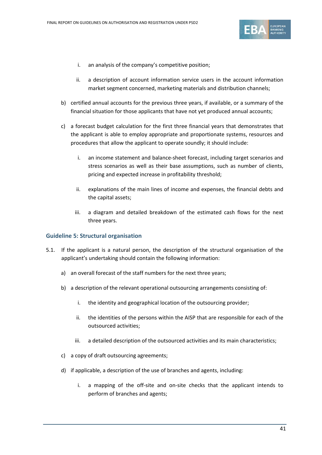

- i. an analysis of the company's competitive position;
- ii. a description of account information service users in the account information market segment concerned, marketing materials and distribution channels;
- b) certified annual accounts for the previous three years, if available, or a summary of the financial situation for those applicants that have not yet produced annual accounts;
- c) a forecast budget calculation for the first three financial years that demonstrates that the applicant is able to employ appropriate and proportionate systems, resources and procedures that allow the applicant to operate soundly; it should include:
	- i. an income statement and balance-sheet forecast, including target scenarios and stress scenarios as well as their base assumptions, such as number of clients, pricing and expected increase in profitability threshold;
	- ii. explanations of the main lines of income and expenses, the financial debts and the capital assets;
	- iii. a diagram and detailed breakdown of the estimated cash flows for the next three years.

#### **Guideline 5: Structural organisation**

- 5.1. If the applicant is a natural person, the description of the structural organisation of the applicant's undertaking should contain the following information:
	- a) an overall forecast of the staff numbers for the next three years;
	- b) a description of the relevant operational outsourcing arrangements consisting of:
		- i. the identity and geographical location of the outsourcing provider;
		- ii. the identities of the persons within the AISP that are responsible for each of the outsourced activities;
		- iii. a detailed description of the outsourced activities and its main characteristics;
	- c) a copy of draft outsourcing agreements;
	- d) if applicable, a description of the use of branches and agents, including:
		- i. a mapping of the off-site and on-site checks that the applicant intends to perform of branches and agents;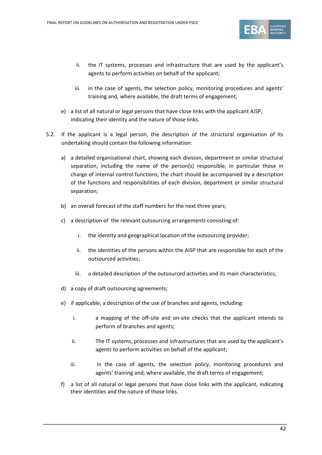

- ii. the IT systems, processes and infrastructure that are used by the applicant's agents to perform activities on behalf of the applicant;
- iii. in the case of agents, the selection policy, monitoring procedures and agents' training and, where available, the draft terms of engagement;
- e) a list of all natural or legal persons that have close links with the applicant AISP, indicating their identity and the nature of those links.
- 5.2. If the applicant is a legal person, the description of the structural organisation of its undertaking should contain the following information:
	- a) a detailed organisational chart, showing each division, department or similar structural separation, including the name of the person(s) responsible, in particular those in charge of internal control functions; the chart should be accompanied by a description of the functions and responsibilities of each division, department or similar structural separation;
	- b) an overall forecast of the staff numbers for the next three years;
	- c) a description of the relevant outsourcing arrangements consisting of:
		- i. the identity and geographical location of the outsourcing provider;
		- ii. the identities of the persons within the AISP that are responsible for each of the outsourced activities;
		- iii. a detailed description of the outsourced activities and its main characteristics;
	- d) a copy of draft outsourcing agreements;
	- e) if applicable, a description of the use of branches and agents, including:
		- i. a mapping of the off-site and on-site checks that the applicant intends to perform of branches and agents;
		- ii. The IT systems, processes and infrastructures that are used by the applicant's agents to perform activities on behalf of the applicant;
		- iii. iii. in the case of agents, the selection policy, monitoring procedures and agents' training and, where available, the draft terms of engagement;
	- f) a list of all natural or legal persons that have close links with the applicant, indicating their identities and the nature of those links.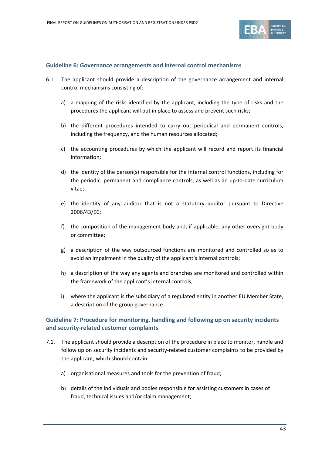

#### **Guideline 6: Governance arrangements and internal control mechanisms**

- 6.1. The applicant should provide a description of the governance arrangement and internal control mechanisms consisting of:
	- a) a mapping of the risks identified by the applicant, including the type of risks and the procedures the applicant will put in place to assess and prevent such risks;
	- b) the different procedures intended to carry out periodical and permanent controls, including the frequency, and the human resources allocated;
	- c) the accounting procedures by which the applicant will record and report its financial information;
	- d) the identity of the person(s) responsible for the internal control functions, including for the periodic, permanent and compliance controls, as well as an up-to-date curriculum vitae;
	- e) the identity of any auditor that is not a statutory auditor pursuant to Directive 2006/43/EC;
	- f) the composition of the management body and, if applicable, any other oversight body or committee;
	- g) a description of the way outsourced functions are monitored and controlled so as to avoid an impairment in the quality of the applicant's internal controls;
	- h) a description of the way any agents and branches are monitored and controlled within the framework of the applicant's internal controls;
	- i) where the applicant is the subsidiary of a regulated entity in another EU Member State, a description of the group governance.

## **Guideline 7: Procedure for monitoring, handling and following up on security incidents and security-related customer complaints**

- 7.1. The applicant should provide a description of the procedure in place to monitor, handle and follow up on security incidents and security-related customer complaints to be provided by the applicant, which should contain:
	- a) organisational measures and tools for the prevention of fraud;
	- b) details of the individuals and bodies responsible for assisting customers in cases of fraud, technical issues and/or claim management;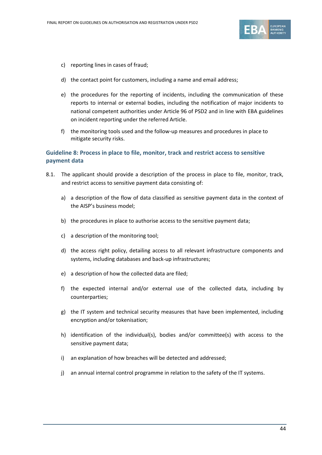

- c) reporting lines in cases of fraud;
- d) the contact point for customers, including a name and email address;
- e) the procedures for the reporting of incidents, including the communication of these reports to internal or external bodies, including the notification of major incidents to national competent authorities under Article 96 of PSD2 and in line with EBA guidelines on incident reporting under the referred Article.
- f) the monitoring tools used and the follow-up measures and procedures in place to mitigate security risks.

# **Guideline 8: Process in place to file, monitor, track and restrict access to sensitive payment data**

- 8.1. The applicant should provide a description of the process in place to file, monitor, track, and restrict access to sensitive payment data consisting of:
	- a) a description of the flow of data classified as sensitive payment data in the context of the AISP's business model;
	- b) the procedures in place to authorise access to the sensitive payment data;
	- c) a description of the monitoring tool;
	- d) the access right policy, detailing access to all relevant infrastructure components and systems, including databases and back-up infrastructures;
	- e) a description of how the collected data are filed;
	- f) the expected internal and/or external use of the collected data, including by counterparties;
	- g) the IT system and technical security measures that have been implemented, including encryption and/or tokenisation;
	- h) identification of the individual(s), bodies and/or committee(s) with access to the sensitive payment data;
	- i) an explanation of how breaches will be detected and addressed;
	- j) an annual internal control programme in relation to the safety of the IT systems.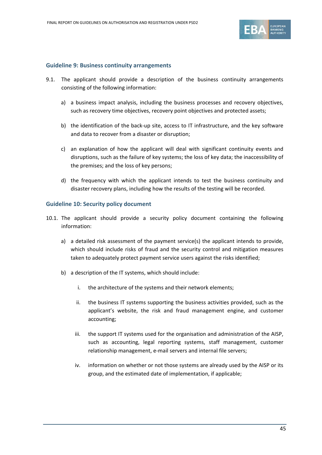

#### **Guideline 9: Business continuity arrangements**

- 9.1. The applicant should provide a description of the business continuity arrangements consisting of the following information:
	- a) a business impact analysis, including the business processes and recovery objectives, such as recovery time objectives, recovery point objectives and protected assets;
	- b) the identification of the back-up site, access to IT infrastructure, and the key software and data to recover from a disaster or disruption;
	- c) an explanation of how the applicant will deal with significant continuity events and disruptions, such as the failure of key systems; the loss of key data; the inaccessibility of the premises; and the loss of key persons;
	- d) the frequency with which the applicant intends to test the business continuity and disaster recovery plans, including how the results of the testing will be recorded.

#### **Guideline 10: Security policy document**

- 10.1. The applicant should provide a security policy document containing the following information:
	- a) a detailed risk assessment of the payment service(s) the applicant intends to provide, which should include risks of fraud and the security control and mitigation measures taken to adequately protect payment service users against the risks identified;
	- b) a description of the IT systems, which should include:
		- i. the architecture of the systems and their network elements;
		- ii. the business IT systems supporting the business activities provided, such as the applicant's website, the risk and fraud management engine, and customer accounting;
		- iii. the support IT systems used for the organisation and administration of the AISP, such as accounting, legal reporting systems, staff management, customer relationship management, e-mail servers and internal file servers;
		- iv. information on whether or not those systems are already used by the AISP or its group, and the estimated date of implementation, if applicable;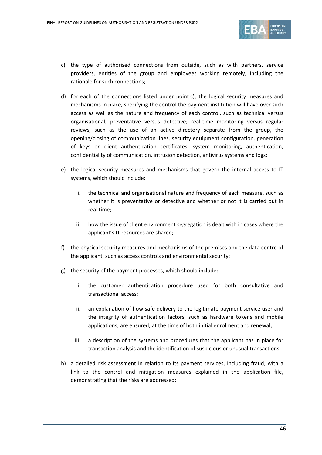

- c) the type of authorised connections from outside, such as with partners, service providers, entities of the group and employees working remotely, including the rationale for such connections;
- d) for each of the connections listed under point c), the logical security measures and mechanisms in place, specifying the control the payment institution will have over such access as well as the nature and frequency of each control, such as technical versus organisational; preventative versus detective; real-time monitoring versus regular reviews, such as the use of an active directory separate from the group, the opening/closing of communication lines, security equipment configuration, generation of keys or client authentication certificates, system monitoring, authentication, confidentiality of communication, intrusion detection, antivirus systems and logs;
- e) the logical security measures and mechanisms that govern the internal access to IT systems, which should include:
	- i. the technical and organisational nature and frequency of each measure, such as whether it is preventative or detective and whether or not it is carried out in real time;
	- ii. how the issue of client environment segregation is dealt with in cases where the applicant's IT resources are shared;
- f) the physical security measures and mechanisms of the premises and the data centre of the applicant, such as access controls and environmental security;
- g) the security of the payment processes, which should include:
	- i. the customer authentication procedure used for both consultative and transactional access;
	- ii. an explanation of how safe delivery to the legitimate payment service user and the integrity of authentication factors, such as hardware tokens and mobile applications, are ensured, at the time of both initial enrolment and renewal;
	- iii. a description of the systems and procedures that the applicant has in place for transaction analysis and the identification of suspicious or unusual transactions.
- h) a detailed risk assessment in relation to its payment services, including fraud, with a link to the control and mitigation measures explained in the application file, demonstrating that the risks are addressed;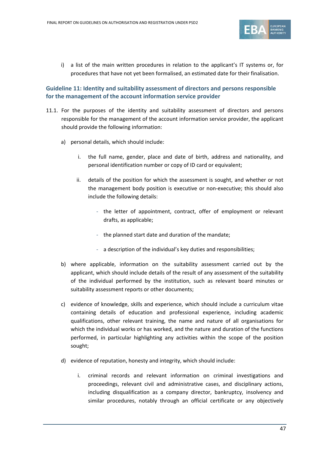

i) a list of the main written procedures in relation to the applicant's IT systems or, for procedures that have not yet been formalised, an estimated date for their finalisation.

# **Guideline 11: Identity and suitability assessment of directors and persons responsible for the management of the account information service provider**

- 11.1. For the purposes of the identity and suitability assessment of directors and persons responsible for the management of the account information service provider, the applicant should provide the following information:
	- a) personal details, which should include:
		- i. the full name, gender, place and date of birth, address and nationality, and personal identification number or copy of ID card or equivalent;
		- ii. details of the position for which the assessment is sought, and whether or not the management body position is executive or non-executive; this should also include the following details:
			- the letter of appointment, contract, offer of employment or relevant drafts, as applicable;
			- the planned start date and duration of the mandate;
			- a description of the individual's key duties and responsibilities;
	- b) where applicable, information on the suitability assessment carried out by the applicant, which should include details of the result of any assessment of the suitability of the individual performed by the institution, such as relevant board minutes or suitability assessment reports or other documents;
	- c) evidence of knowledge, skills and experience, which should include a curriculum vitae containing details of education and professional experience, including academic qualifications, other relevant training, the name and nature of all organisations for which the individual works or has worked, and the nature and duration of the functions performed, in particular highlighting any activities within the scope of the position sought;
	- d) evidence of reputation, honesty and integrity, which should include:
		- i. criminal records and relevant information on criminal investigations and proceedings, relevant civil and administrative cases, and disciplinary actions, including disqualification as a company director, bankruptcy, insolvency and similar procedures, notably through an official certificate or any objectively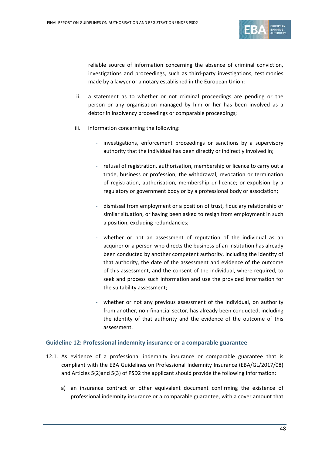

reliable source of information concerning the absence of criminal conviction, investigations and proceedings, such as third-party investigations, testimonies made by a lawyer or a notary established in the European Union;

- ii. a statement as to whether or not criminal proceedings are pending or the person or any organisation managed by him or her has been involved as a debtor in insolvency proceedings or comparable proceedings;
- iii. information concerning the following:
	- investigations, enforcement proceedings or sanctions by a supervisory authority that the individual has been directly or indirectly involved in;
	- refusal of registration, authorisation, membership or licence to carry out a trade, business or profession; the withdrawal, revocation or termination of registration, authorisation, membership or licence; or expulsion by a regulatory or government body or by a professional body or association;
	- dismissal from employment or a position of trust, fiduciary relationship or similar situation, or having been asked to resign from employment in such a position, excluding redundancies;
	- whether or not an assessment of reputation of the individual as an acquirer or a person who directs the business of an institution has already been conducted by another competent authority, including the identity of that authority, the date of the assessment and evidence of the outcome of this assessment, and the consent of the individual, where required, to seek and process such information and use the provided information for the suitability assessment;
	- whether or not any previous assessment of the individual, on authority from another, non-financial sector, has already been conducted, including the identity of that authority and the evidence of the outcome of this assessment.

#### **Guideline 12: Professional indemnity insurance or a comparable guarantee**

- 12.1. As evidence of a professional indemnity insurance or comparable guarantee that is compliant with the EBA Guidelines on Professional Indemnity Insurance (EBA/GL/2017/08) and Articles 5(2)and 5(3) of PSD2 the applicant should provide the following information:
	- a) an insurance contract or other equivalent document confirming the existence of professional indemnity insurance or a comparable guarantee, with a cover amount that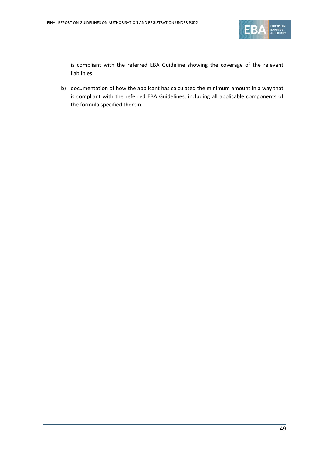

is compliant with the referred EBA Guideline showing the coverage of the relevant liabilities;

b) documentation of how the applicant has calculated the minimum amount in a way that is compliant with the referred EBA Guidelines, including all applicable components of the formula specified therein.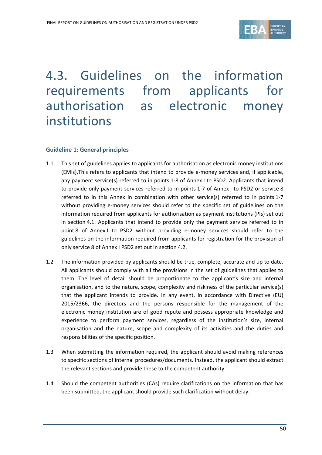

# 4.3. Guidelines on the information requirements from applicants for authorisation as electronic money institutions

#### **Guideline 1: General principles**

- 1.1 This set of guidelines applies to applicants for authorisation as electronic money institutions (EMIs).This refers to applicants that intend to provide e-money services and, if applicable, any payment service(s) referred to in points 1-8 of Annex I to PSD2. Applicants that intend to provide only payment services referred to in points 1-7 of Annex I to PSD2 or service 8 referred to in this Annex in combination with other service(s) referred to in points 1-7 without providing e-money services should refer to the specific set of guidelines on the information required from applicants for authorisation as payment institutions (PIs) set out in section 4.1. Applicants that intend to provide only the payment service referred to in point 8 of Annex I to PSD2 without providing e-money services should refer to the guidelines on the information required from applicants for registration for the provision of only service 8 of Annex I PSD2 set out in section 4.2.
- 1.2 The information provided by applicants should be true, complete, accurate and up to date. All applicants should comply with all the provisions in the set of guidelines that applies to them. The level of detail should be proportionate to the applicant's size and internal organisation, and to the nature, scope, complexity and riskiness of the particular service(s) that the applicant intends to provide. In any event, in accordance with Directive (EU) 2015/2366, the directors and the persons responsible for the management of the electronic money institution are of good repute and possess appropriate knowledge and experience to perform payment services, regardless of the institution's size, internal organisation and the nature, scope and complexity of its activities and the duties and responsibilities of the specific position.
- 1.3 When submitting the information required, the applicant should avoid making references to specific sections of internal procedures/documents. Instead, the applicant should extract the relevant sections and provide these to the competent authority.
- 1.4 Should the competent authorities (CAs) require clarifications on the information that has been submitted, the applicant should provide such clarification without delay.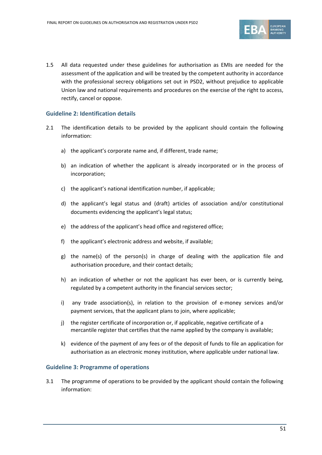

1.5 All data requested under these guidelines for authorisation as EMIs are needed for the assessment of the application and will be treated by the competent authority in accordance with the professional secrecy obligations set out in PSD2, without prejudice to applicable Union law and national requirements and procedures on the exercise of the right to access, rectify, cancel or oppose.

#### **Guideline 2: Identification details**

- 2.1 The identification details to be provided by the applicant should contain the following information:
	- a) the applicant's corporate name and, if different, trade name;
	- b) an indication of whether the applicant is already incorporated or in the process of incorporation;
	- c) the applicant's national identification number, if applicable;
	- d) the applicant's legal status and (draft) articles of association and/or constitutional documents evidencing the applicant's legal status;
	- e) the address of the applicant's head office and registered office;
	- f) the applicant's electronic address and website, if available;
	- g) the name(s) of the person(s) in charge of dealing with the application file and authorisation procedure, and their contact details;
	- h) an indication of whether or not the applicant has ever been, or is currently being, regulated by a competent authority in the financial services sector;
	- i) any trade association(s), in relation to the provision of e-money services and/or payment services, that the applicant plans to join, where applicable;
	- j) the register certificate of incorporation or, if applicable, negative certificate of a mercantile register that certifies that the name applied by the company is available;
	- k) evidence of the payment of any fees or of the deposit of funds to file an application for authorisation as an electronic money institution, where applicable under national law.

#### **Guideline 3: Programme of operations**

3.1 The programme of operations to be provided by the applicant should contain the following information: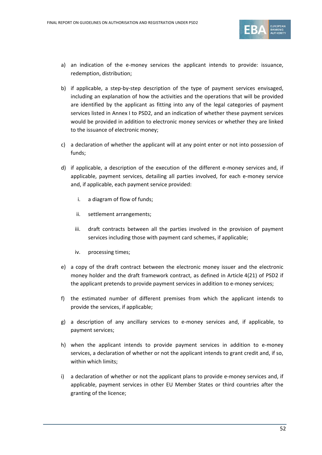

- a) an indication of the e-money services the applicant intends to provide: issuance, redemption, distribution;
- b) if applicable, a step-by-step description of the type of payment services envisaged, including an explanation of how the activities and the operations that will be provided are identified by the applicant as fitting into any of the legal categories of payment services listed in Annex I to PSD2, and an indication of whether these payment services would be provided in addition to electronic money services or whether they are linked to the issuance of electronic money;
- c) a declaration of whether the applicant will at any point enter or not into possession of funds;
- d) if applicable, a description of the execution of the different e-money services and, if applicable, payment services, detailing all parties involved, for each e-money service and, if applicable, each payment service provided:
	- i. a diagram of flow of funds;
	- ii. settlement arrangements;
	- iii. draft contracts between all the parties involved in the provision of payment services including those with payment card schemes, if applicable;
	- iv. processing times;
- e) a copy of the draft contract between the electronic money issuer and the electronic money holder and the draft framework contract, as defined in Article 4(21) of PSD2 if the applicant pretends to provide payment services in addition to e-money services;
- f) the estimated number of different premises from which the applicant intends to provide the services, if applicable;
- g) a description of any ancillary services to e-money services and, if applicable, to payment services;
- h) when the applicant intends to provide payment services in addition to e-money services, a declaration of whether or not the applicant intends to grant credit and, if so, within which limits;
- i) a declaration of whether or not the applicant plans to provide e-money services and, if applicable, payment services in other EU Member States or third countries after the granting of the licence;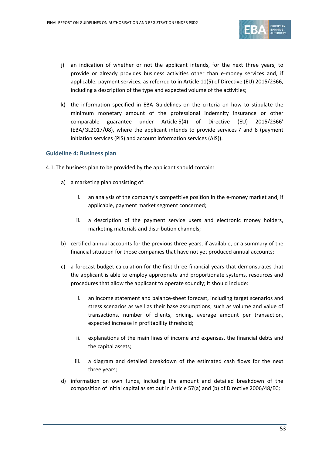

- j) an indication of whether or not the applicant intends, for the next three years, to provide or already provides business activities other than e-money services and, if applicable, payment services, as referred to in Article 11(5) of Directive (EU) 2015/2366, including a description of the type and expected volume of the activities;
- k) the information specified in EBA Guidelines on the criteria on how to stipulate the minimum monetary amount of the professional indemnity insurance or other comparable guarantee under Article 5(4) of Directive (EU) 2015/2366' (EBA/GL2017/08), where the applicant intends to provide services 7 and 8 (payment initiation services (PIS) and account information services (AIS)).

#### **Guideline 4: Business plan**

- 4.1.The business plan to be provided by the applicant should contain:
	- a) a marketing plan consisting of:
		- i. an analysis of the company's competitive position in the e-money market and, if applicable, payment market segment concerned;
		- ii. a description of the payment service users and electronic money holders, marketing materials and distribution channels;
	- b) certified annual accounts for the previous three years, if available, or a summary of the financial situation for those companies that have not yet produced annual accounts;
	- c) a forecast budget calculation for the first three financial years that demonstrates that the applicant is able to employ appropriate and proportionate systems, resources and procedures that allow the applicant to operate soundly; it should include:
		- i. an income statement and balance-sheet forecast, including target scenarios and stress scenarios as well as their base assumptions, such as volume and value of transactions, number of clients, pricing, average amount per transaction, expected increase in profitability threshold;
		- ii. explanations of the main lines of income and expenses, the financial debts and the capital assets;
		- iii. a diagram and detailed breakdown of the estimated cash flows for the next three years;
	- d) information on own funds, including the amount and detailed breakdown of the composition of initial capital as set out in Article 57(a) and (b) of Directive 2006/48/EC;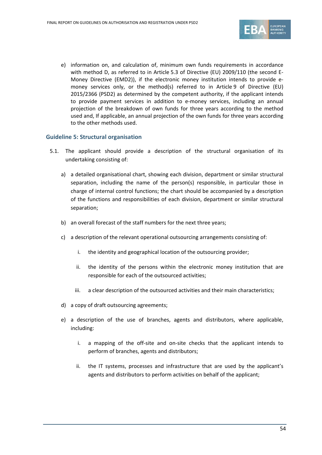

e) information on, and calculation of, minimum own funds requirements in accordance with method D, as referred to in Article 5.3 of Directive (EU) 2009/110 (the second E-Money Directive (EMD2)), if the electronic money institution intends to provide emoney services only, or the method(s) referred to in Article 9 of Directive (EU) 2015/2366 (PSD2) as determined by the competent authority, if the applicant intends to provide payment services in addition to e-money services, including an annual projection of the breakdown of own funds for three years according to the method used and, If applicable, an annual projection of the own funds for three years according to the other methods used.

#### **Guideline 5: Structural organisation**

- 5.1. The applicant should provide a description of the structural organisation of its undertaking consisting of:
	- a) a detailed organisational chart, showing each division, department or similar structural separation, including the name of the person(s) responsible, in particular those in charge of internal control functions; the chart should be accompanied by a description of the functions and responsibilities of each division, department or similar structural separation;
	- b) an overall forecast of the staff numbers for the next three years;
	- c) a description of the relevant operational outsourcing arrangements consisting of:
		- i. the identity and geographical location of the outsourcing provider;
		- ii. the identity of the persons within the electronic money institution that are responsible for each of the outsourced activities;
		- iii. a clear description of the outsourced activities and their main characteristics;
	- d) a copy of draft outsourcing agreements;
	- e) a description of the use of branches, agents and distributors, where applicable, including:
		- i. a mapping of the off-site and on-site checks that the applicant intends to perform of branches, agents and distributors;
		- ii. the IT systems, processes and infrastructure that are used by the applicant's agents and distributors to perform activities on behalf of the applicant;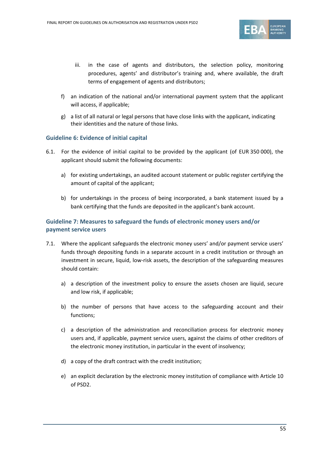

- iii. in the case of agents and distributors, the selection policy, monitoring procedures, agents' and distributor's training and, where available, the draft terms of engagement of agents and distributors;
- f) an indication of the national and/or international payment system that the applicant will access, if applicable;
- g) a list of all natural or legal persons that have close links with the applicant, indicating their identities and the nature of those links.

#### **Guideline 6: Evidence of initial capital**

- 6.1. For the evidence of initial capital to be provided by the applicant (of EUR 350 000), the applicant should submit the following documents:
	- a) for existing undertakings, an audited account statement or public register certifying the amount of capital of the applicant;
	- b) for undertakings in the process of being incorporated, a bank statement issued by a bank certifying that the funds are deposited in the applicant's bank account.

# **Guideline 7: Measures to safeguard the funds of electronic money users and/or payment service users**

- 7.1. Where the applicant safeguards the electronic money users' and/or payment service users' funds through depositing funds in a separate account in a credit institution or through an investment in secure, liquid, low-risk assets, the description of the safeguarding measures should contain:
	- a) a description of the investment policy to ensure the assets chosen are liquid, secure and low risk, if applicable;
	- b) the number of persons that have access to the safeguarding account and their functions;
	- c) a description of the administration and reconciliation process for electronic money users and, if applicable, payment service users, against the claims of other creditors of the electronic money institution, in particular in the event of insolvency;
	- d) a copy of the draft contract with the credit institution;
	- e) an explicit declaration by the electronic money institution of compliance with Article 10 of PSD2.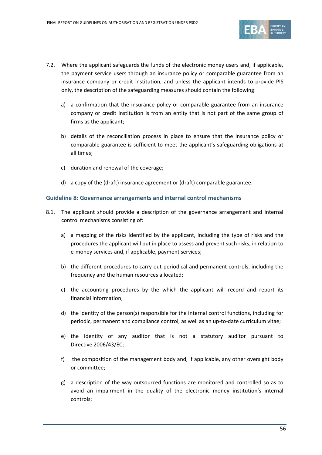

- 7.2. Where the applicant safeguards the funds of the electronic money users and, if applicable, the payment service users through an insurance policy or comparable guarantee from an insurance company or credit institution, and unless the applicant intends to provide PIS only, the description of the safeguarding measures should contain the following:
	- a) a confirmation that the insurance policy or comparable guarantee from an insurance company or credit institution is from an entity that is not part of the same group of firms as the applicant;
	- b) details of the reconciliation process in place to ensure that the insurance policy or comparable guarantee is sufficient to meet the applicant's safeguarding obligations at all times;
	- c) duration and renewal of the coverage;
	- d) a copy of the (draft) insurance agreement or (draft) comparable guarantee.

#### **Guideline 8: Governance arrangements and internal control mechanisms**

- 8.1. The applicant should provide a description of the governance arrangement and internal control mechanisms consisting of:
	- a) a mapping of the risks identified by the applicant, including the type of risks and the procedures the applicant will put in place to assess and prevent such risks, in relation to e-money services and, if applicable, payment services;
	- b) the different procedures to carry out periodical and permanent controls, including the frequency and the human resources allocated;
	- c) the accounting procedures by the which the applicant will record and report its financial information;
	- d) the identity of the person(s) responsible for the internal control functions, including for periodic, permanent and compliance control, as well as an up-to-date curriculum vitae;
	- e) the identity of any auditor that is not a statutory auditor pursuant to Directive 2006/43/EC;
	- f) the composition of the management body and, if applicable, any other oversight body or committee;
	- g) a description of the way outsourced functions are monitored and controlled so as to avoid an impairment in the quality of the electronic money institution's internal controls;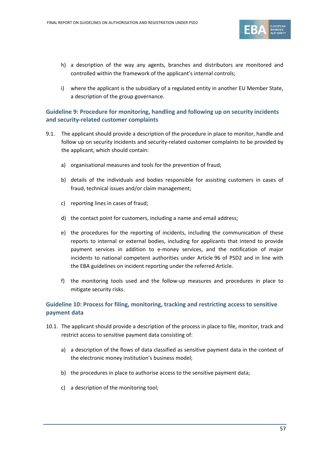

- h) a description of the way any agents, branches and distributors are monitored and controlled within the framework of the applicant's internal controls;
- i) where the applicant is the subsidiary of a regulated entity in another EU Member State, a description of the group governance.

## **Guideline 9: Procedure for monitoring, handling and following up on security incidents and security-related customer complaints**

- 9.1. The applicant should provide a description of the procedure in place to monitor, handle and follow up on security incidents and security-related customer complaints to be provided by the applicant, which should contain:
	- a) organisational measures and tools for the prevention of fraud;
	- b) details of the individuals and bodies responsible for assisting customers in cases of fraud, technical issues and/or claim management;
	- c) reporting lines in cases of fraud;
	- d) the contact point for customers, including a name and email address;
	- e) the procedures for the reporting of incidents, including the communication of these reports to internal or external bodies, including for applicants that intend to provide payment services in addition to e-money services, and the notification of major incidents to national competent authorities under Article 96 of PSD2 and in line with the EBA guidelines on incident reporting under the referred Article.
	- f) the monitoring tools used and the follow-up measures and procedures in place to mitigate security risks.

# **Guideline 10: Process for filing, monitoring, tracking and restricting access to sensitive payment data**

- 10.1. The applicant should provide a description of the process in place to file, monitor, track and restrict access to sensitive payment data consisting of:
	- a) a description of the flows of data classified as sensitive payment data in the context of the electronic money institution's business model;
	- b) the procedures in place to authorise access to the sensitive payment data;
	- c) a description of the monitoring tool;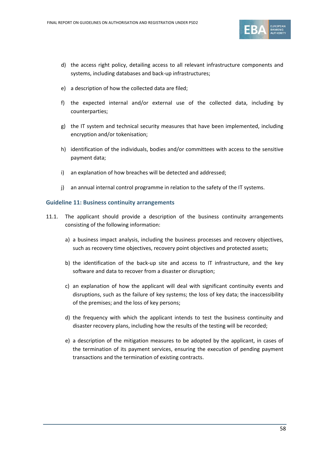

- d) the access right policy, detailing access to all relevant infrastructure components and systems, including databases and back-up infrastructures;
- e) a description of how the collected data are filed;
- f) the expected internal and/or external use of the collected data, including by counterparties;
- g) the IT system and technical security measures that have been implemented, including encryption and/or tokenisation;
- h) identification of the individuals, bodies and/or committees with access to the sensitive payment data;
- i) an explanation of how breaches will be detected and addressed;
- j) an annual internal control programme in relation to the safety of the IT systems.

#### **Guideline 11: Business continuity arrangements**

- 11.1. The applicant should provide a description of the business continuity arrangements consisting of the following information:
	- a) a business impact analysis, including the business processes and recovery objectives, such as recovery time objectives, recovery point objectives and protected assets;
	- b) the identification of the back-up site and access to IT infrastructure, and the key software and data to recover from a disaster or disruption;
	- c) an explanation of how the applicant will deal with significant continuity events and disruptions, such as the failure of key systems; the loss of key data; the inaccessibility of the premises; and the loss of key persons;
	- d) the frequency with which the applicant intends to test the business continuity and disaster recovery plans, including how the results of the testing will be recorded;
	- e) a description of the mitigation measures to be adopted by the applicant, in cases of the termination of its payment services, ensuring the execution of pending payment transactions and the termination of existing contracts.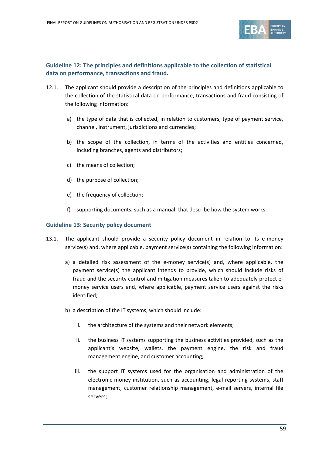

# **Guideline 12: The principles and definitions applicable to the collection of statistical data on performance, transactions and fraud.**

- 12.1. The applicant should provide a description of the principles and definitions applicable to the collection of the statistical data on performance, transactions and fraud consisting of the following information:
	- a) the type of data that is collected, in relation to customers, type of payment service, channel, instrument, jurisdictions and currencies;
	- b) the scope of the collection, in terms of the activities and entities concerned, including branches, agents and distributors;
	- c) the means of collection;
	- d) the purpose of collection;
	- e) the frequency of collection;
	- f) supporting documents, such as a manual, that describe how the system works.

#### **Guideline 13: Security policy document**

- 13.1. The applicant should provide a security policy document in relation to its e-money service(s) and, where applicable, payment service(s) containing the following information:
	- a) a detailed risk assessment of the e-money service(s) and, where applicable, the payment service(s) the applicant intends to provide, which should include risks of fraud and the security control and mitigation measures taken to adequately protect emoney service users and, where applicable, payment service users against the risks identified;
	- b) a description of the IT systems, which should include:
		- i. the architecture of the systems and their network elements;
		- ii. the business IT systems supporting the business activities provided, such as the applicant's website, wallets, the payment engine, the risk and fraud management engine, and customer accounting;
		- iii. the support IT systems used for the organisation and administration of the electronic money institution, such as accounting, legal reporting systems, staff management, customer relationship management, e-mail servers, internal file servers;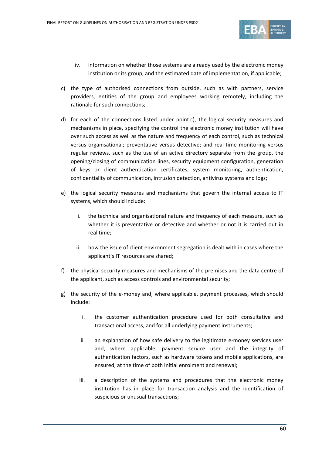

- iv. information on whether those systems are already used by the electronic money institution or its group, and the estimated date of implementation, if applicable;
- c) the type of authorised connections from outside, such as with partners, service providers, entities of the group and employees working remotely, including the rationale for such connections;
- d) for each of the connections listed under point c), the logical security measures and mechanisms in place, specifying the control the electronic money institution will have over such access as well as the nature and frequency of each control, such as technical versus organisational; preventative versus detective; and real-time monitoring versus regular reviews, such as the use of an active directory separate from the group, the opening/closing of communication lines, security equipment configuration, generation of keys or client authentication certificates, system monitoring, authentication, confidentiality of communication, intrusion detection, antivirus systems and logs;
- e) the logical security measures and mechanisms that govern the internal access to IT systems, which should include:
	- i. the technical and organisational nature and frequency of each measure, such as whether it is preventative or detective and whether or not it is carried out in real time;
	- ii. how the issue of client environment segregation is dealt with in cases where the applicant's IT resources are shared;
- f) the physical security measures and mechanisms of the premises and the data centre of the applicant, such as access controls and environmental security;
- g) the security of the e-money and, where applicable, payment processes, which should include:
	- i. the customer authentication procedure used for both consultative and transactional access, and for all underlying payment instruments;
	- ii. an explanation of how safe delivery to the legitimate e-money services user and, where applicable, payment service user and the integrity of authentication factors, such as hardware tokens and mobile applications, are ensured, at the time of both initial enrolment and renewal;
	- iii. a description of the systems and procedures that the electronic money institution has in place for transaction analysis and the identification of suspicious or unusual transactions;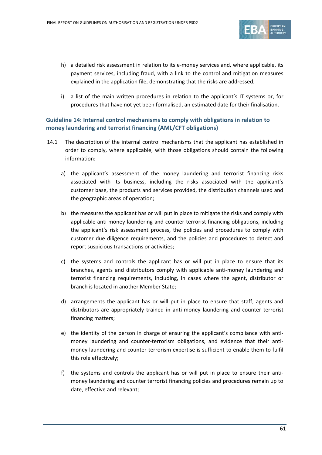

- h) a detailed risk assessment in relation to its e-money services and, where applicable, its payment services, including fraud, with a link to the control and mitigation measures explained in the application file, demonstrating that the risks are addressed;
- i) a list of the main written procedures in relation to the applicant's IT systems or, for procedures that have not yet been formalised, an estimated date for their finalisation.

# **Guideline 14: Internal control mechanisms to comply with obligations in relation to money laundering and terrorist financing (AML/CFT obligations)**

- 14.1 The description of the internal control mechanisms that the applicant has established in order to comply, where applicable, with those obligations should contain the following information:
	- a) the applicant's assessment of the money laundering and terrorist financing risks associated with its business, including the risks associated with the applicant's customer base, the products and services provided, the distribution channels used and the geographic areas of operation;
	- b) the measures the applicant has or will put in place to mitigate the risks and comply with applicable anti-money laundering and counter terrorist financing obligations, including the applicant's risk assessment process, the policies and procedures to comply with customer due diligence requirements, and the policies and procedures to detect and report suspicious transactions or activities;
	- c) the systems and controls the applicant has or will put in place to ensure that its branches, agents and distributors comply with applicable anti-money laundering and terrorist financing requirements, including, in cases where the agent, distributor or branch is located in another Member State;
	- d) arrangements the applicant has or will put in place to ensure that staff, agents and distributors are appropriately trained in anti-money laundering and counter terrorist financing matters;
	- e) the identity of the person in charge of ensuring the applicant's compliance with antimoney laundering and counter-terrorism obligations, and evidence that their antimoney laundering and counter-terrorism expertise is sufficient to enable them to fulfil this role effectively;
	- f) the systems and controls the applicant has or will put in place to ensure their antimoney laundering and counter terrorist financing policies and procedures remain up to date, effective and relevant;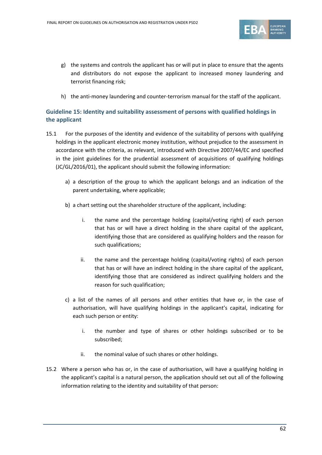

- g) the systems and controls the applicant has or will put in place to ensure that the agents and distributors do not expose the applicant to increased money laundering and terrorist financing risk;
- h) the anti-money laundering and counter-terrorism manual for the staff of the applicant.

# **Guideline 15: Identity and suitability assessment of persons with qualified holdings in the applicant**

- 15.1 For the purposes of the identity and evidence of the suitability of persons with qualifying holdings in the applicant electronic money institution, without prejudice to the assessment in accordance with the criteria, as relevant, introduced with Directive 2007/44/EC and specified in the joint guidelines for the prudential assessment of acquisitions of qualifying holdings (JC/GL/2016/01), the applicant should submit the following information:
	- a) a description of the group to which the applicant belongs and an indication of the parent undertaking, where applicable;
	- b) a chart setting out the shareholder structure of the applicant, including:
		- i. the name and the percentage holding (capital/voting right) of each person that has or will have a direct holding in the share capital of the applicant, identifying those that are considered as qualifying holders and the reason for such qualifications;
		- ii. the name and the percentage holding (capital/voting rights) of each person that has or will have an indirect holding in the share capital of the applicant, identifying those that are considered as indirect qualifying holders and the reason for such qualification;
	- c) a list of the names of all persons and other entities that have or, in the case of authorisation, will have qualifying holdings in the applicant's capital, indicating for each such person or entity:
		- i. the number and type of shares or other holdings subscribed or to be subscribed;
		- ii. the nominal value of such shares or other holdings.
- 15.2 Where a person who has or, in the case of authorisation, will have a qualifying holding in the applicant's capital is a natural person, the application should set out all of the following information relating to the identity and suitability of that person: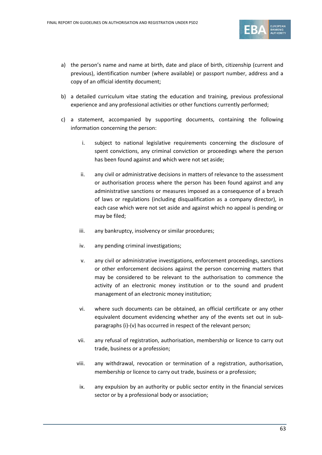

- a) the person's name and name at birth, date and place of birth, citizenship (current and previous), identification number (where available) or passport number, address and a copy of an official identity document;
- b) a detailed curriculum vitae stating the education and training, previous professional experience and any professional activities or other functions currently performed;
- c) a statement, accompanied by supporting documents, containing the following information concerning the person:
	- i. subject to national legislative requirements concerning the disclosure of spent convictions, any criminal conviction or proceedings where the person has been found against and which were not set aside;
	- ii. any civil or administrative decisions in matters of relevance to the assessment or authorisation process where the person has been found against and any administrative sanctions or measures imposed as a consequence of a breach of laws or regulations (including disqualification as a company director), in each case which were not set aside and against which no appeal is pending or may be filed;
	- iii. any bankruptcy, insolvency or similar procedures;
	- iv. any pending criminal investigations;
	- v. any civil or administrative investigations, enforcement proceedings, sanctions or other enforcement decisions against the person concerning matters that may be considered to be relevant to the authorisation to commence the activity of an electronic money institution or to the sound and prudent management of an electronic money institution;
	- vi. where such documents can be obtained, an official certificate or any other equivalent document evidencing whether any of the events set out in subparagraphs (i)-(v) has occurred in respect of the relevant person;
	- vii. any refusal of registration, authorisation, membership or licence to carry out trade, business or a profession;
	- viii. any withdrawal, revocation or termination of a registration, authorisation, membership or licence to carry out trade, business or a profession;
	- ix. any expulsion by an authority or public sector entity in the financial services sector or by a professional body or association;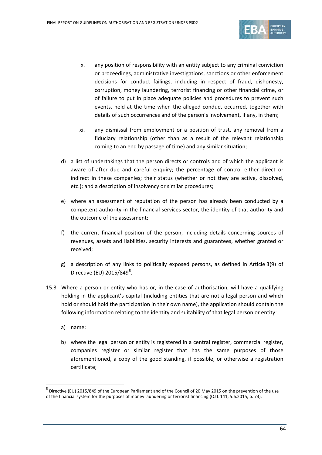

- x. any position of responsibility with an entity subject to any criminal conviction or proceedings, administrative investigations, sanctions or other enforcement decisions for conduct failings, including in respect of fraud, dishonesty, corruption, money laundering, terrorist financing or other financial crime, or of failure to put in place adequate policies and procedures to prevent such events, held at the time when the alleged conduct occurred, together with details of such occurrences and of the person's involvement, if any, in them;
- xi. any dismissal from employment or a position of trust, any removal from a fiduciary relationship (other than as a result of the relevant relationship coming to an end by passage of time) and any similar situation;
- d) a list of undertakings that the person directs or controls and of which the applicant is aware of after due and careful enquiry; the percentage of control either direct or indirect in these companies; their status (whether or not they are active, dissolved, etc.); and a description of insolvency or similar procedures;
- e) where an assessment of reputation of the person has already been conducted by a competent authority in the financial services sector, the identity of that authority and the outcome of the assessment;
- f) the current financial position of the person, including details concerning sources of revenues, assets and liabilities, security interests and guarantees, whether granted or received;
- g) a description of any links to politically exposed persons, as defined in Article 3(9) of Directive (EU) 201[5](#page-63-0)/849<sup>5</sup>.
- 15.3 Where a person or entity who has or, in the case of authorisation, will have a qualifying holding in the applicant's capital (including entities that are not a legal person and which hold or should hold the participation in their own name), the application should contain the following information relating to the identity and suitability of that legal person or entity:
	- a) name;

 $\overline{a}$ 

b) where the legal person or entity is registered in a central register, commercial register, companies register or similar register that has the same purposes of those aforementioned, a copy of the good standing, if possible, or otherwise a registration certificate;

<span id="page-63-0"></span><sup>5</sup> Directive (EU) 2015/849 of the European Parliament and of the Council of 20 May 2015 on the prevention of the use of the financial system for the purposes of money laundering or terrorist financing (OJ L 141, 5.6.2015, p. 73).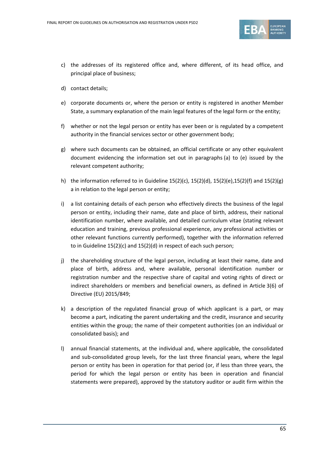

- c) the addresses of its registered office and, where different, of its head office, and principal place of business;
- d) contact details;
- e) corporate documents or, where the person or entity is registered in another Member State, a summary explanation of the main legal features of the legal form or the entity;
- f) whether or not the legal person or entity has ever been or is regulated by a competent authority in the financial services sector or other government body;
- g) where such documents can be obtained, an official certificate or any other equivalent document evidencing the information set out in paragraphs (a) to (e) issued by the relevant competent authority;
- h) the information referred to in Guideline 15(2)(c), 15(2)(d), 15(2)(e),15(2)(f) and 15(2)(g) a in relation to the legal person or entity;
- i) a list containing details of each person who effectively directs the business of the legal person or entity, including their name, date and place of birth, address, their national identification number, where available, and detailed curriculum vitae (stating relevant education and training, previous professional experience, any professional activities or other relevant functions currently performed), together with the information referred to in Guideline 15(2)(c) and 15(2)(d) in respect of each such person;
- j) the shareholding structure of the legal person, including at least their name, date and place of birth, address and, where available, personal identification number or registration number and the respective share of capital and voting rights of direct or indirect shareholders or members and beneficial owners, as defined in Article 3(6) of Directive (EU) 2015/849;
- k) a description of the regulated financial group of which applicant is a part, or may become a part, indicating the parent undertaking and the credit, insurance and security entities within the group; the name of their competent authorities (on an individual or consolidated basis); and
- l) annual financial statements, at the individual and, where applicable, the consolidated and sub-consolidated group levels, for the last three financial years, where the legal person or entity has been in operation for that period (or, if less than three years, the period for which the legal person or entity has been in operation and financial statements were prepared), approved by the statutory auditor or audit firm within the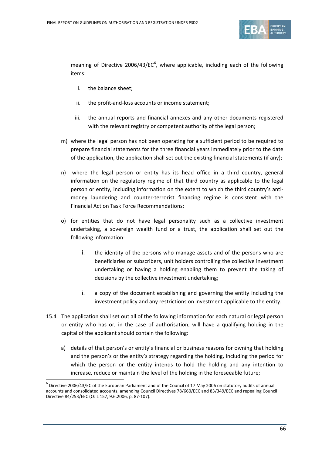

meaning of Directive 200[6](#page-65-0)/43/EC $<sup>6</sup>$ , where applicable, including each of the following</sup> items:

- i. the balance sheet;
- ii. the profit-and-loss accounts or income statement;
- iii. the annual reports and financial annexes and any other documents registered with the relevant registry or competent authority of the legal person;
- m) where the legal person has not been operating for a sufficient period to be required to prepare financial statements for the three financial years immediately prior to the date of the application, the application shall set out the existing financial statements (if any);
- n) where the legal person or entity has its head office in a third country, general information on the regulatory regime of that third country as applicable to the legal person or entity, including information on the extent to which the third country's antimoney laundering and counter-terrorist financing regime is consistent with the Financial Action Task Force Recommendations;
- o) for entities that do not have legal personality such as a collective investment undertaking, a sovereign wealth fund or a trust, the application shall set out the following information:
	- i. the identity of the persons who manage assets and of the persons who are beneficiaries or subscribers, unit holders controlling the collective investment undertaking or having a holding enabling them to prevent the taking of decisions by the collective investment undertaking;
	- ii. a copy of the document establishing and governing the entity including the investment policy and any restrictions on investment applicable to the entity.
- 15.4 The application shall set out all of the following information for each natural or legal person or entity who has or, in the case of authorisation, will have a qualifying holding in the capital of the applicant should contain the following:
	- a) details of that person's or entity's financial or business reasons for owning that holding and the person's or the entity's strategy regarding the holding, including the period for which the person or the entity intends to hold the holding and any intention to increase, reduce or maintain the level of the holding in the foreseeable future;

<span id="page-65-0"></span> $^6$  Directive 2006/43/EC of the European Parliament and of the Council of 17 May 2006 on statutory audits of annual accounts and consolidated accounts, amending Council Directives 78/660/EEC and 83/349/EEC and repealing Council Directive 84/253/EEC (OJ L 157, 9.6.2006, p. 87-107).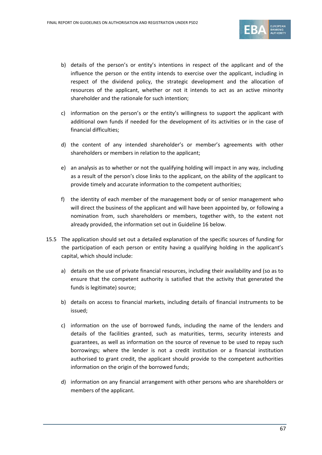

- b) details of the person's or entity's intentions in respect of the applicant and of the influence the person or the entity intends to exercise over the applicant, including in respect of the dividend policy, the strategic development and the allocation of resources of the applicant, whether or not it intends to act as an active minority shareholder and the rationale for such intention;
- c) information on the person's or the entity's willingness to support the applicant with additional own funds if needed for the development of its activities or in the case of financial difficulties;
- d) the content of any intended shareholder's or member's agreements with other shareholders or members in relation to the applicant;
- e) an analysis as to whether or not the qualifying holding will impact in any way, including as a result of the person's close links to the applicant, on the ability of the applicant to provide timely and accurate information to the competent authorities;
- f) the identity of each member of the management body or of senior management who will direct the business of the applicant and will have been appointed by, or following a nomination from, such shareholders or members, together with, to the extent not already provided, the information set out in Guideline 16 below.
- 15.5 The application should set out a detailed explanation of the specific sources of funding for the participation of each person or entity having a qualifying holding in the applicant's capital, which should include:
	- a) details on the use of private financial resources, including their availability and (so as to ensure that the competent authority is satisfied that the activity that generated the funds is legitimate) source;
	- b) details on access to financial markets, including details of financial instruments to be issued;
	- c) information on the use of borrowed funds, including the name of the lenders and details of the facilities granted, such as maturities, terms, security interests and guarantees, as well as information on the source of revenue to be used to repay such borrowings; where the lender is not a credit institution or a financial institution authorised to grant credit, the applicant should provide to the competent authorities information on the origin of the borrowed funds;
	- d) information on any financial arrangement with other persons who are shareholders or members of the applicant.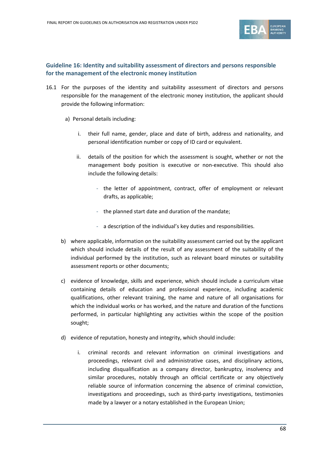

# **Guideline 16: Identity and suitability assessment of directors and persons responsible for the management of the electronic money institution**

- 16.1 For the purposes of the identity and suitability assessment of directors and persons responsible for the management of the electronic money institution, the applicant should provide the following information:
	- a) Personal details including:
		- i. their full name, gender, place and date of birth, address and nationality, and personal identification number or copy of ID card or equivalent.
		- ii. details of the position for which the assessment is sought, whether or not the management body position is executive or non-executive. This should also include the following details:
			- the letter of appointment, contract, offer of employment or relevant drafts, as applicable;
			- the planned start date and duration of the mandate;
			- a description of the individual's key duties and responsibilities.
	- b) where applicable, information on the suitability assessment carried out by the applicant which should include details of the result of any assessment of the suitability of the individual performed by the institution, such as relevant board minutes or suitability assessment reports or other documents;
	- c) evidence of knowledge, skills and experience, which should include a curriculum vitae containing details of education and professional experience, including academic qualifications, other relevant training, the name and nature of all organisations for which the individual works or has worked, and the nature and duration of the functions performed, in particular highlighting any activities within the scope of the position sought;
	- d) evidence of reputation, honesty and integrity, which should include:
		- i. criminal records and relevant information on criminal investigations and proceedings, relevant civil and administrative cases, and disciplinary actions, including disqualification as a company director, bankruptcy, insolvency and similar procedures, notably through an official certificate or any objectively reliable source of information concerning the absence of criminal conviction, investigations and proceedings, such as third-party investigations, testimonies made by a lawyer or a notary established in the European Union;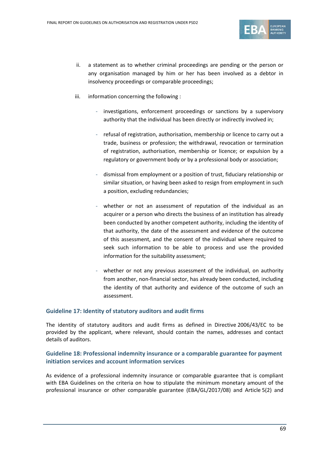

- ii. a statement as to whether criminal proceedings are pending or the person or any organisation managed by him or her has been involved as a debtor in insolvency proceedings or comparable proceedings;
- iii. information concerning the following :
	- investigations, enforcement proceedings or sanctions by a supervisory authority that the individual has been directly or indirectly involved in;
	- refusal of registration, authorisation, membership or licence to carry out a trade, business or profession; the withdrawal, revocation or termination of registration, authorisation, membership or licence; or expulsion by a regulatory or government body or by a professional body or association;
	- dismissal from employment or a position of trust, fiduciary relationship or similar situation, or having been asked to resign from employment in such a position, excluding redundancies;
	- whether or not an assessment of reputation of the individual as an acquirer or a person who directs the business of an institution has already been conducted by another competent authority, including the identity of that authority, the date of the assessment and evidence of the outcome of this assessment, and the consent of the individual where required to seek such information to be able to process and use the provided information for the suitability assessment;
	- whether or not any previous assessment of the individual, on authority from another, non-financial sector, has already been conducted, including the identity of that authority and evidence of the outcome of such an assessment.

#### **Guideline 17: Identity of statutory auditors and audit firms**

The identity of statutory auditors and audit firms as defined in Directive 2006/43/EC to be provided by the applicant, where relevant, should contain the names, addresses and contact details of auditors.

## **Guideline 18: Professional indemnity insurance or a comparable guarantee for payment initiation services and account information services**

As evidence of a professional indemnity insurance or comparable guarantee that is compliant with EBA Guidelines on the criteria on how to stipulate the minimum monetary amount of the professional insurance or other comparable guarantee (EBA/GL/2017/08) and Article 5(2) and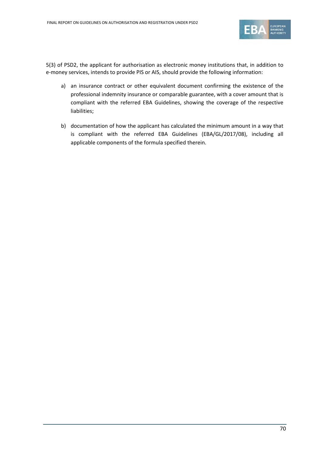

5(3) of PSD2, the applicant for authorisation as electronic money institutions that, in addition to e-money services, intends to provide PIS or AIS, should provide the following information:

- a) an insurance contract or other equivalent document confirming the existence of the professional indemnity insurance or comparable guarantee, with a cover amount that is compliant with the referred EBA Guidelines, showing the coverage of the respective liabilities;
- b) documentation of how the applicant has calculated the minimum amount in a way that is compliant with the referred EBA Guidelines (EBA/GL/2017/08), including all applicable components of the formula specified therein.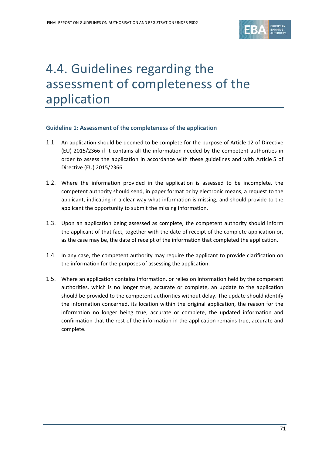

# 4.4. Guidelines regarding the assessment of completeness of the application

#### **Guideline 1: Assessment of the completeness of the application**

- 1.1. An application should be deemed to be complete for the purpose of Article 12 of Directive (EU) 2015/2366 if it contains all the information needed by the competent authorities in order to assess the application in accordance with these guidelines and with Article 5 of Directive (EU) 2015/2366.
- 1.2. Where the information provided in the application is assessed to be incomplete, the competent authority should send, in paper format or by electronic means, a request to the applicant, indicating in a clear way what information is missing, and should provide to the applicant the opportunity to submit the missing information.
- 1.3. Upon an application being assessed as complete, the competent authority should inform the applicant of that fact, together with the date of receipt of the complete application or, as the case may be, the date of receipt of the information that completed the application.
- 1.4. In any case, the competent authority may require the applicant to provide clarification on the information for the purposes of assessing the application.
- 1.5. Where an application contains information, or relies on information held by the competent authorities, which is no longer true, accurate or complete, an update to the application should be provided to the competent authorities without delay. The update should identify the information concerned, its location within the original application, the reason for the information no longer being true, accurate or complete, the updated information and confirmation that the rest of the information in the application remains true, accurate and complete.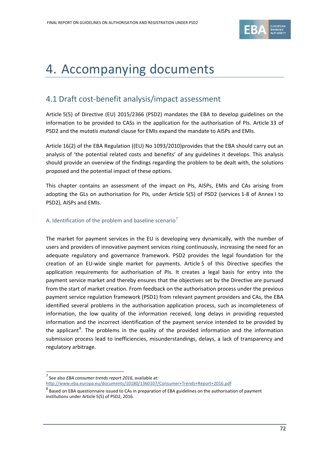

# 4. Accompanying documents

# 4.1 Draft cost-benefit analysis/impact assessment

Article 5(5) of Directive (EU) 2015/2366 (PSD2) mandates the EBA to develop guidelines on the information to be provided to CASs in the application for the authorisation of PIs. Article 33 of PSD2 and the *mutatis mutandi* clause for EMIs expand the mandate to AISPs and EMIs.

Article 16(2) of the EBA Regulation ((EU) No 1093/2010)provides that the EBA should carry out an analysis of 'the potential related costs and benefits' of any guidelines it develops. This analysis should provide an overview of the findings regarding the problem to be dealt with, the solutions proposed and the potential impact of these options.

This chapter contains an assessment of the impact on PIs, AISPs, EMIs and CAs arising from adopting the GLs on authorisation for PIs, under Article 5(5) of PSD2 (services 1-8 of Annex I to PSD2), AISPs and EMIs.

#### A. Identification of the problem and baseline scenario<sup>[7](#page-71-0)</sup>

The market for payment services in the EU is developing very dynamically, with the number of users and providers of innovative payment services rising continuously, increasing the need for an adequate regulatory and governance framework. PSD2 provides the legal foundation for the creation of an EU-wide single market for payments. Article 5 of this Directive specifies the application requirements for authorisation of PIs. It creates a legal basis for entry into the payment service market and thereby ensures that the objectives set by the Directive are pursued from the start of market creation. From feedback on the authorisation process under the previous payment service regulation framework (PSD1) from relevant payment providers and CAs, the EBA identified several problems in the authorisation application process, such as incompleteness of information, the low quality of the information received, long delays in providing requested information and the incorrect identification of the payment service intended to be provided by the applicant<sup>[8](#page-71-1)</sup>. The problems in the quality of the provided information and the information submission process lead to inefficiencies, misunderstandings, delays, a lack of transparency and regulatory arbitrage.

 $\overline{a}$ 

<span id="page-71-0"></span><sup>7</sup> See also *EBA consumer trends report 2016*, available at: <http://www.eba.europa.eu/documents/10180/1360107/Consumer+Trends+Report+2016.pdf>

<span id="page-71-1"></span> $8$  Based on EBA questionnaire issued to CAs in preparation of EBA guidelines on the authorisation of payment institutions under Article 5(5) of PSD2, 2016.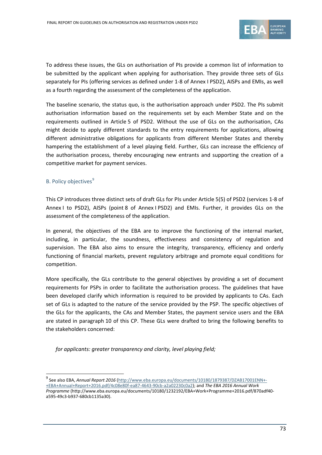

To address these issues, the GLs on authorisation of PIs provide a common list of information to be submitted by the applicant when applying for authorisation. They provide three sets of GLs separately for PIs (offering services as defined under 1-8 of Annex I PSD2), AISPs and EMIs, as well as a fourth regarding the assessment of the completeness of the application.

The baseline scenario, the status quo, is the authorisation approach under PSD2. The PIs submit authorisation information based on the requirements set by each Member State and on the requirements outlined in Article 5 of PSD2. Without the use of GLs on the authorisation, CAs might decide to apply different standards to the entry requirements for applications, allowing different administrative obligations for applicants from different Member States and thereby hampering the establishment of a level playing field. Further, GLs can increase the efficiency of the authorisation process, thereby encouraging new entrants and supporting the creation of a competitive market for payment services.

### B. Policy objectives<sup>[9](#page-72-0)</sup>

 $\overline{a}$ 

This CP introduces three distinct sets of draft GLs for PIs under Article 5(5) of PSD2 (services 1-8 of Annex I to PSD2), AISPs (point 8 of Annex I PSD2) and EMIs. Further, it provides GLs on the assessment of the completeness of the application.

In general, the objectives of the EBA are to improve the functioning of the internal market, including, in particular, the soundness, effectiveness and consistency of regulation and supervision. The EBA also aims to ensure the integrity, transparency, efficiency and orderly functioning of financial markets, prevent regulatory arbitrage and promote equal conditions for competition.

More specifically, the GLs contribute to the general objectives by providing a set of document requirements for PSPs in order to facilitate the authorisation process. The guidelines that have been developed clarify which information is required to be provided by applicants to CAs. Each set of GLs is adapted to the nature of the service provided by the PSP. The specific objectives of the GLs for the applicants, the CAs and Member States, the payment service users and the EBA are stated in paragraph 10 of this CP. These GLs were drafted to bring the following benefits to the stakeholders concerned:

*for applicants: greater transparency and clarity, level playing field;*

<span id="page-72-0"></span><sup>9</sup> See also EBA, *Annual Report 2016* [\(http://www.eba.europa.eu/documents/10180/1879387/DZAB17001ENN+-](http://www.eba.europa.eu/documents/10180/1879387/DZAB17001ENN+-+EBA+Annual+Report+2016.pdf/4c08e80f-ea87-4643-90cb-a2a02230c0a2) [+EBA+Annual+Report+2016.pdf/4c08e80f-ea87-4643-90cb-a2a02230c0a2\)](http://www.eba.europa.eu/documents/10180/1879387/DZAB17001ENN+-+EBA+Annual+Report+2016.pdf/4c08e80f-ea87-4643-90cb-a2a02230c0a2); and *The EBA 2016 Annual Work Programme* (http://www.eba.europa.eu/documents/10180/1232192/EBA+Work+Programme+2016.pdf/870adf40 a595-49c3-b937-680cb1135a30).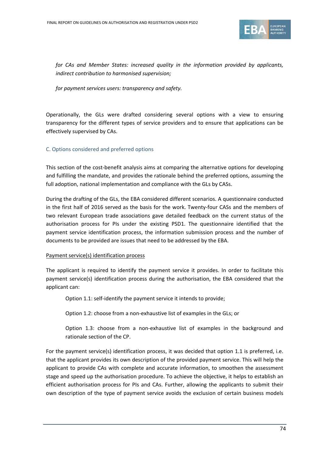

*for CAs and Member States: increased quality in the information provided by applicants, indirect contribution to harmonised supervision;*

*for payment services users: transparency and safety.*

Operationally, the GLs were drafted considering several options with a view to ensuring transparency for the different types of service providers and to ensure that applications can be effectively supervised by CAs.

### C. Options considered and preferred options

This section of the cost-benefit analysis aims at comparing the alternative options for developing and fulfilling the mandate, and provides the rationale behind the preferred options, assuming the full adoption, national implementation and compliance with the GLs by CASs.

During the drafting of the GLs, the EBA considered different scenarios. A questionnaire conducted in the first half of 2016 served as the basis for the work. Twenty-four CASs and the members of two relevant European trade associations gave detailed feedback on the current status of the authorisation process for PIs under the existing PSD1. The questionnaire identified that the payment service identification process, the information submission process and the number of documents to be provided are issues that need to be addressed by the EBA.

#### Payment service(s) identification process

The applicant is required to identify the payment service it provides. In order to facilitate this payment service(s) identification process during the authorisation, the EBA considered that the applicant can:

Option 1.1: self-identify the payment service it intends to provide;

Option 1.2: choose from a non-exhaustive list of examples in the GLs; or

Option 1.3: choose from a non-exhaustive list of examples in the background and rationale section of the CP.

For the payment service(s) identification process, it was decided that option 1.1 is preferred, i.e. that the applicant provides its own description of the provided payment service. This will help the applicant to provide CAs with complete and accurate information, to smoothen the assessment stage and speed up the authorisation procedure. To achieve the objective, it helps to establish an efficient authorisation process for PIs and CAs. Further, allowing the applicants to submit their own description of the type of payment service avoids the exclusion of certain business models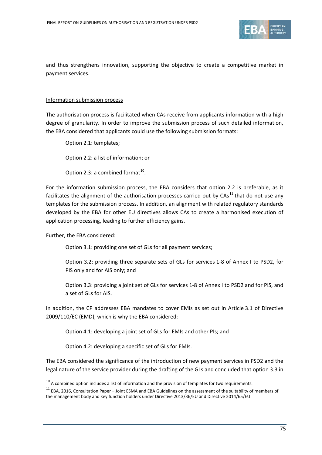

and thus strengthens innovation, supporting the objective to create a competitive market in payment services.

#### Information submission process

The authorisation process is facilitated when CAs receive from applicants information with a high degree of granularity. In order to improve the submission process of such detailed information, the EBA considered that applicants could use the following submission formats:

Option 2.1: templates;

Option 2.2: a list of information; or

Option 2.3: a combined format<sup>10</sup>.

For the information submission process, the EBA considers that option 2.2 is preferable, as it facilitates the alignment of the authorisation processes carried out by CAs<sup>[11](#page-74-1)</sup> that do not use any templates for the submission process. In addition, an alignment with related regulatory standards developed by the EBA for other EU directives allows CAs to create a harmonised execution of application processing, leading to further efficiency gains.

Further, the EBA considered:

 $\overline{a}$ 

Option 3.1: providing one set of GLs for all payment services;

Option 3.2: providing three separate sets of GLs for services 1-8 of Annex I to PSD2, for PIS only and for AIS only; and

Option 3.3: providing a joint set of GLs for services 1-8 of Annex I to PSD2 and for PIS, and a set of GLs for AIS.

In addition, the CP addresses EBA mandates to cover EMIs as set out in Article 3.1 of Directive 2009/110/EC (EMD), which is why the EBA considered:

Option 4.1: developing a joint set of GLs for EMIs and other PIs; and

Option 4.2: developing a specific set of GLs for EMIs.

The EBA considered the significance of the introduction of new payment services in PSD2 and the legal nature of the service provider during the drafting of the GLs and concluded that option 3.3 in

<span id="page-74-1"></span><span id="page-74-0"></span><sup>&</sup>lt;sup>10</sup> A combined option includes a list of information and the provision of templates for two requirements.<br><sup>11</sup> EBA, 2016, Consultation Paper – Joint ESMA and EBA Guidelines on the assessment of the suitability of members the management body and key function holders under Directive 2013/36/EU and Directive 2014/65/EU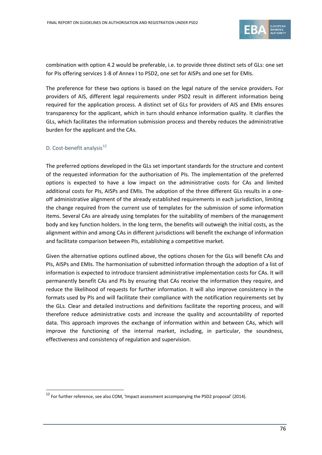

combination with option 4.2 would be preferable, i.e. to provide three distinct sets of GLs: one set for PIs offering services 1-8 of Annex I to PSD2, one set for AISPs and one set for EMIs.

The preference for these two options is based on the legal nature of the service providers. For providers of AIS, different legal requirements under PSD2 result in different information being required for the application process. A distinct set of GLs for providers of AIS and EMIs ensures transparency for the applicant, which in turn should enhance information quality. It clarifies the GLs, which facilitates the information submission process and thereby reduces the administrative burden for the applicant and the CAs.

## D. Cost-benefit analysis<sup>[12](#page-75-0)</sup>

 $\overline{a}$ 

The preferred options developed in the GLs set important standards for the structure and content of the requested information for the authorisation of PIs. The implementation of the preferred options is expected to have a low impact on the administrative costs for CAs and limited additional costs for PIs, AISPs and EMIs. The adoption of the three different GLs results in a oneoff administrative alignment of the already established requirements in each jurisdiction, limiting the change required from the current use of templates for the submission of some information items. Several CAs are already using templates for the suitability of members of the management body and key function holders. In the long term, the benefits will outweigh the initial costs, as the alignment within and among CAs in different jurisdictions will benefit the exchange of information and facilitate comparison between PIs, establishing a competitive market.

Given the alternative options outlined above, the options chosen for the GLs will benefit CAs and PIs, AISPs and EMIs. The harmonisation of submitted information through the adoption of a list of information is expected to introduce transient administrative implementation costs for CAs. It will permanently benefit CAs and PIs by ensuring that CAs receive the information they require, and reduce the likelihood of requests for further information. It will also improve consistency in the formats used by PIs and will facilitate their compliance with the notification requirements set by the GLs. Clear and detailed instructions and definitions facilitate the reporting process, and will therefore reduce administrative costs and increase the quality and accountability of reported data. This approach improves the exchange of information within and between CAs, which will improve the functioning of the internal market, including, in particular, the soundness, effectiveness and consistency of regulation and supervision.

<span id="page-75-0"></span><sup>&</sup>lt;sup>12</sup> For further reference, see also COM, 'Impact assessment accompanying the PSD2 proposal' (2014).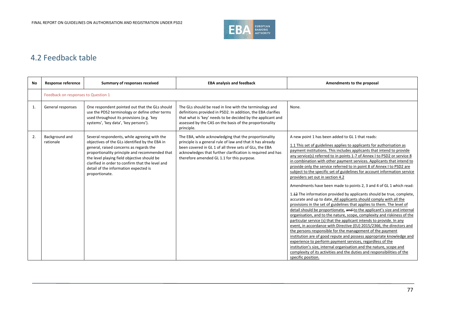

# 4.2 Feedback table

| <b>No</b> | <b>Response reference</b>           | Summary of responses received                                                                                                                                                                                                                                                                                                                             | <b>EBA analysis and feedback</b>                                                                                                                                                                                                                                                           | Amendments to the proposal                                                                                                                                                                                                                                                                                                                                                                                                                                                                                                                                                                                                                                                                                                                                                                                                                                                                                                                                                                                                                                                                                                                                                                                                                                                                                                                                                                                                                                                                                                          |  |
|-----------|-------------------------------------|-----------------------------------------------------------------------------------------------------------------------------------------------------------------------------------------------------------------------------------------------------------------------------------------------------------------------------------------------------------|--------------------------------------------------------------------------------------------------------------------------------------------------------------------------------------------------------------------------------------------------------------------------------------------|-------------------------------------------------------------------------------------------------------------------------------------------------------------------------------------------------------------------------------------------------------------------------------------------------------------------------------------------------------------------------------------------------------------------------------------------------------------------------------------------------------------------------------------------------------------------------------------------------------------------------------------------------------------------------------------------------------------------------------------------------------------------------------------------------------------------------------------------------------------------------------------------------------------------------------------------------------------------------------------------------------------------------------------------------------------------------------------------------------------------------------------------------------------------------------------------------------------------------------------------------------------------------------------------------------------------------------------------------------------------------------------------------------------------------------------------------------------------------------------------------------------------------------------|--|
|           | Feedback on responses to Question 1 |                                                                                                                                                                                                                                                                                                                                                           |                                                                                                                                                                                                                                                                                            |                                                                                                                                                                                                                                                                                                                                                                                                                                                                                                                                                                                                                                                                                                                                                                                                                                                                                                                                                                                                                                                                                                                                                                                                                                                                                                                                                                                                                                                                                                                                     |  |
| 1.        | General responses                   | One respondent pointed out that the GLs should<br>use the PDS2 terminology or define other terms<br>used throughout its provisions (e.g. 'key<br>systems', 'key data', 'key persons').                                                                                                                                                                    | The GLs should be read in line with the terminology and<br>definitions provided in PSD2. In addition, the EBA clarifies<br>that what is 'key' needs to be decided by the applicant and<br>assessed by the CAS on the basis of the proportionality<br>principle.                            | None.                                                                                                                                                                                                                                                                                                                                                                                                                                                                                                                                                                                                                                                                                                                                                                                                                                                                                                                                                                                                                                                                                                                                                                                                                                                                                                                                                                                                                                                                                                                               |  |
| 2.        | Background and<br>rationale         | Several respondents, while agreeing with the<br>objectives of the GLs identified by the EBA in<br>general, raised concerns as regards the<br>proportionality principle and recommended that<br>the level playing field objective should be<br>clarified in order to confirm that the level and<br>detail of the information expected is<br>proportionate. | The EBA, while acknowledging that the proportionality<br>principle is a general rule of law and that it has already<br>been covered in GL 1 of all three sets of GLs, the EBA<br>acknowledges that further clarification is required and has<br>therefore amended GL 1.1 for this purpose. | A new point 1 has been added to GL 1 that reads:<br>1.1 This set of guidelines applies to applicants for authorisation as<br>payment institutions. This includes applicants that intend to provide<br>any service(s) referred to in points 1-7 of Annex I to PSD2 or service 8<br>in combination with other payment services. Applicants that intend to<br>provide only the service referred to in point 8 of Annex I to PSD2 are<br>subject to the specific set of guidelines for account information service<br>providers set out in section 4.2<br>Amendments have been made to points 2, 3 and 4 of GL 1 which read:<br>1.42 The information provided by applicants should be true, complete,<br>accurate and up to date. All applicants should comply with all the<br>provisions in the set of guidelines that applies to them. The level of<br>detail should be proportionate, and to the applicant's size and internal<br>organisation, and to the nature, scope, complexity and riskiness of the<br>particular service (s) that the applicant intends to provide. In any<br>event, in accordance with Directive (EU) 2015/2366, the directors and<br>the persons responsible for the management of the payment<br>institution are of good repute and possess appropriate knowledge and<br>experience to perform payment services, regardless of the<br>institution's size, internal organisation and the nature, scope and<br>complexity of its activities and the duties and responsibilities of the<br>specific position. |  |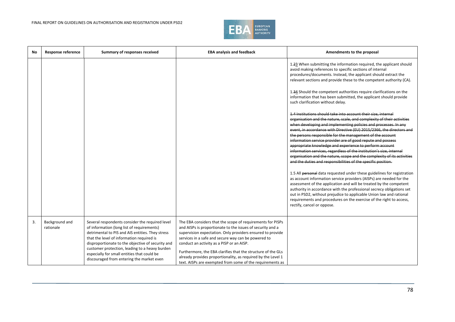

| No | <b>Response reference</b>   | Summary of responses received                                                                                                                                                                                                                                                                                                                                                                     | <b>EBA analysis and feedback</b>                                                                                                                                                                                                                                                                                                                                                                                                                                                        | Amendments to the proposal                                                                                                                                                                                                                                                                                                                                                                                                                                                                                                                                                                                                                                                                                                                                                                                                                        |
|----|-----------------------------|---------------------------------------------------------------------------------------------------------------------------------------------------------------------------------------------------------------------------------------------------------------------------------------------------------------------------------------------------------------------------------------------------|-----------------------------------------------------------------------------------------------------------------------------------------------------------------------------------------------------------------------------------------------------------------------------------------------------------------------------------------------------------------------------------------------------------------------------------------------------------------------------------------|---------------------------------------------------------------------------------------------------------------------------------------------------------------------------------------------------------------------------------------------------------------------------------------------------------------------------------------------------------------------------------------------------------------------------------------------------------------------------------------------------------------------------------------------------------------------------------------------------------------------------------------------------------------------------------------------------------------------------------------------------------------------------------------------------------------------------------------------------|
|    |                             |                                                                                                                                                                                                                                                                                                                                                                                                   |                                                                                                                                                                                                                                                                                                                                                                                                                                                                                         | 1.23 When submitting the information required, the applicant should<br>avoid making references to specific sections of internal<br>procedures/documents. Instead, the applicant should extract the<br>relevant sections and provide these to the competent authority (CA).                                                                                                                                                                                                                                                                                                                                                                                                                                                                                                                                                                        |
|    |                             |                                                                                                                                                                                                                                                                                                                                                                                                   |                                                                                                                                                                                                                                                                                                                                                                                                                                                                                         | 1.34 Should the competent authorities require clarifications on the<br>information that has been submitted, the applicant should provide<br>such clarification without delay.                                                                                                                                                                                                                                                                                                                                                                                                                                                                                                                                                                                                                                                                     |
|    |                             |                                                                                                                                                                                                                                                                                                                                                                                                   |                                                                                                                                                                                                                                                                                                                                                                                                                                                                                         | 1.4 Institutions should take into account their size, internal<br>organisation and the nature, scale, and complexity of their activities<br>when developing and implementing policies and processes. In any<br>event, in accordance with Directive (EU) 2015/2366, the directors and<br>the persons responsible for the management of the account<br>information service provider are of good repute and possess<br>appropriate knowledge and experience to perform account<br>information services, regardless of the institution's size, internal<br>organisation and the nature, scope and the complexity of its activities<br>and the duties and responsibilities of the specific position.<br>1.5 All personal data requested under these guidelines for registration<br>as account information service providers (AISPs) are needed for the |
|    |                             |                                                                                                                                                                                                                                                                                                                                                                                                   |                                                                                                                                                                                                                                                                                                                                                                                                                                                                                         | assessment of the application and will be treated by the competent<br>authority in accordance with the professional secrecy obligations set<br>out in PSD2, without prejudice to applicable Union law and rational<br>requirements and procedures on the exercise of the right to access,<br>rectify, cancel or oppose.                                                                                                                                                                                                                                                                                                                                                                                                                                                                                                                           |
| 3. | Background and<br>rationale | Several respondents consider the required level<br>of information (long list of requirements)<br>detrimental to PIS and AIS entities. They stress<br>that the level of information required is<br>disproportionate to the objective of security and<br>customer protection, leading to a heavy burden<br>especially for small entities that could be<br>discouraged from entering the market even | The EBA considers that the scope of requirements for PISPs<br>and AISPs is proportionate to the issues of security and a<br>supervision expectation. Only providers ensured to provide<br>services in a safe and secure way can be powered to<br>conduct an activity as a PISP or an AISP.<br>Furthermore, the EBA clarifies that the structure of the GLs<br>already provides proportionality, as required by the Level 1<br>text. AISPs are exempted from some of the requirements as |                                                                                                                                                                                                                                                                                                                                                                                                                                                                                                                                                                                                                                                                                                                                                                                                                                                   |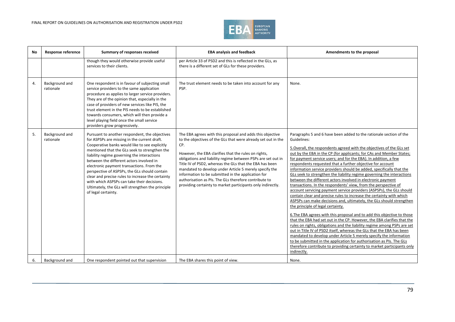

| <b>No</b>    | <b>Response reference</b>   | Summary of responses received                                                                                                                                                                                                                                                                                                                                                                                                                                                                                                                                              | <b>EBA analysis and feedback</b>                                                                                                                                                                                                                                                                                                                                                                                                                                                                                                                             | Amendments to the proposal                                                                                                                                                                                                                                                                                                                                                                                                                                                                                                                                                                                                                                                                                                                                                                                                                                                                                                                                                                                                                                                                                                                                                                                                                                                                                                                                                                                                                                              |
|--------------|-----------------------------|----------------------------------------------------------------------------------------------------------------------------------------------------------------------------------------------------------------------------------------------------------------------------------------------------------------------------------------------------------------------------------------------------------------------------------------------------------------------------------------------------------------------------------------------------------------------------|--------------------------------------------------------------------------------------------------------------------------------------------------------------------------------------------------------------------------------------------------------------------------------------------------------------------------------------------------------------------------------------------------------------------------------------------------------------------------------------------------------------------------------------------------------------|-------------------------------------------------------------------------------------------------------------------------------------------------------------------------------------------------------------------------------------------------------------------------------------------------------------------------------------------------------------------------------------------------------------------------------------------------------------------------------------------------------------------------------------------------------------------------------------------------------------------------------------------------------------------------------------------------------------------------------------------------------------------------------------------------------------------------------------------------------------------------------------------------------------------------------------------------------------------------------------------------------------------------------------------------------------------------------------------------------------------------------------------------------------------------------------------------------------------------------------------------------------------------------------------------------------------------------------------------------------------------------------------------------------------------------------------------------------------------|
|              |                             | though they would otherwise provide useful<br>services to their clients.                                                                                                                                                                                                                                                                                                                                                                                                                                                                                                   | per Article 33 of PSD2 and this is reflected in the GLs, as<br>there is a different set of GLs for these providers.                                                                                                                                                                                                                                                                                                                                                                                                                                          |                                                                                                                                                                                                                                                                                                                                                                                                                                                                                                                                                                                                                                                                                                                                                                                                                                                                                                                                                                                                                                                                                                                                                                                                                                                                                                                                                                                                                                                                         |
| $\mathbf{4}$ | Background and<br>rationale | One respondent is in favour of subjecting small<br>service providers to the same application<br>procedure as applies to larger service providers.<br>They are of the opinion that, especially in the<br>case of providers of new services like PIS, the<br>trust element in the PIS needs to be established<br>towards consumers, which will then provide a<br>level playing field once the small service<br>providers grow progressively.                                                                                                                                 | The trust element needs to be taken into account for any<br>PSP.                                                                                                                                                                                                                                                                                                                                                                                                                                                                                             | None.                                                                                                                                                                                                                                                                                                                                                                                                                                                                                                                                                                                                                                                                                                                                                                                                                                                                                                                                                                                                                                                                                                                                                                                                                                                                                                                                                                                                                                                                   |
| 5.           | Background and<br>rationale | Pursuant to another respondent, the objectives<br>for ASPSPs are missing in the current draft.<br>Cooperative banks would like to see explicitly<br>mentioned that the GLs seek to strengthen the<br>liability regime governing the interactions<br>between the different actors involved in<br>electronic payment transactions. From the<br>perspective of ASPSPs, the GLs should contain<br>clear and precise rules to increase the certainty<br>with which ASPSPs can take their decisions.<br>Ultimately, the GLs will strengthen the principle<br>of legal certainty. | The EBA agrees with this proposal and adds this objective<br>to the objectives of the GLs that were already set out in the<br>CP.<br>However, the EBA clarifies that the rules on rights,<br>obligations and liability regime between PSPs are set out in<br>Title IV of PSD2, whereas the GLs that the EBA has been<br>mandated to develop under Article 5 merely specify the<br>information to be submitted in the application for<br>authorisation as PIs. The GLs therefore contribute to<br>providing certainty to market participants only indirectly. | Paragraphs 5 and 6 have been added to the rationale section of the<br>Guidelines:<br>5. Overall, the respondents agreed with the objectives of the GLs set<br>out by the EBA in the CP (for applicants; for CAs and Member States;<br>for payment service users; and for the EBA). In addition, a few<br>respondents requested that a further objective for account<br>information service providers should be added, specifically that the<br>GLs seek to strengthen the liability regime governing the interactions<br>between the different actors involved in electronic payment<br>transactions. In the respondents' view, from the perspective of<br>account servicing payment service providers (ASPSPs), the GLs should<br>contain clear and precise rules to increase the certainty with which<br>ASPSPs can make decisions and, ultimately, the GLs should strengthen<br>the principle of legal certainty.<br>6. The EBA agrees with this proposal and to add this objective to those<br>that the EBA had set out in the CP. However, the EBA clarifies that the<br>rules on rights, obligations and the liability regime among PSPs are set<br>out in Title IV of PSD2 itself, whereas the GLs that the EBA has been<br>mandated to develop under Article 5 merely specify the information<br>to be submitted in the application for authorisation as PIs. The GLs<br>therefore contribute to providing certainty to market participants only<br>indirectly. |
| 6.           | Background and              | One respondent pointed out that supervision                                                                                                                                                                                                                                                                                                                                                                                                                                                                                                                                | The EBA shares this point of view.                                                                                                                                                                                                                                                                                                                                                                                                                                                                                                                           | None.                                                                                                                                                                                                                                                                                                                                                                                                                                                                                                                                                                                                                                                                                                                                                                                                                                                                                                                                                                                                                                                                                                                                                                                                                                                                                                                                                                                                                                                                   |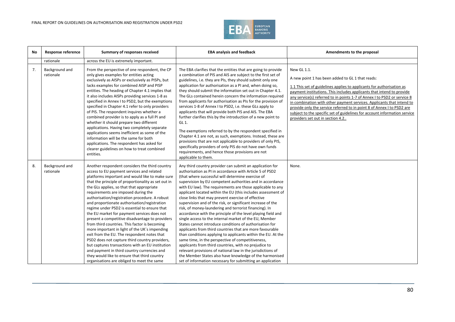

| No | Response reference          | Summary of responses received                                                                                                                                                                                                                                                                                                                                                                                                                                                                                                                                                                                                                                                                                                                                                                                                                                                                                                                      | <b>EBA analysis and feedback</b>                                                                                                                                                                                                                                                                                                                                                                                                                                                                                                                                                                                                                                                                                                                                                                                                                                                                                                                                                                                                                                                                                                                                           | Amendments to the proposal                                                                                                                                                                                                                                                                                                                                                                                                                                                                                                                                        |
|----|-----------------------------|----------------------------------------------------------------------------------------------------------------------------------------------------------------------------------------------------------------------------------------------------------------------------------------------------------------------------------------------------------------------------------------------------------------------------------------------------------------------------------------------------------------------------------------------------------------------------------------------------------------------------------------------------------------------------------------------------------------------------------------------------------------------------------------------------------------------------------------------------------------------------------------------------------------------------------------------------|----------------------------------------------------------------------------------------------------------------------------------------------------------------------------------------------------------------------------------------------------------------------------------------------------------------------------------------------------------------------------------------------------------------------------------------------------------------------------------------------------------------------------------------------------------------------------------------------------------------------------------------------------------------------------------------------------------------------------------------------------------------------------------------------------------------------------------------------------------------------------------------------------------------------------------------------------------------------------------------------------------------------------------------------------------------------------------------------------------------------------------------------------------------------------|-------------------------------------------------------------------------------------------------------------------------------------------------------------------------------------------------------------------------------------------------------------------------------------------------------------------------------------------------------------------------------------------------------------------------------------------------------------------------------------------------------------------------------------------------------------------|
|    | rationale                   | across the EU is extremely important.                                                                                                                                                                                                                                                                                                                                                                                                                                                                                                                                                                                                                                                                                                                                                                                                                                                                                                              |                                                                                                                                                                                                                                                                                                                                                                                                                                                                                                                                                                                                                                                                                                                                                                                                                                                                                                                                                                                                                                                                                                                                                                            |                                                                                                                                                                                                                                                                                                                                                                                                                                                                                                                                                                   |
| 7. | Background and<br>rationale | From the perspective of one respondent, the CP<br>only gives examples for entities acting<br>exclusively as AISPs or exclusively as PISPs, but<br>lacks examples for combined AISP and PISP<br>entities. The heading of Chapter 4.1 implies that<br>it also includes AISPs providing services 1-8 as<br>specified in Annex I to PSD2, but the exemptions<br>specified in Chapter 4.1 refer to only providers<br>of PIS. The respondent inquires whether a<br>combined provider is to apply as a full PI and<br>whether it should prepare two different<br>applications. Having two completely separate<br>applications seems inefficient as some of the<br>information will be the same for both                                                                                                                                                                                                                                                   | The EBA clarifies that the entities that are going to provide<br>a combination of PIS and AIS are subject to the first set of<br>guidelines, i.e. they are PIs, they should submit only one<br>application for authorisation as a PI and, when doing so,<br>they should submit the information set out in Chapter 4.1.<br>The GLs contained herein concern the information required<br>from applicants for authorisation as PIs for the provision of<br>services 1-8 of Annex I to PSD2, i.e. these GLs apply to<br>applicants that will provide both PIS and AIS. The EBA<br>further clarifies this by the introduction of a new point to<br>GL 1.<br>The exemptions referred to by the respondent specified in<br>Chapter 4.1 are not, as such, exemptions. Instead, these are<br>provisions that are not applicable to providers of only PIS,                                                                                                                                                                                                                                                                                                                           | New GL 1.1.<br>A new point 1 has been added to GL 1 that reads:<br>1.1 This set of guidelines applies to applicants for authorisation as<br>payment institutions. This includes applicants that intend to provide<br>any service(s) referred to in points 1-7 of Annex I to PSD2 or service 8<br>in combination with other payment services. Applicants that intend to<br>provide only the service referred to in point 8 of Annex I to PSD2 are<br>subject to the specific set of guidelines for account information service<br>providers set out in section 4.2 |
|    |                             | applications. The respondent has asked for<br>clearer guidelines on how to treat combined<br>entities.                                                                                                                                                                                                                                                                                                                                                                                                                                                                                                                                                                                                                                                                                                                                                                                                                                             | specifically providers of only PIS do not have own funds<br>requirements, and hence those provisions are not<br>applicable to them.                                                                                                                                                                                                                                                                                                                                                                                                                                                                                                                                                                                                                                                                                                                                                                                                                                                                                                                                                                                                                                        |                                                                                                                                                                                                                                                                                                                                                                                                                                                                                                                                                                   |
| 8. | Background and<br>rationale | Another respondent considers the third country<br>access to EU payment services and related<br>platforms important and would like to make sure<br>that the principle of proportionality as set out in<br>the GLs applies, so that that appropriate<br>requirements are imposed during the<br>authorisation/registration procedure. A robust<br>and proportionate authorisation/registration<br>regime under PSD2 is essential to ensure that<br>the EU market for payment services does not<br>present a competitive disadvantage to providers<br>from third countries. This factor is becoming<br>more important in light of the UK's impending<br>exit from the EU. The respondent notes that<br>PSD2 does not capture third country providers,<br>but captures transactions with an EU institution<br>and payment in third country currencies and<br>they would like to ensure that third country<br>organisations are obliged to meet the same | Any third country provider can submit an application for<br>authorisation as PI in accordance with Article 5 of PSD2<br>(that where successful will determine exercise of<br>supervision by EU competent authorities and in accordance<br>with EU law). The requirements are those applicable to any<br>applicant located within the EU (this includes assessment of<br>close links that may prevent exercise of effective<br>supervision and of the risk, or significant increase of the<br>risk, of money-laundering and terrorist financing). In<br>accordance with the principle of the level playing field and<br>single access to the internal market of the EU, Member<br>States cannot introduce conditions of authorisation for<br>applicants from third countries that are more favourable<br>than conditions applying to applicants within the EU. At the<br>same time, in the perspective of competitiveness,<br>applicants from third countries, with no prejudice to<br>relevant provisions of national law in the jurisdictions of<br>the Member States also have knowledge of the harmonised<br>set of information necessary for submitting an application | None.                                                                                                                                                                                                                                                                                                                                                                                                                                                                                                                                                             |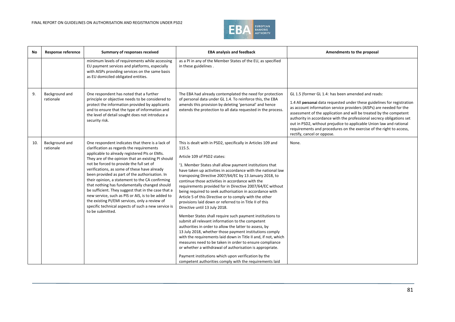

| No  | Response reference          | Summary of responses received                                                                                                                                                                                                                                                                                                                                                                                                                                                                                                                                                                                                                                                                    | <b>EBA analysis and feedback</b>                                                                                                                                                                                                                                                                                                                                                                                                                                                                                                                                                                                                                                                                                                                                                                                                                                                                                                                                                                                                                                                                                                                                               | Amendments to the proposal                                                                                                                                                                                                                                                                                                                                                                                                                                                                                                      |
|-----|-----------------------------|--------------------------------------------------------------------------------------------------------------------------------------------------------------------------------------------------------------------------------------------------------------------------------------------------------------------------------------------------------------------------------------------------------------------------------------------------------------------------------------------------------------------------------------------------------------------------------------------------------------------------------------------------------------------------------------------------|--------------------------------------------------------------------------------------------------------------------------------------------------------------------------------------------------------------------------------------------------------------------------------------------------------------------------------------------------------------------------------------------------------------------------------------------------------------------------------------------------------------------------------------------------------------------------------------------------------------------------------------------------------------------------------------------------------------------------------------------------------------------------------------------------------------------------------------------------------------------------------------------------------------------------------------------------------------------------------------------------------------------------------------------------------------------------------------------------------------------------------------------------------------------------------|---------------------------------------------------------------------------------------------------------------------------------------------------------------------------------------------------------------------------------------------------------------------------------------------------------------------------------------------------------------------------------------------------------------------------------------------------------------------------------------------------------------------------------|
|     |                             | minimum levels of requirements while accessing<br>EU payment services and platforms, especially<br>with AISPs providing services on the same basis<br>as EU domiciled obligated entities.                                                                                                                                                                                                                                                                                                                                                                                                                                                                                                        | as a PI in any of the Member States of the EU, as specified<br>in these guidelines.                                                                                                                                                                                                                                                                                                                                                                                                                                                                                                                                                                                                                                                                                                                                                                                                                                                                                                                                                                                                                                                                                            |                                                                                                                                                                                                                                                                                                                                                                                                                                                                                                                                 |
| 9.  | Background and<br>rationale | One respondent has noted that a further<br>principle or objective needs to be considered to<br>protect the information provided by applicants<br>and to ensure that the type of information and<br>the level of detail sought does not introduce a<br>security risk.                                                                                                                                                                                                                                                                                                                                                                                                                             | The EBA had already contemplated the need for protection<br>of personal data under GL 1.4. To reinforce this, the EBA<br>amends this provision by deleting 'personal' and hence<br>extends the protection to all data requested in the process.                                                                                                                                                                                                                                                                                                                                                                                                                                                                                                                                                                                                                                                                                                                                                                                                                                                                                                                                | GL 1.5 (former GL 1.4: has been amended and reads:<br>1.4 All personal data requested under these guidelines for registration<br>as account information service providers (AISPs) are needed for the<br>assessment of the application and will be treated by the competent<br>authority in accordance with the professional secrecy obligations set<br>out in PSD2, without prejudice to applicable Union law and rational<br>requirements and procedures on the exercise of the right to access,<br>rectify, cancel or oppose. |
| 10. | Background and<br>rationale | One respondent indicates that there is a lack of<br>clarification as regards the requirements<br>applicable to already registered PIs or EMIs.<br>They are of the opinion that an existing PI should<br>not be forced to provide the full set of<br>verifications, as some of these have already<br>been provided as part of the authorisation. In<br>their opinion, a statement to the CA confirming<br>that nothing has fundamentally changed should<br>be sufficient. They suggest that in the case that a<br>new service, such as PIS or AIS, is to be added to<br>the existing PI/EMI services, only a review of<br>specific technical aspects of such a new service is<br>to be submitted. | This is dealt with in PSD2, specifically in Articles 109 and<br>115.5.<br>Article 109 of PSD2 states:<br>'1. Member States shall allow payment institutions that<br>have taken up activities in accordance with the national law<br>transposing Directive 2007/64/EC by 13 January 2018, to<br>continue those activities in accordance with the<br>requirements provided for in Directive 2007/64/EC without<br>being required to seek authorisation in accordance with<br>Article 5 of this Directive or to comply with the other<br>provisions laid down or referred to in Title II of this<br>Directive until 13 July 2018.<br>Member States shall require such payment institutions to<br>submit all relevant information to the competent<br>authorities in order to allow the latter to assess, by<br>13 July 2018, whether those payment institutions comply<br>with the requirements laid down in Title II and, if not, which<br>measures need to be taken in order to ensure compliance<br>or whether a withdrawal of authorisation is appropriate.<br>Payment institutions which upon verification by the<br>competent authorities comply with the requirements laid | None.                                                                                                                                                                                                                                                                                                                                                                                                                                                                                                                           |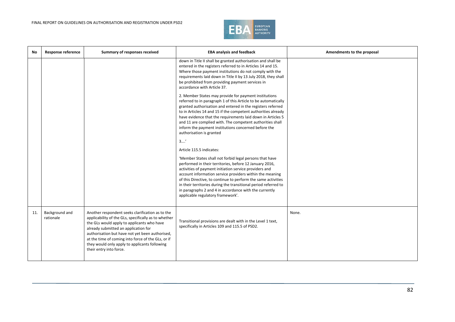

| No. | <b>Response reference</b>   | Summary of responses received                                                                                                                                                                                                                                                                                                                                                       | <b>EBA analysis and feedback</b>                                                                                                                                                                                                                                                                                                                                                                                                                                            | Amendments to the proposal |
|-----|-----------------------------|-------------------------------------------------------------------------------------------------------------------------------------------------------------------------------------------------------------------------------------------------------------------------------------------------------------------------------------------------------------------------------------|-----------------------------------------------------------------------------------------------------------------------------------------------------------------------------------------------------------------------------------------------------------------------------------------------------------------------------------------------------------------------------------------------------------------------------------------------------------------------------|----------------------------|
|     |                             |                                                                                                                                                                                                                                                                                                                                                                                     | down in Title II shall be granted authorisation and shall be<br>entered in the registers referred to in Articles 14 and 15.<br>Where those payment institutions do not comply with the<br>requirements laid down in Title II by 13 July 2018, they shall<br>be prohibited from providing payment services in<br>accordance with Article 37.                                                                                                                                 |                            |
|     |                             |                                                                                                                                                                                                                                                                                                                                                                                     | 2. Member States may provide for payment institutions<br>referred to in paragraph 1 of this Article to be automatically<br>granted authorisation and entered in the registers referred<br>to in Articles 14 and 15 if the competent authorities already<br>have evidence that the requirements laid down in Articles 5<br>and 11 are complied with. The competent authorities shall<br>inform the payment institutions concerned before the<br>authorisation is granted     |                            |
|     |                             |                                                                                                                                                                                                                                                                                                                                                                                     | 3'                                                                                                                                                                                                                                                                                                                                                                                                                                                                          |                            |
|     |                             |                                                                                                                                                                                                                                                                                                                                                                                     | Article 115.5 indicates:                                                                                                                                                                                                                                                                                                                                                                                                                                                    |                            |
|     |                             |                                                                                                                                                                                                                                                                                                                                                                                     | 'Member States shall not forbid legal persons that have<br>performed in their territories, before 12 January 2016,<br>activities of payment initiation service providers and<br>account information service providers within the meaning<br>of this Directive, to continue to perform the same activities<br>in their territories during the transitional period referred to<br>in paragraphs 2 and 4 in accordance with the currently<br>applicable regulatory framework'. |                            |
| 11. | Background and<br>rationale | Another respondent seeks clarification as to the<br>applicability of the GLs, specifically as to whether<br>the GLs would apply to applicants who have<br>already submitted an application for<br>authorisation but have not yet been authorised,<br>at the time of coming into force of the GLs, or if<br>they would only apply to applicants following<br>their entry into force. | Transitional provisions are dealt with in the Level 1 text,<br>specifically in Articles 109 and 115.5 of PSD2.                                                                                                                                                                                                                                                                                                                                                              | None.                      |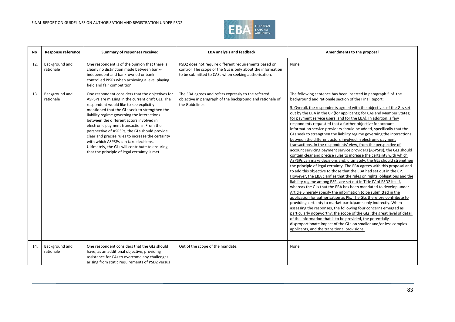#### FINAL REPORT ON GUIDELINES ON AUTHORISATION AND REGISTRATION UNDER PSD2



| No  | Response reference          | Summary of responses received                                                                                                                                                                                                                                                                                                                                                                                                                                                                                                                                                               | <b>EBA analysis and feedback</b>                                                                                                                                            | Amendments to the proposal                                                                                                                                                                                                                                                                                                                                                                                                                                                                                                                                                                                                                                                                                                                                                                                                                                                                                                                                                                                                                                                                                                                                                                                                                                                                                                                                                                                                                                                                                                                                                                                                                                                                                                                                                                                                                     |
|-----|-----------------------------|---------------------------------------------------------------------------------------------------------------------------------------------------------------------------------------------------------------------------------------------------------------------------------------------------------------------------------------------------------------------------------------------------------------------------------------------------------------------------------------------------------------------------------------------------------------------------------------------|-----------------------------------------------------------------------------------------------------------------------------------------------------------------------------|------------------------------------------------------------------------------------------------------------------------------------------------------------------------------------------------------------------------------------------------------------------------------------------------------------------------------------------------------------------------------------------------------------------------------------------------------------------------------------------------------------------------------------------------------------------------------------------------------------------------------------------------------------------------------------------------------------------------------------------------------------------------------------------------------------------------------------------------------------------------------------------------------------------------------------------------------------------------------------------------------------------------------------------------------------------------------------------------------------------------------------------------------------------------------------------------------------------------------------------------------------------------------------------------------------------------------------------------------------------------------------------------------------------------------------------------------------------------------------------------------------------------------------------------------------------------------------------------------------------------------------------------------------------------------------------------------------------------------------------------------------------------------------------------------------------------------------------------|
| 12. | Background and<br>rationale | One respondent is of the opinion that there is<br>clearly no distinction made between bank-<br>independent and bank-owned or bank-<br>controlled PISPs when achieving a level playing<br>field and fair competition.                                                                                                                                                                                                                                                                                                                                                                        | PSD2 does not require different requirements based on<br>control. The scope of the GLs is only about the information<br>to be submitted to CASs when seeking authorisation. | None                                                                                                                                                                                                                                                                                                                                                                                                                                                                                                                                                                                                                                                                                                                                                                                                                                                                                                                                                                                                                                                                                                                                                                                                                                                                                                                                                                                                                                                                                                                                                                                                                                                                                                                                                                                                                                           |
| 13. | Background and<br>rationale | One respondent considers that the objectives for<br>ASPSPs are missing in the current draft GLs. The<br>respondent would like to see explicitly<br>mentioned that the GLs seek to strengthen the<br>liability regime governing the interactions<br>between the different actors involved in<br>electronic payment transactions. From the<br>perspective of ASPSPs, the GLs should provide<br>clear and precise rules to increase the certainty<br>with which ASPSPs can take decisions.<br>Ultimately, the GLs will contribute to ensuring<br>that the principle of legal certainty is met. | The EBA agrees and refers expressly to the referred<br>objective in paragraph of the background and rationale of<br>the Guidelines.                                         | The following sentence has been inserted in paragraph 5 of the<br>background and rationale section of the Final Report:<br>5. Overall, the respondents agreed with the objectives of the GLs set<br>out by the EBA in the CP (for applicants; for CAs and Member States;<br>for payment service users; and for the EBA). In addition, a few<br>respondents requested that a further objective for account<br>information service providers should be added, specifically that the<br>GLs seek to strengthen the liability regime governing the interactions<br>between the different actors involved in electronic payment<br>transactions. In the respondents' view, from the perspective of<br>account servicing payment service providers (ASPSPs), the GLs should<br>contain clear and precise rules to increase the certainty with which<br>ASPSPs can make decisions and, ultimately, the GLs should strengthen<br>the principle of legal certainty. The EBA agrees with this proposal and<br>to add this objective to those that the EBA had set out in the CP.<br>However, the EBA clarifies that the rules on rights, obligations and the<br>liability regime among PSPs are set out in Title IV of PSD2 itself,<br>whereas the GLs that the EBA has been mandated to develop under<br>Article 5 merely specify the information to be submitted in the<br>application for authorisation as PIs. The GLs therefore contribute to<br>providing certainty to market participants only indirectly. When<br>assessing the responses, the following four concerns emerged as<br>particularly noteworthy: the scope of the GLs, the great level of detail<br>of the information that is to be provided, the potentially<br>disproportionate impact of the GLs on smaller and/or less complex<br>applicants, and the transitional provisions. |
| 14. | Background and<br>rationale | One respondent considers that the GLs should<br>have, as an additional objective, providing<br>assistance for CAs to overcome any challenges<br>arising from static requirements of PSD2 versus                                                                                                                                                                                                                                                                                                                                                                                             | Out of the scope of the mandate.                                                                                                                                            | None.                                                                                                                                                                                                                                                                                                                                                                                                                                                                                                                                                                                                                                                                                                                                                                                                                                                                                                                                                                                                                                                                                                                                                                                                                                                                                                                                                                                                                                                                                                                                                                                                                                                                                                                                                                                                                                          |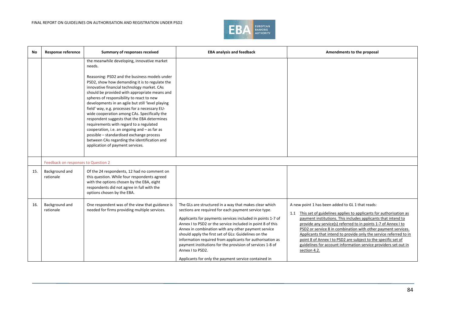

| <b>No</b> | <b>Response reference</b>           | Summary of responses received                                                                                                                                                                                                                                                                                                                                                                                                                                                                                                                                                                                                                                                                                                          | <b>EBA analysis and feedback</b>                                                                                                                                                                                                                                                                                                                                                                                                                                                                                                                                | Amendments to the proposal                                                                                                                                                                                                                                                                                                                                                                                                                                                                                                                             |
|-----------|-------------------------------------|----------------------------------------------------------------------------------------------------------------------------------------------------------------------------------------------------------------------------------------------------------------------------------------------------------------------------------------------------------------------------------------------------------------------------------------------------------------------------------------------------------------------------------------------------------------------------------------------------------------------------------------------------------------------------------------------------------------------------------------|-----------------------------------------------------------------------------------------------------------------------------------------------------------------------------------------------------------------------------------------------------------------------------------------------------------------------------------------------------------------------------------------------------------------------------------------------------------------------------------------------------------------------------------------------------------------|--------------------------------------------------------------------------------------------------------------------------------------------------------------------------------------------------------------------------------------------------------------------------------------------------------------------------------------------------------------------------------------------------------------------------------------------------------------------------------------------------------------------------------------------------------|
|           |                                     | the meanwhile developing, innovative market<br>needs.<br>Reasoning: PSD2 and the business models under<br>PSD2, show how demanding it is to regulate the<br>innovative financial technology market. CAs<br>should be provided with appropriate means and<br>spheres of responsibility to react to new<br>developments in an agile but still 'level playing<br>field' way, e.g. processes for a necessary EU-<br>wide cooperation among CAs. Specifically the<br>respondent suggests that the EBA determines<br>requirements with regard to a regulated<br>cooperation, i.e. an ongoing and - as far as<br>possible - standardised exchange process<br>between CAs regarding the identification and<br>application of payment services. |                                                                                                                                                                                                                                                                                                                                                                                                                                                                                                                                                                 |                                                                                                                                                                                                                                                                                                                                                                                                                                                                                                                                                        |
|           | Feedback on responses to Question 2 |                                                                                                                                                                                                                                                                                                                                                                                                                                                                                                                                                                                                                                                                                                                                        |                                                                                                                                                                                                                                                                                                                                                                                                                                                                                                                                                                 |                                                                                                                                                                                                                                                                                                                                                                                                                                                                                                                                                        |
| 15.       | Background and<br>rationale         | Of the 24 respondents, 12 had no comment on<br>this question. While four respondents agreed<br>with the options chosen by the EBA, eight<br>respondents did not agree in full with the<br>options chosen by the EBA.                                                                                                                                                                                                                                                                                                                                                                                                                                                                                                                   |                                                                                                                                                                                                                                                                                                                                                                                                                                                                                                                                                                 |                                                                                                                                                                                                                                                                                                                                                                                                                                                                                                                                                        |
| 16.       | Background and<br>rationale         | One respondent was of the view that guidance is<br>needed for firms providing multiple services.                                                                                                                                                                                                                                                                                                                                                                                                                                                                                                                                                                                                                                       | The GLs are structured in a way that makes clear which<br>sections are required for each payment service type.<br>Applicants for payments services included in points 1-7 of<br>Annex I to PSD2 or the service included in point 8 of this<br>Annex in combination with any other payment service<br>should apply the first set of GLs: Guidelines on the<br>information required from applicants for authorisation as<br>payment institutions for the provision of services 1-8 of<br>Annex I to PSD2.<br>Applicants for only the payment service contained in | A new point 1 has been added to GL 1 that reads:<br>1.1 This set of guidelines applies to applicants for authorisation as<br>payment institutions. This includes applicants that intend to<br>provide any service(s) referred to in points 1-7 of Annex I to<br>PSD2 or service 8 in combination with other payment services.<br>Applicants that intend to provide only the service referred to in<br>point 8 of Annex I to PSD2 are subject to the specific set of<br>guidelines for account information service providers set out in<br>section 4.2. |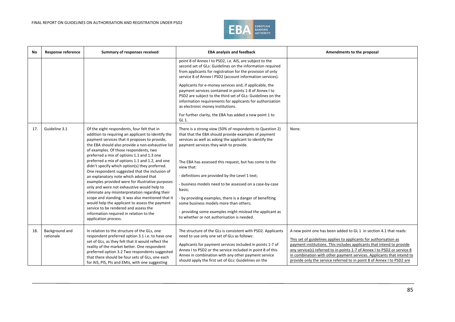

| No  | Response reference          | Summary of responses received                                                                                                                                                                                                                                                                                                                                                                                                                                                                                                                                                                                                                                                                                                                                                                                                                                            | <b>EBA analysis and feedback</b>                                                                                                                                                                                                                                                                                                                                                                                                                                                                                                                                                                                                        | Amendments to the proposal                                                                                                                                                                                                                                                                                                                                                                                                                     |
|-----|-----------------------------|--------------------------------------------------------------------------------------------------------------------------------------------------------------------------------------------------------------------------------------------------------------------------------------------------------------------------------------------------------------------------------------------------------------------------------------------------------------------------------------------------------------------------------------------------------------------------------------------------------------------------------------------------------------------------------------------------------------------------------------------------------------------------------------------------------------------------------------------------------------------------|-----------------------------------------------------------------------------------------------------------------------------------------------------------------------------------------------------------------------------------------------------------------------------------------------------------------------------------------------------------------------------------------------------------------------------------------------------------------------------------------------------------------------------------------------------------------------------------------------------------------------------------------|------------------------------------------------------------------------------------------------------------------------------------------------------------------------------------------------------------------------------------------------------------------------------------------------------------------------------------------------------------------------------------------------------------------------------------------------|
|     |                             |                                                                                                                                                                                                                                                                                                                                                                                                                                                                                                                                                                                                                                                                                                                                                                                                                                                                          | point 8 of Annex I to PSD2, i.e. AIS, are subject to the<br>second set of GLs: Guidelines on the information required<br>from applicants for registration for the provision of only<br>service 8 of Annex I PSD2 (account information services).<br>Applicants for e-money services and, if applicable, the<br>payment services contained in points 1-8 of Annex I to<br>PSD2 are subject to the third set of GLs: Guidelines on the<br>information requirements for applicants for authorisation<br>as electronic money institutions.<br>For further clarity, the EBA has added a new point 1 to<br>GL 1.                              |                                                                                                                                                                                                                                                                                                                                                                                                                                                |
| 17. | Guideline 3.1               | Of the eight respondents, four felt that in<br>addition to requiring an applicant to identify the<br>payment services that it proposes to provide,<br>the EBA should also provide a non-exhaustive list<br>of examples. Of those respondents, two<br>preferred a mix of options 1.1 and 1.3 one<br>preferred a mix of options 1.1 and 1.2, and one<br>didn't specify which option(s) they preferred.<br>One respondent suggested that the inclusion of<br>an explanatory note which advised that<br>examples provided were for illustrative purposes<br>only and were not exhaustive would help to<br>eliminate any misinterpretation regarding their<br>scope and standing. It was also mentioned that it<br>would help the applicant to assess the payment<br>service to be rendered and assess the<br>information required in relation to the<br>application process. | There is a strong view (50% of respondents to Question 2)<br>that that the EBA should provide examples of payment<br>services as well as asking the applicant to identify the<br>payment services they wish to provide.<br>The EBA has assessed this request, but has come to the<br>view that:<br>- definitions are provided by the Level 1 text;<br>- business models need to be assessed on a case-by-case<br>basis;<br>- by providing examples, there is a danger of benefiting<br>some business models more than others;<br>- providing some examples might mislead the applicant as<br>to whether or not authorisation is needed. | None.                                                                                                                                                                                                                                                                                                                                                                                                                                          |
| 18. | Background and<br>rationale | In relation to the structure of the GLs, one<br>respondent preferred option 3.1 i.e. to have one<br>set of GLs, as they felt that it would reflect the<br>reality of the market better. One respondent<br>preferred option 3.2 Two respondents suggested<br>that there should be four sets of GLs, one each<br>for AIS, PIS, PIs and EMIs, with one suggesting                                                                                                                                                                                                                                                                                                                                                                                                                                                                                                           | The structure of the GLs is consistent with PSD2. Applicants<br>need to use only one set of GLs as follows:<br>Applicants for payment services included in points 1-7 of<br>Annex I to PSD2 or the service included in point 8 of this<br>Annex in combination with any other payment service<br>should apply the first set of GLs: Guidelines on the                                                                                                                                                                                                                                                                                   | A new point one has been added to GL 1 in section 4.1 that reads:<br>This set of guidelines applies to applicants for authorisation as<br>payment institutions. This includes applicants that intend to provide<br>any service(s) referred to in points 1-7 of Annex I to PSD2 or service 8<br>in combination with other payment services. Applicants that intend to<br>provide only the service referred to in point 8 of Annex I to PSD2 are |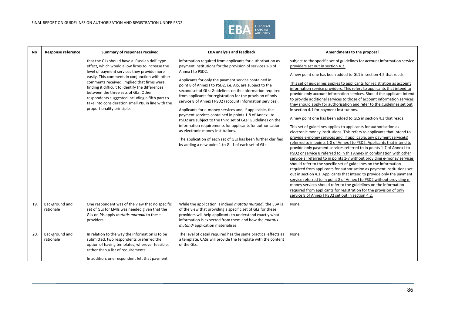

| <b>No</b> | <b>Response reference</b>   | Summary of responses received                                                                                                                                                                                                                                                                                                                                                                                                                                                         | <b>EBA analysis and feedback</b>                                                                                                                                                                                                                                                                                                                                                                                                                                                                                                                                                                                                                                                                                                                                                                                                                                     | Amendments to the proposal                                                                                                                                                                                                                                                                                                                                                                                                                                                                                                                                                                                                                                                                                                                                                                                                                                                                                                                                                                                                                                                                                                                                                                                                                                                                                                                                                                                                                                                                                                                                                                                                                                                                                                  |
|-----------|-----------------------------|---------------------------------------------------------------------------------------------------------------------------------------------------------------------------------------------------------------------------------------------------------------------------------------------------------------------------------------------------------------------------------------------------------------------------------------------------------------------------------------|----------------------------------------------------------------------------------------------------------------------------------------------------------------------------------------------------------------------------------------------------------------------------------------------------------------------------------------------------------------------------------------------------------------------------------------------------------------------------------------------------------------------------------------------------------------------------------------------------------------------------------------------------------------------------------------------------------------------------------------------------------------------------------------------------------------------------------------------------------------------|-----------------------------------------------------------------------------------------------------------------------------------------------------------------------------------------------------------------------------------------------------------------------------------------------------------------------------------------------------------------------------------------------------------------------------------------------------------------------------------------------------------------------------------------------------------------------------------------------------------------------------------------------------------------------------------------------------------------------------------------------------------------------------------------------------------------------------------------------------------------------------------------------------------------------------------------------------------------------------------------------------------------------------------------------------------------------------------------------------------------------------------------------------------------------------------------------------------------------------------------------------------------------------------------------------------------------------------------------------------------------------------------------------------------------------------------------------------------------------------------------------------------------------------------------------------------------------------------------------------------------------------------------------------------------------------------------------------------------------|
|           |                             | that the GLs should have a 'Russian doll' type<br>effect, which would allow firms to increase the<br>level of payment services they provide more<br>easily. This comment, in conjunction with other<br>comments received, implied that firms were<br>finding it difficult to identify the differences<br>between the three sets of GLs. Other<br>respondents suggested including a fifth part to<br>take into consideration small PIs, in line with the<br>proportionality principle. | information required from applicants for authorisation as<br>payment institutions for the provision of services 1-8 of<br>Annex I to PSD2.<br>Applicants for only the payment service contained in<br>point 8 of Annex I to PSD2, i.e. AIS, are subject to the<br>second set of GLs: Guidelines on the information required<br>from applicants for registration for the provision of only<br>service 8 of Annex I PSD2 (account information services).<br>Applicants for e-money services and, if applicable, the<br>payment services contained in points 1-8 of Annex I to<br>PSD2 are subject to the third set of GLs: Guidelines on the<br>information requirements for applicants for authorisation<br>as electronic money institutions.<br>The application of each set of GLs has been further clarified<br>by adding a new point 1 to GL 1 of each set of GLs. | subject to the specific set of guidelines for account information service<br>providers set out in section 4.2.<br>A new point one has been added to GL1 in section 4.2 that reads:<br>This set of guidelines applies to applicants for registration as account<br>information service providers. This refers to applicants that intend to<br>provide only account information services. Should the applicant intend<br>to provide additional services to those of account information services<br>they should apply for authorisation and refer to the guidelines set out<br>in section 4.1 for payment institutions.<br>A new point one has been added to GLS in section 4.3 that reads:<br>This set of guidelines applies to applicants for authorisation as<br>electronic money institutions. This refers to applicants that intend to<br>provide e-money services and, if applicable, any payment service(s)<br>referred to in points 1-8 of Annex I to PSD2. Applicants that intend to<br>provide only payment services referred to in points 1-7 of Annex I to<br>PSD2 or service 8 referred to in this Annex in combination with other<br>service(s) referred to in points 1-7 without providing e-money services<br>should refer to the specific set of guidelines on the information<br>required from applicants for authorisation as payment institutions set<br>out in section 4.1. Applicants that intend to provide only the payment<br>service referred to in point 8 of Annex I to PSD2 without providing e-<br>money services should refer to the guidelines on the information<br>required from applicants for registration for the provision of only<br>service 8 of Annex I PSD2 set out in section 4.2. |
| 19.       | Background and<br>rationale | One respondent was of the view that no specific<br>set of GLs for EMIs was needed given that the<br>GLs on PIs apply mutatis mutandi to these<br>providers.                                                                                                                                                                                                                                                                                                                           | While the application is indeed mutatis mutandi, the EBA is<br>of the view that providing a specific set of GLs for these<br>providers will help applicants to understand exactly what<br>information is expected from them and how the mutatis<br>mutandi application materialises.                                                                                                                                                                                                                                                                                                                                                                                                                                                                                                                                                                                 | None.                                                                                                                                                                                                                                                                                                                                                                                                                                                                                                                                                                                                                                                                                                                                                                                                                                                                                                                                                                                                                                                                                                                                                                                                                                                                                                                                                                                                                                                                                                                                                                                                                                                                                                                       |
| 20.       | Background and<br>rationale | In relation to the way the information is to be<br>submitted, two respondents preferred the<br>option of having templates, wherever feasible,<br>rather than a list of requirements.<br>In addition, one respondent felt that payment                                                                                                                                                                                                                                                 | The level of detail required has the same practical effects as<br>a template. CASs will provide the template with the content<br>of the GLs.                                                                                                                                                                                                                                                                                                                                                                                                                                                                                                                                                                                                                                                                                                                         | None.                                                                                                                                                                                                                                                                                                                                                                                                                                                                                                                                                                                                                                                                                                                                                                                                                                                                                                                                                                                                                                                                                                                                                                                                                                                                                                                                                                                                                                                                                                                                                                                                                                                                                                                       |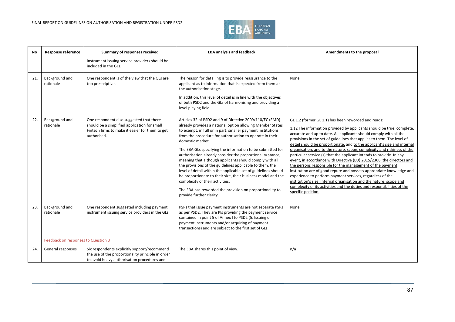

| No  | <b>Response reference</b>           | Summary of responses received                                                                                                                              | <b>EBA analysis and feedback</b>                                                                                                                                                                                                                                                                                                                                                                                                                                                                                                                                                                                                                                                                                                                                                     | Amendments to the proposal                                                                                                                                                                                                                                                                                                                                                                                                                                                                                                                                                                                                                                                                                                                                                                                                                                                                                                                                     |
|-----|-------------------------------------|------------------------------------------------------------------------------------------------------------------------------------------------------------|--------------------------------------------------------------------------------------------------------------------------------------------------------------------------------------------------------------------------------------------------------------------------------------------------------------------------------------------------------------------------------------------------------------------------------------------------------------------------------------------------------------------------------------------------------------------------------------------------------------------------------------------------------------------------------------------------------------------------------------------------------------------------------------|----------------------------------------------------------------------------------------------------------------------------------------------------------------------------------------------------------------------------------------------------------------------------------------------------------------------------------------------------------------------------------------------------------------------------------------------------------------------------------------------------------------------------------------------------------------------------------------------------------------------------------------------------------------------------------------------------------------------------------------------------------------------------------------------------------------------------------------------------------------------------------------------------------------------------------------------------------------|
|     |                                     | instrument issuing service providers should be<br>included in the GLs.                                                                                     |                                                                                                                                                                                                                                                                                                                                                                                                                                                                                                                                                                                                                                                                                                                                                                                      |                                                                                                                                                                                                                                                                                                                                                                                                                                                                                                                                                                                                                                                                                                                                                                                                                                                                                                                                                                |
| 21. | Background and<br>rationale         | One respondent is of the view that the GLs are<br>too prescriptive.                                                                                        | The reason for detailing is to provide reassurance to the<br>applicant as to information that is expected from them at<br>the authorisation stage.<br>In addition, this level of detail is in line with the objectives<br>of both PSD2 and the GLs of harmonising and providing a<br>level playing field.                                                                                                                                                                                                                                                                                                                                                                                                                                                                            | None.                                                                                                                                                                                                                                                                                                                                                                                                                                                                                                                                                                                                                                                                                                                                                                                                                                                                                                                                                          |
| 22. | Background and<br>rationale         | One respondent also suggested that there<br>should be a simplified application for small<br>Fintech firms to make it easier for them to get<br>authorised. | Articles 32 of PSD2 and 9 of Directive 2009/110/EC (EMD)<br>already provides a national option allowing Member States<br>to exempt, in full or in part, smaller payment institutions<br>from the procedure for authorisation to operate in their<br>domestic market.<br>The EBA GLs specifying the information to be submitted for<br>authorisation already consider the proportionality stance,<br>meaning that although applicants should comply with all<br>the provisions of the guidelines applicable to them, the<br>level of detail within the applicable set of guidelines should<br>be proportionate to their size, their business model and the<br>complexity of their activities.<br>The EBA has reworded the provision on proportionality to<br>provide further clarity. | GL 1.2 (former GL 1.1) has been reworded and reads:<br>1.12 The information provided by applicants should be true, complete,<br>accurate and up to date. All applicants should comply with all the<br>provisions in the set of guidelines that applies to them. The level of<br>detail should be proportionate, and to the applicant's size and internal<br>organisation, and to the nature, scope, complexity and riskiness of the<br>particular service (s) that the applicant intends to provide. In any<br>event, in accordance with Directive (EU) 2015/2366, the directors and<br>the persons responsible for the management of the payment<br>institution are of good repute and possess appropriate knowledge and<br>experience to perform payment services, regardless of the<br>institution's size, internal organisation and the nature, scope and<br>complexity of its activities and the duties and responsibilities of the<br>specific position. |
| 23. | Background and<br>rationale         | One respondent suggested including payment<br>instrument issuing service providers in the GLs.                                                             | PSPs that issue payment instruments are not separate PSPs<br>as per PSD2. They are PIs providing the payment service<br>contained in point 5 of Annex I to PSD2 (5. Issuing of<br>payment instruments and/or acquiring of payment<br>transactions) and are subject to the first set of GLs.                                                                                                                                                                                                                                                                                                                                                                                                                                                                                          | None.                                                                                                                                                                                                                                                                                                                                                                                                                                                                                                                                                                                                                                                                                                                                                                                                                                                                                                                                                          |
|     | Feedback on responses to Question 3 |                                                                                                                                                            |                                                                                                                                                                                                                                                                                                                                                                                                                                                                                                                                                                                                                                                                                                                                                                                      |                                                                                                                                                                                                                                                                                                                                                                                                                                                                                                                                                                                                                                                                                                                                                                                                                                                                                                                                                                |
| 24. | General responses                   | Six respondents explicitly support/recommend<br>the use of the proportionality principle in order<br>to avoid heavy authorisation procedures and           | The EBA shares this point of view.                                                                                                                                                                                                                                                                                                                                                                                                                                                                                                                                                                                                                                                                                                                                                   | n/a                                                                                                                                                                                                                                                                                                                                                                                                                                                                                                                                                                                                                                                                                                                                                                                                                                                                                                                                                            |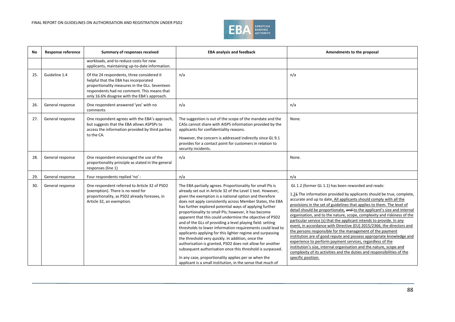

| <b>No</b> | <b>Response reference</b> | Summary of responses received                                                                                                                                                                                                        | <b>EBA analysis and feedback</b>                                                                                                                                                                                                                                                                                                                                                                                                                                                                                                                                                                                                                                                                                                                                                                                                                                                                                                 | Amendments to the proposal                                                                                                                                                                                                                                                                                                                                                                                                                                                                                                                                                                                                                                                                                                                                                                                                                                                                                                                                     |
|-----------|---------------------------|--------------------------------------------------------------------------------------------------------------------------------------------------------------------------------------------------------------------------------------|----------------------------------------------------------------------------------------------------------------------------------------------------------------------------------------------------------------------------------------------------------------------------------------------------------------------------------------------------------------------------------------------------------------------------------------------------------------------------------------------------------------------------------------------------------------------------------------------------------------------------------------------------------------------------------------------------------------------------------------------------------------------------------------------------------------------------------------------------------------------------------------------------------------------------------|----------------------------------------------------------------------------------------------------------------------------------------------------------------------------------------------------------------------------------------------------------------------------------------------------------------------------------------------------------------------------------------------------------------------------------------------------------------------------------------------------------------------------------------------------------------------------------------------------------------------------------------------------------------------------------------------------------------------------------------------------------------------------------------------------------------------------------------------------------------------------------------------------------------------------------------------------------------|
|           |                           | workloads, and to reduce costs for new<br>applicants, maintaining up-to-date information.                                                                                                                                            |                                                                                                                                                                                                                                                                                                                                                                                                                                                                                                                                                                                                                                                                                                                                                                                                                                                                                                                                  |                                                                                                                                                                                                                                                                                                                                                                                                                                                                                                                                                                                                                                                                                                                                                                                                                                                                                                                                                                |
| 25.       | Guideline 1.4             | Of the 24 respondents, three considered it<br>helpful that the EBA has incorporated<br>proportionality measures in the GLs. Seventeen<br>respondents had no comment. This means that<br>only 16.6% disagree with the EBA's approach. | n/a                                                                                                                                                                                                                                                                                                                                                                                                                                                                                                                                                                                                                                                                                                                                                                                                                                                                                                                              | n/a                                                                                                                                                                                                                                                                                                                                                                                                                                                                                                                                                                                                                                                                                                                                                                                                                                                                                                                                                            |
| 26.       | General response          | One respondent answered 'yes' with no<br>comments                                                                                                                                                                                    | n/a                                                                                                                                                                                                                                                                                                                                                                                                                                                                                                                                                                                                                                                                                                                                                                                                                                                                                                                              | n/a                                                                                                                                                                                                                                                                                                                                                                                                                                                                                                                                                                                                                                                                                                                                                                                                                                                                                                                                                            |
| 27.       | General response          | One respondent agrees with the EBA's approach,<br>but suggests that the EBA allows ASPSPs to<br>access the information provided by third parties<br>to the CA.                                                                       | The suggestion is out of the scope of the mandate and the<br>CASs cannot share with AISPS information provided by the<br>applicants for confidentiality reasons.<br>However, the concern is addressed indirectly since GL 9.1<br>provides for a contact point for customers in relation to<br>security incidents.                                                                                                                                                                                                                                                                                                                                                                                                                                                                                                                                                                                                                | None.                                                                                                                                                                                                                                                                                                                                                                                                                                                                                                                                                                                                                                                                                                                                                                                                                                                                                                                                                          |
| 28.       | General response          | One respondent encouraged the use of the<br>proportionality principle as stated in the general<br>responses (line 1)                                                                                                                 | n/a                                                                                                                                                                                                                                                                                                                                                                                                                                                                                                                                                                                                                                                                                                                                                                                                                                                                                                                              | None.                                                                                                                                                                                                                                                                                                                                                                                                                                                                                                                                                                                                                                                                                                                                                                                                                                                                                                                                                          |
| 29.       | General response          | Four respondents replied 'no':                                                                                                                                                                                                       | n/a                                                                                                                                                                                                                                                                                                                                                                                                                                                                                                                                                                                                                                                                                                                                                                                                                                                                                                                              | n/a                                                                                                                                                                                                                                                                                                                                                                                                                                                                                                                                                                                                                                                                                                                                                                                                                                                                                                                                                            |
| 30.       | General response          | One respondent referred to Article 32 of PSD2<br>(exemption). There is no need for<br>proportionality, as PSD2 already foresees, in<br>Article 32, an exemption.                                                                     | The EBA partially agrees. Proportionality for small PIs is<br>already set out in Article 32 of the Level 1 text. However,<br>given the exemption is a national option and therefore<br>does not apply consistently across Member States, the EBA<br>has further explored potential ways of applying further<br>proportionality to small PIs; however, it has become<br>apparent that this could undermine the objective of PSD2<br>and of the GLs of providing a level playing field: setting<br>thresholds to lower information requirements could lead to<br>applicants applying for this lighter regime and surpassing<br>the threshold very quickly. In addition, once the<br>authorisation is granted, PSD2 does not allow for another<br>subsequent authorisation once this threshold is surpassed.<br>In any case, proportionality applies per se when the<br>applicant is a small institution, in the sense that much of | GL 1.2 (former GL 1.1) has been reworded and reads:<br>1.21 The information provided by applicants should be true, complete,<br>accurate and up to date. All applicants should comply with all the<br>provisions in the set of guidelines that applies to them. The level of<br>detail should be proportionate, and to the applicant's size and internal<br>organisation, and to the nature, scope, complexity and riskiness of the<br>particular service (s) that the applicant intends to provide. In any<br>event, in accordance with Directive (EU) 2015/2366, the directors and<br>the persons responsible for the management of the payment<br>institution are of good repute and possess appropriate knowledge and<br>experience to perform payment services, regardless of the<br>institution's size, internal organisation and the nature, scope and<br>complexity of its activities and the duties and responsibilities of the<br>specific position. |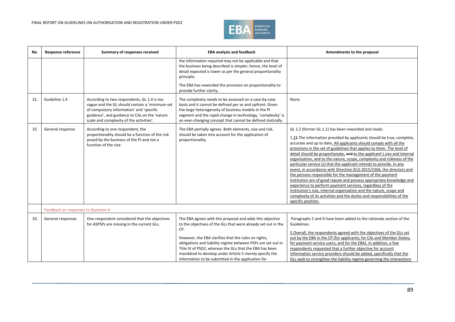

| No  | <b>Response reference</b>           | Summary of responses received                                                                                                                                                                                                          | <b>EBA analysis and feedback</b>                                                                                                                                                                                                                                                                                                                                                                                                     | Amendments to the proposal                                                                                                                                                                                                                                                                                                                                                                                                                                                                                                                                                                                                                                                                                                                                                                                                                                                                                                                                     |
|-----|-------------------------------------|----------------------------------------------------------------------------------------------------------------------------------------------------------------------------------------------------------------------------------------|--------------------------------------------------------------------------------------------------------------------------------------------------------------------------------------------------------------------------------------------------------------------------------------------------------------------------------------------------------------------------------------------------------------------------------------|----------------------------------------------------------------------------------------------------------------------------------------------------------------------------------------------------------------------------------------------------------------------------------------------------------------------------------------------------------------------------------------------------------------------------------------------------------------------------------------------------------------------------------------------------------------------------------------------------------------------------------------------------------------------------------------------------------------------------------------------------------------------------------------------------------------------------------------------------------------------------------------------------------------------------------------------------------------|
|     |                                     |                                                                                                                                                                                                                                        | the information required may not be applicable and that<br>the business being described is simpler; hence, the level of<br>detail expected is lower as per the general proportionality<br>principle.                                                                                                                                                                                                                                 |                                                                                                                                                                                                                                                                                                                                                                                                                                                                                                                                                                                                                                                                                                                                                                                                                                                                                                                                                                |
|     |                                     |                                                                                                                                                                                                                                        | The EBA has reworded the provision on proportionality to<br>provide further clarity.                                                                                                                                                                                                                                                                                                                                                 |                                                                                                                                                                                                                                                                                                                                                                                                                                                                                                                                                                                                                                                                                                                                                                                                                                                                                                                                                                |
| 31. | Guideline 1.4                       | According to two respondents, GL 1.4 is too<br>vague and the GL should contain a 'minimum set<br>of compulsory information' and 'specific<br>guidance', and guidance to CAs on the 'nature<br>scale and complexity of the activities'. | The complexity needs to be assessed on a case-by-case<br>basis and it cannot be defined per se and upfront. Given<br>the large heterogeneity of business models in the PI<br>segment and the rapid change in technology, 'complexity' is<br>an ever-changing concept that cannot be defined statically.                                                                                                                              | None.                                                                                                                                                                                                                                                                                                                                                                                                                                                                                                                                                                                                                                                                                                                                                                                                                                                                                                                                                          |
| 32. | General response                    | According to one respondent, the<br>proportionality should be a function of the risk<br>posed by the business of the PI and not a<br>function of the size.                                                                             | The EBA partially agrees. Both elements, size and risk,<br>should be taken into account for the application of<br>proportionality.                                                                                                                                                                                                                                                                                                   | GL 1.2 (former GL 1.1) has been reworded and reads:<br>1.21 The information provided by applicants should be true, complete,<br>accurate and up to date. All applicants should comply with all the<br>provisions in the set of guidelines that applies to them. The level of<br>detail should be proportionate, and to the applicant's size and internal<br>organisation, and to the nature, scope, complexity and riskiness of the<br>particular service (s) that the applicant intends to provide. In any<br>event, in accordance with Directive (EU) 2015/2366, the directors and<br>the persons responsible for the management of the payment<br>institution are of good repute and possess appropriate knowledge and<br>experience to perform payment services, regardless of the<br>institution's size, internal organisation and the nature, scope and<br>complexity of its activities and the duties and responsibilities of the<br>specific position. |
|     | Feedback on responses to Question 4 |                                                                                                                                                                                                                                        |                                                                                                                                                                                                                                                                                                                                                                                                                                      |                                                                                                                                                                                                                                                                                                                                                                                                                                                                                                                                                                                                                                                                                                                                                                                                                                                                                                                                                                |
| 33. | General responses                   | One respondent considered that the objectives<br>for ASPSPs are missing in the current GLs.                                                                                                                                            | The EBA agrees with this proposal and adds this objective<br>to the objectives of the GLs that were already set out in the<br>CP.<br>However, the EBA clarifies that the rules on rights,<br>obligations and liability regime between PSPs are set out in<br>Title IV of PSD2, whereas the GLs that the EBA has been<br>mandated to develop under Article 5 merely specify the<br>information to be submitted in the application for | Paragraphs 5 and 6 have been added to the rationale section of the<br>Guidelines:<br>5. Overall, the respondents agreed with the objectives of the GLs set<br>out by the EBA in the CP (for applicants; for CAs and Member States;<br>for payment service users; and for the EBA). In addition, a few<br>respondents requested that a further objective for account<br>information service providers should be added, specifically that the<br>GLs seek to strengthen the liability regime governing the interactions                                                                                                                                                                                                                                                                                                                                                                                                                                          |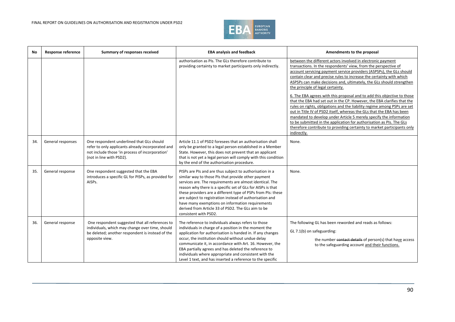

| No  | <b>Response reference</b> | Summary of responses received                                                                                                                                                 | <b>EBA analysis and feedback</b>                                                                                                                                                                                                                                                                                                                                                                                                                                                                          | Amendments to the proposal                                                                                                                                                                                                                                                                                                                                                                                                                                                                                                                                                                                                                                                                                                                                                                                                                                                                                                                     |
|-----|---------------------------|-------------------------------------------------------------------------------------------------------------------------------------------------------------------------------|-----------------------------------------------------------------------------------------------------------------------------------------------------------------------------------------------------------------------------------------------------------------------------------------------------------------------------------------------------------------------------------------------------------------------------------------------------------------------------------------------------------|------------------------------------------------------------------------------------------------------------------------------------------------------------------------------------------------------------------------------------------------------------------------------------------------------------------------------------------------------------------------------------------------------------------------------------------------------------------------------------------------------------------------------------------------------------------------------------------------------------------------------------------------------------------------------------------------------------------------------------------------------------------------------------------------------------------------------------------------------------------------------------------------------------------------------------------------|
|     |                           |                                                                                                                                                                               | authorisation as PIs. The GLs therefore contribute to<br>providing certainty to market participants only indirectly.                                                                                                                                                                                                                                                                                                                                                                                      | between the different actors involved in electronic payment<br>transactions. In the respondents' view, from the perspective of<br>account servicing payment service providers (ASPSPs), the GLs should<br>contain clear and precise rules to increase the certainty with which<br>ASPSPs can make decisions and, ultimately, the GLs should strengthen<br>the principle of legal certainty.<br>6. The EBA agrees with this proposal and to add this objective to those<br>that the EBA had set out in the CP. However, the EBA clarifies that the<br>rules on rights, obligations and the liability regime among PSPs are set<br>out in Title IV of PSD2 itself, whereas the GLs that the EBA has been<br>mandated to develop under Article 5 merely specify the information<br>to be submitted in the application for authorisation as PIs. The GLs<br>therefore contribute to providing certainty to market participants only<br>indirectly. |
| 34. | General responses         | One respondent underlined that GLs should<br>refer to only applicants already incorporated and<br>not include those 'in process of incorporation'<br>(not in line with PSD2). | Article 11.1 of PSD2 foresees that an authorisation shall<br>only be granted to a legal person established in a Member<br>State. However, this does not prevent that an applicant<br>that is not yet a legal person will comply with this condition<br>by the end of the authorisation procedure.                                                                                                                                                                                                         | None.                                                                                                                                                                                                                                                                                                                                                                                                                                                                                                                                                                                                                                                                                                                                                                                                                                                                                                                                          |
| 35. | General response          | One respondent suggested that the EBA<br>introduces a specific GL for PISPs, as provided for<br>AISPs.                                                                        | PISPs are PIs and are thus subject to authorisation in a<br>similar way to those PIs that provide other payment<br>services are. The requirements are almost identical. The<br>reason why there is a specific set of GLs for AISPs is that<br>these providers are a different type of PSPs from PIs: these<br>are subject to registration instead of authorisation and<br>have many exemptions on information requirements<br>derived from Article 33 of PSD2. The GLs aim to be<br>consistent with PSD2. | None.                                                                                                                                                                                                                                                                                                                                                                                                                                                                                                                                                                                                                                                                                                                                                                                                                                                                                                                                          |
| 36. | General response          | One respondent suggested that all references to<br>individuals, which may change over time, should<br>be deleted; another respondent is instead of the<br>opposite view.      | The reference to individuals always refers to those<br>individuals in charge of a position in the moment the<br>application for authorisation is handed in. If any changes<br>occur, the institution should without undue delay<br>communicate it, in accordance with Art. 16. However, the<br>EBA partially agrees and has deleted the reference to<br>individuals where appropriate and consistent with the<br>Level 1 text, and has inserted a reference to the specific                               | The following GL has been reworded and reads as follows:<br>GL 7.1(b) on safeguarding:<br>the number contact details of person(s) that have access<br>to the safeguarding account and their functions.                                                                                                                                                                                                                                                                                                                                                                                                                                                                                                                                                                                                                                                                                                                                         |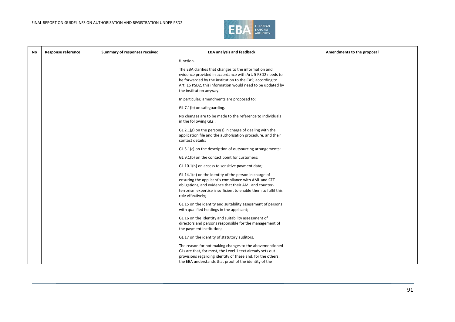

| No. | <b>Response reference</b> | Summary of responses received | <b>EBA analysis and feedback</b>                                                                                                                                                                                                                                        | Amendments to the proposal |
|-----|---------------------------|-------------------------------|-------------------------------------------------------------------------------------------------------------------------------------------------------------------------------------------------------------------------------------------------------------------------|----------------------------|
|     |                           |                               | function.                                                                                                                                                                                                                                                               |                            |
|     |                           |                               | The EBA clarifies that changes to the information and<br>evidence provided in accordance with Art. 5 PSD2 needs to<br>be forwarded by the institution to the CAS; according to<br>Art. 16 PSD2, this information would need to be updated by<br>the institution anyway. |                            |
|     |                           |                               | In particular, amendments are proposed to:                                                                                                                                                                                                                              |                            |
|     |                           |                               | GL 7.1(b) on safeguarding.                                                                                                                                                                                                                                              |                            |
|     |                           |                               | No changes are to be made to the reference to individuals<br>in the following GLs:                                                                                                                                                                                      |                            |
|     |                           |                               | GL 2.1(g) on the person(s) in charge of dealing with the<br>application file and the authorisation procedure, and their<br>contact details;                                                                                                                             |                            |
|     |                           |                               | GL 5.1(c) on the description of outsourcing arrangements;                                                                                                                                                                                                               |                            |
|     |                           |                               | GL 9.1(b) on the contact point for customers;                                                                                                                                                                                                                           |                            |
|     |                           |                               | GL 10.1(h) on access to sensitive payment data;                                                                                                                                                                                                                         |                            |
|     |                           |                               | GL 14.1(e) on the identity of the person in charge of<br>ensuring the applicant's compliance with AML and CFT<br>obligations, and evidence that their AML and counter-<br>terrorism expertise is sufficient to enable them to fulfil this<br>role effectively;          |                            |
|     |                           |                               | GL 15 on the identity and suitability assessment of persons<br>with qualified holdings in the applicant;                                                                                                                                                                |                            |
|     |                           |                               | GL 16 on the identity and suitability assessment of<br>directors and persons responsible for the management of<br>the payment institution;                                                                                                                              |                            |
|     |                           |                               | GL 17 on the identity of statutory auditors.                                                                                                                                                                                                                            |                            |
|     |                           |                               | The reason for not making changes to the abovementioned<br>GLs are that, for most, the Level 1 text already sets out<br>provisions regarding identity of these and, for the others,<br>the EBA understands that proof of the identity of the                            |                            |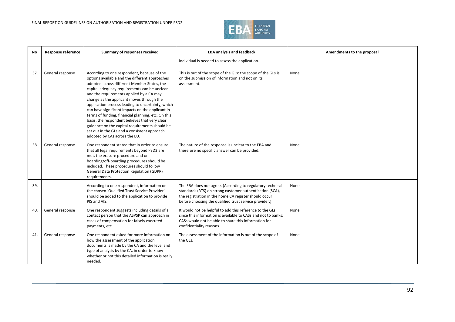

| No. | Response reference | Summary of responses received                                                                                                                                                                                                                                                                                                                                                                                                                                                                                                                                                                                                             | <b>EBA analysis and feedback</b>                                                                                                                                                                                                          | Amendments to the proposal |
|-----|--------------------|-------------------------------------------------------------------------------------------------------------------------------------------------------------------------------------------------------------------------------------------------------------------------------------------------------------------------------------------------------------------------------------------------------------------------------------------------------------------------------------------------------------------------------------------------------------------------------------------------------------------------------------------|-------------------------------------------------------------------------------------------------------------------------------------------------------------------------------------------------------------------------------------------|----------------------------|
|     |                    |                                                                                                                                                                                                                                                                                                                                                                                                                                                                                                                                                                                                                                           | individual is needed to assess the application.                                                                                                                                                                                           |                            |
| 37. | General response   | According to one respondent, because of the<br>options available and the different approaches<br>adopted across different Member States, the<br>capital adequacy requirements can be unclear<br>and the requirements applied by a CA may<br>change as the applicant moves through the<br>application process leading to uncertainty, which<br>can have significant impacts on the applicant in<br>terms of funding, financial planning, etc. On this<br>basis, the respondent believes that very clear<br>guidance on the capital requirements should be<br>set out in the GLs and a consistent approach<br>adopted by CAs across the EU. | This is out of the scope of the GLs: the scope of the GLs is<br>on the submission of information and not on its<br>assessment.                                                                                                            | None.                      |
| 38. | General response   | One respondent stated that in order to ensure<br>that all legal requirements beyond PSD2 are<br>met, the erasure procedure and on-<br>boarding/off-boarding procedures should be<br>included. These procedures should follow<br><b>General Data Protection Regulation (GDPR)</b><br>requirements.                                                                                                                                                                                                                                                                                                                                         | The nature of the response is unclear to the EBA and<br>therefore no specific answer can be provided.                                                                                                                                     | None.                      |
| 39. |                    | According to one respondent, information on<br>the chosen 'Qualified Trust Service Provider'<br>should be added to the application to provide<br>PIS and AIS.                                                                                                                                                                                                                                                                                                                                                                                                                                                                             | The EBA does not agree. (According to regulatory technical<br>standards (RTS) on strong customer authentication (SCA),<br>the registration in the home CA register should occur<br>before choosing the qualified trust service provider.) | None.                      |
| 40. | General response   | One respondent suggests including details of a<br>contact person that the ASPSP can approach in<br>cases of compensation for falsely executed<br>payments, etc.                                                                                                                                                                                                                                                                                                                                                                                                                                                                           | It would not be helpful to add this reference to the GLs,<br>since this information is available to CASs and not to banks:<br>CASs would not be able to share this information for<br>confidentiality reasons.                            | None.                      |
| 41. | General response   | One respondent asked for more information on<br>how the assessment of the application<br>documents is made by the CA and the level and<br>type of analysis by the CA, in order to know<br>whether or not this detailed information is really<br>needed.                                                                                                                                                                                                                                                                                                                                                                                   | The assessment of the information is out of the scope of<br>the GLs.                                                                                                                                                                      | None.                      |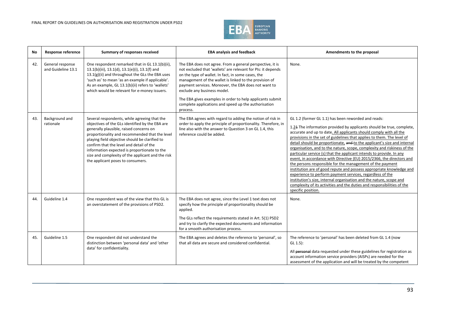

| No  | Response reference                     | Summary of responses received                                                                                                                                                                                                                                                                                                                                                                                                        | <b>EBA analysis and feedback</b>                                                                                                                                                                                                                                                                                                                                                                                                                                  | Amendments to the proposal                                                                                                                                                                                                                                                                                                                                                                                                                                                                                                                                                                                                                                                                                                                                                                                                                                                                                                                                     |
|-----|----------------------------------------|--------------------------------------------------------------------------------------------------------------------------------------------------------------------------------------------------------------------------------------------------------------------------------------------------------------------------------------------------------------------------------------------------------------------------------------|-------------------------------------------------------------------------------------------------------------------------------------------------------------------------------------------------------------------------------------------------------------------------------------------------------------------------------------------------------------------------------------------------------------------------------------------------------------------|----------------------------------------------------------------------------------------------------------------------------------------------------------------------------------------------------------------------------------------------------------------------------------------------------------------------------------------------------------------------------------------------------------------------------------------------------------------------------------------------------------------------------------------------------------------------------------------------------------------------------------------------------------------------------------------------------------------------------------------------------------------------------------------------------------------------------------------------------------------------------------------------------------------------------------------------------------------|
| 42. | General response<br>and Guideline 13.1 | One respondent remarked that in GL 13.1(b)(ii),<br>13.1(b)(iii), 13.1(d), 13.1(e)(i), 13.1(f) and<br>13.1(g)(ii) and throughout the GLs the EBA uses<br>'such as' to mean 'as an example if applicable'.<br>As an example, GL 13.1(b)(ii) refers to 'wallets'<br>which would be relevant for e-money issuers.                                                                                                                        | The EBA does not agree. From a general perspective, it is<br>not excluded that 'wallets' are relevant for PIs: it depends<br>on the type of wallet. In fact, in some cases, the<br>management of the wallet is linked to the provision of<br>payment services. Moreover, the EBA does not want to<br>exclude any business model.<br>The EBA gives examples in order to help applicants submit<br>complete applications and speed up the authorisation<br>process. | None.                                                                                                                                                                                                                                                                                                                                                                                                                                                                                                                                                                                                                                                                                                                                                                                                                                                                                                                                                          |
| 43. | Background and<br>rationale            | Several respondents, while agreeing that the<br>objectives of the GLs identified by the EBA are<br>generally plausible, raised concerns on<br>proportionality and recommended that the level<br>playing field objective should be clarified to<br>confirm that the level and detail of the<br>information expected is proportionate to the<br>size and complexity of the applicant and the risk<br>the applicant poses to consumers. | The EBA agrees with regard to adding the notion of risk in<br>order to apply the principle of proportionality. Therefore, in<br>line also with the answer to Question 3 on GL 1.4, this<br>reference could be added.                                                                                                                                                                                                                                              | GL 1.2 (former GL 1.1) has been reworded and reads:<br>1.24 The information provided by applicants should be true, complete,<br>accurate and up to date. All applicants should comply with all the<br>provisions in the set of guidelines that applies to them. The level of<br>detail should be proportionate, and to the applicant's size and internal<br>organisation, and to the nature, scope, complexity and riskiness of the<br>particular service (s) that the applicant intends to provide. In any<br>event, in accordance with Directive (EU) 2015/2366, the directors and<br>the persons responsible for the management of the payment<br>institution are of good repute and possess appropriate knowledge and<br>experience to perform payment services, regardless of the<br>institution's size, internal organisation and the nature, scope and<br>complexity of its activities and the duties and responsibilities of the<br>specific position. |
| 44. | Guideline 1.4                          | One respondent was of the view that this GL is<br>an overstatement of the provisions of PSD2.                                                                                                                                                                                                                                                                                                                                        | The EBA does not agree, since the Level 1 text does not<br>specify how the principle of proportionality should be<br>applied.<br>The GLs reflect the requirements stated in Art. 5(1) PSD2<br>and try to clarify the expected documents and information<br>for a smooth authorisation process.                                                                                                                                                                    | None.                                                                                                                                                                                                                                                                                                                                                                                                                                                                                                                                                                                                                                                                                                                                                                                                                                                                                                                                                          |
| 45. | Guideline 1.5                          | One respondent did not understand the<br>distinction between 'personal data' and 'other<br>data' for confidentiality.                                                                                                                                                                                                                                                                                                                | The EBA agrees and deletes the reference to 'personal', so<br>that all data are secure and considered confidential.                                                                                                                                                                                                                                                                                                                                               | The reference to 'personal' has been deleted from GL 1.4 (now<br>$GL 1.5$ :<br>All personal data requested under these guidelines for registration as<br>account information service providers (AISPs) are needed for the<br>assessment of the application and will be treated by the competent                                                                                                                                                                                                                                                                                                                                                                                                                                                                                                                                                                                                                                                                |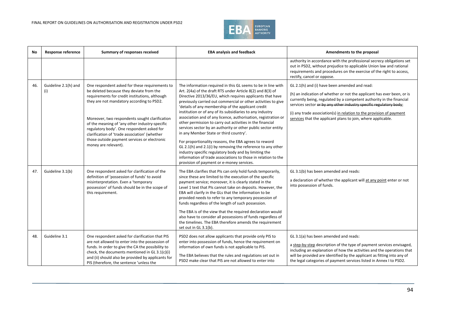

| No  | <b>Response reference</b>   | Summary of responses received                                                                                                                                                                                                                                                                                                                                                                                                                                        | <b>EBA analysis and feedback</b>                                                                                                                                                                                                                                                                                                                                                                                                                                                                                                                                                                                                                                                                                                                                                                                                                                                                                     | Amendments to the proposal                                                                                                                                                                                                                                                                                                                                                                                    |
|-----|-----------------------------|----------------------------------------------------------------------------------------------------------------------------------------------------------------------------------------------------------------------------------------------------------------------------------------------------------------------------------------------------------------------------------------------------------------------------------------------------------------------|----------------------------------------------------------------------------------------------------------------------------------------------------------------------------------------------------------------------------------------------------------------------------------------------------------------------------------------------------------------------------------------------------------------------------------------------------------------------------------------------------------------------------------------------------------------------------------------------------------------------------------------------------------------------------------------------------------------------------------------------------------------------------------------------------------------------------------------------------------------------------------------------------------------------|---------------------------------------------------------------------------------------------------------------------------------------------------------------------------------------------------------------------------------------------------------------------------------------------------------------------------------------------------------------------------------------------------------------|
|     |                             |                                                                                                                                                                                                                                                                                                                                                                                                                                                                      |                                                                                                                                                                                                                                                                                                                                                                                                                                                                                                                                                                                                                                                                                                                                                                                                                                                                                                                      | authority in accordance with the professional secrecy obligations set<br>out in PSD2, without prejudice to applicable Union law and rational<br>requirements and procedures on the exercise of the right to access,<br>rectify, cancel or oppose.                                                                                                                                                             |
| 46. | Guideline 2.1(h) and<br>(i) | One respondent asked for these requirements to<br>be deleted because they deviate from the<br>requirements for credit institutions, although<br>they are not mandatory according to PSD2.<br>Moreover, two respondents sought clarification<br>of the meaning of 'any other industry-specific<br>regulatory body'. One respondent asked for<br>clarification of 'trade association' (whether<br>those outside payment services or electronic<br>money are relevant). | The information required in this GL seems to be in line with<br>Art. 2(4a) of the draft RTS under Article 8(2) and 8(3) of<br>Directive 2013/36/EU, which requires applicants that have<br>previously carried out commercial or other activities to give<br>'details of any membership of the applicant credit<br>institution or of any of its subsidiaries to any industry<br>association and of any licence, authorisation, registration or<br>other permission to carry out activities in the financial<br>services sector by an authority or other public sector entity<br>in any Member State or third country'.<br>For proportionality reasons, the EBA agrees to reword<br>GL 2.1(h) and 2.1(i) by removing the reference to any other<br>industry specific regulatory body and by limiting the<br>information of trade associations to those in relation to the<br>provision of payment or e-money services. | GL 2.1(h) and (i) have been amended and read:<br>(h) an indication of whether or not the applicant has ever been, or is<br>currently being, regulated by a competent authority in the financial<br>services sector or by any other industry specific regulatory body;<br>(i) any trade association(s) in relation to the provision of payment<br>services that the applicant plans to join, where applicable. |
| 47. | Guideline 3.1(b)            | One respondent asked for clarification of the<br>definition of 'possession of funds' to avoid<br>misinterpretation. Even a 'temporary<br>possession' of funds should be in the scope of<br>this requirement.                                                                                                                                                                                                                                                         | The EBA clarifies that PIs can only hold funds temporarily,<br>since these are limited to the execution of the specific<br>payment service; moreover, it is clearly stated in the<br>Level 1 text that PIs cannot take on deposits. However, the<br>EBA will clarify in the GLs that the information to be<br>provided needs to refer to any temporary possession of<br>funds regardless of the length of such possession.<br>The EBA is of the view that the required declaration would<br>also have to consider all possessions of funds regardless of<br>the timelines. The EBA therefore amends the requirement<br>set out in GL 3.1(b).                                                                                                                                                                                                                                                                         | GL 3.1(b) has been amended and reads:<br>a declaration of whether the applicant will at any point enter or not<br>into possession of funds.                                                                                                                                                                                                                                                                   |
| 48  | Guideline 3.1               | One respondent asked for clarification that PIS<br>are not allowed to enter into the possession of<br>funds. In order to give the CA the possibility to<br>check, the documents mentioned in GL 3.1(c)(i)<br>and (ii) should also be provided by applicants for<br>PIS (therefore, the sentence 'unless the                                                                                                                                                          | PSD2 does not allow applicants that provide only PIS to<br>enter into possession of funds, hence the requirement on<br>information of own funds is not applicable to PIS.<br>The EBA believes that the rules and regulations set out in<br>PSD2 make clear that PIS are not allowed to enter into                                                                                                                                                                                                                                                                                                                                                                                                                                                                                                                                                                                                                    | GL 3.1(a) has been amended and reads:<br>a step-by-step description of the type of payment services envisaged,<br>including an explanation of how the activities and the operations that<br>will be provided are identified by the applicant as fitting into any of<br>the legal categories of payment services listed in Annex I to PSD2.                                                                    |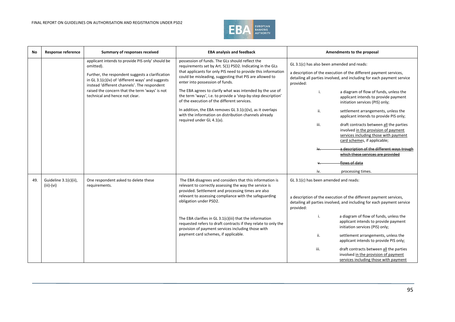

| No  | <b>Response reference</b>             | Summary of responses received                                                                                                                                                                                          | <b>EBA analysis and feedback</b>                                                                                                                                                                                                                                            | Amendments to the proposal                                                                                                                                                                             |
|-----|---------------------------------------|------------------------------------------------------------------------------------------------------------------------------------------------------------------------------------------------------------------------|-----------------------------------------------------------------------------------------------------------------------------------------------------------------------------------------------------------------------------------------------------------------------------|--------------------------------------------------------------------------------------------------------------------------------------------------------------------------------------------------------|
|     |                                       | applicant intends to provide PIS only' should be<br>omitted).<br>Further, the respondent suggests a clarification<br>in GL 3.1(c)(iv) of 'different ways' and suggests<br>instead 'different channels'. The respondent | possession of funds. The GLs should reflect the<br>requirements set by Art. 5(1) PSD2. Indicating in the GLs<br>that applicants for only PIS need to provide this information<br>could be misleading, suggesting that PIS are allowed to<br>enter into possession of funds. | GL 3.1(c) has also been amended and reads:<br>a description of the execution of the different payment services,<br>detailing all parties involved, and including for each payment service<br>provided: |
|     |                                       | raised the concern that the term 'ways' is not<br>technical and hence not clear.                                                                                                                                       | The EBA agrees to clarify what was intended by the use of<br>the term 'ways', i.e. to provide a 'step-by-step description'<br>of the execution of the different services.                                                                                                   | a diagram of flow of funds, unless the<br>i.<br>applicant intends to provide payment<br>initiation services (PIS) only;                                                                                |
|     |                                       |                                                                                                                                                                                                                        | In addition, the EBA removes GL 3.1(c)(iv), as it overlaps<br>with the information on distribution channels already<br>required under GL 4.1(a).                                                                                                                            | ii.<br>settlement arrangements, unless the<br>applicant intends to provide PIS only;                                                                                                                   |
|     |                                       |                                                                                                                                                                                                                        |                                                                                                                                                                                                                                                                             | iii.<br>draft contracts between all the parties<br>involved in the provision of payment<br>services including those with payment<br>card schemes, if applicable;                                       |
|     |                                       |                                                                                                                                                                                                                        |                                                                                                                                                                                                                                                                             | a description of the different ways trough<br>which these services are provided                                                                                                                        |
|     |                                       |                                                                                                                                                                                                                        |                                                                                                                                                                                                                                                                             | flows of data                                                                                                                                                                                          |
|     |                                       |                                                                                                                                                                                                                        |                                                                                                                                                                                                                                                                             | processing times.<br>iv.                                                                                                                                                                               |
| 49. | Guideline 3.1(c)(ii),<br>$(iii)-(vi)$ | One respondent asked to delete these<br>requirements.                                                                                                                                                                  | The EBA disagrees and considers that this information is<br>relevant to correctly assessing the way the service is<br>provided. Settlement and processing times are also<br>relevant to assessing compliance with the safeguarding<br>obligation under PSD2.                | GL 3.1(c) has been amended and reads:<br>a description of the execution of the different payment services,<br>detailing all parties involved, and including for each payment service<br>provided:      |
|     |                                       | The EBA clarifies in GL 3.1(c)(iii) that the information<br>provision of payment services including those with                                                                                                         | requested refers to draft contracts if they relate to only the                                                                                                                                                                                                              | a diagram of flow of funds, unless the<br>i.<br>applicant intends to provide payment<br>initiation services (PIS) only;                                                                                |
|     |                                       |                                                                                                                                                                                                                        | payment card schemes, if applicable.                                                                                                                                                                                                                                        | ii.<br>settlement arrangements, unless the<br>applicant intends to provide PIS only;                                                                                                                   |
|     |                                       |                                                                                                                                                                                                                        |                                                                                                                                                                                                                                                                             | iii.<br>draft contracts between all the parties<br>involved in the provision of payment<br>services including those with payment                                                                       |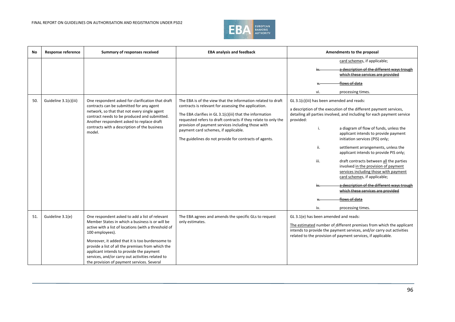

| No  | <b>Response reference</b> | Summary of responses received                                                                                                                                                                                                                                                                                                                                                                                                      | <b>EBA analysis and feedback</b>                                                                                                                                                                                                                                                                                                                                                                           | Amendments to the proposal                                                                                                                                                                                                                                                                                                                                                                                                                                                                        |
|-----|---------------------------|------------------------------------------------------------------------------------------------------------------------------------------------------------------------------------------------------------------------------------------------------------------------------------------------------------------------------------------------------------------------------------------------------------------------------------|------------------------------------------------------------------------------------------------------------------------------------------------------------------------------------------------------------------------------------------------------------------------------------------------------------------------------------------------------------------------------------------------------------|---------------------------------------------------------------------------------------------------------------------------------------------------------------------------------------------------------------------------------------------------------------------------------------------------------------------------------------------------------------------------------------------------------------------------------------------------------------------------------------------------|
| 50. | Guideline 3.1(c)(iii)     | One respondent asked for clarification that draft<br>contracts can be submitted for any agent<br>network, so that that not every single agent<br>contract needs to be produced and submitted.<br>Another respondent asked to replace draft<br>contracts with a description of the business<br>model.                                                                                                                               | The EBA is of the view that the information related to draft<br>contracts is relevant for assessing the application.<br>The EBA clarifies in GL 3.1(c)(iii) that the information<br>requested refers to draft contracts if they relate to only the<br>provision of payment services including those with<br>payment card schemes, if applicable.<br>The guidelines do not provide for contracts of agents. | card schemes, if applicable;<br>a description of the different ways trough<br>which these services are provided<br>flows of data<br>processing times.<br>vi.<br>GL 3.1(c)(iii) has been amended and reads:<br>a description of the execution of the different payment services,<br>detailing all parties involved, and including for each payment service<br>provided:<br>a diagram of flow of funds, unless the<br>i.<br>applicant intends to provide payment<br>initiation services (PIS) only; |
|     |                           |                                                                                                                                                                                                                                                                                                                                                                                                                                    |                                                                                                                                                                                                                                                                                                                                                                                                            | settlement arrangements, unless the<br>ii.<br>applicant intends to provide PIS only;<br>iii.<br>draft contracts between all the parties<br>involved in the provision of payment<br>services including those with payment<br>card schemes, if applicable;<br>a description of the different ways trough<br>which these services are provided<br>flows of data<br>iv.<br>processing times.                                                                                                          |
| 51. | Guideline 3.1(e)          | One respondent asked to add a list of relevant<br>Member States in which a business is or will be<br>active with a list of locations (with a threshold of<br>100 employees).<br>Moreover, it added that it is too burdensome to<br>provide a list of all the premises from which the<br>applicant intends to provide the payment<br>services, and/or carry out activities related to<br>the provision of payment services. Several | The EBA agrees and amends the specific GLs to request<br>only estimates.                                                                                                                                                                                                                                                                                                                                   | GL 3.1(e) has been amended and reads:<br>The estimated number of different premises from which the applicant<br>intends to provide the payment services, and/or carry out activities<br>related to the provision of payment services, if applicable.                                                                                                                                                                                                                                              |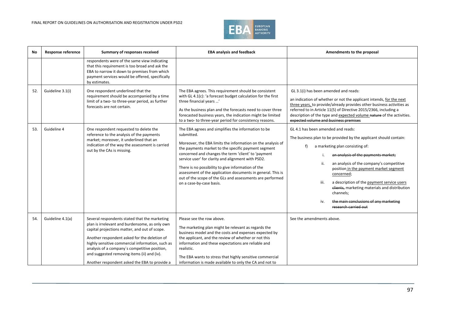

| No  | Response reference | Summary of responses received                                                                                                                                                                                                                                                                                                                                                                         | <b>EBA analysis and feedback</b>                                                                                                                                                                                                                                                                                                                                                                                                                                                                                   | Amendments to the proposal                                                                                                                                                                                                                                                                                                                                                                                                                                                                     |
|-----|--------------------|-------------------------------------------------------------------------------------------------------------------------------------------------------------------------------------------------------------------------------------------------------------------------------------------------------------------------------------------------------------------------------------------------------|--------------------------------------------------------------------------------------------------------------------------------------------------------------------------------------------------------------------------------------------------------------------------------------------------------------------------------------------------------------------------------------------------------------------------------------------------------------------------------------------------------------------|------------------------------------------------------------------------------------------------------------------------------------------------------------------------------------------------------------------------------------------------------------------------------------------------------------------------------------------------------------------------------------------------------------------------------------------------------------------------------------------------|
|     |                    | respondents were of the same view indicating<br>that this requirement is too broad and ask the<br>EBA to narrow it down to premises from which<br>payment services would be offered, specifically<br>by estimates.                                                                                                                                                                                    |                                                                                                                                                                                                                                                                                                                                                                                                                                                                                                                    |                                                                                                                                                                                                                                                                                                                                                                                                                                                                                                |
| 52. | Guideline 3.1(i)   | One respondent underlined that the<br>requirement should be accompanied by a time<br>limit of a two- to three-year period, as further<br>forecasts are not certain.                                                                                                                                                                                                                                   | The EBA agrees. This requirement should be consistent<br>with GL 4.1(c): 'a forecast budget calculation for the first<br>three financial years '<br>As the business plan and the forecasts need to cover three<br>forecasted business years, the indication might be limited<br>to a two- to three-year period for consistency reasons.                                                                                                                                                                            | GL 3.1(i) has been amended and reads:<br>an indication of whether or not the applicant intends, for the next<br>three years, to provide/already provides other business activities as<br>referred to in Article 11(5) of Directive 2015/2366, including a<br>description of the type and expected volume nature of the activities.<br>expected volume and business premises                                                                                                                    |
| 53. | Guideline 4        | One respondent requested to delete the<br>reference to the analysis of the payments<br>market; moreover, it underlined that an<br>indication of the way the assessment is carried<br>out by the CAs is missing.                                                                                                                                                                                       | The EBA agrees and simplifies the information to be<br>submitted.<br>Moreover, the EBA limits the information on the analysis of<br>the payments market to the specific payment segment<br>concerned and changes the term 'client' to 'payment<br>service user' for clarity and alignment with PSD2.<br>There is no possibility to give information of the<br>assessment of the application documents in general. This is<br>out of the scope of the GLs and assessments are performed<br>on a case-by-case basis. | GL 4.1 has been amended and reads:<br>The business plan to be provided by the applicant should contain:<br>a marketing plan consisting of:<br>f)<br>an analysis of the payments market;<br>ii.<br>an analysis of the company's competitive<br>position in the payment market segment<br>concerned;<br>a description of the payment service users<br>iii.<br>clients, marketing materials and distribution<br>channels;<br>the main conclusions of any marketing<br>iv.<br>research carried out |
| 54. | Guideline 4.1(a)   | Several respondents stated that the marketing<br>plan is irrelevant and burdensome, as only own<br>capital projections matter, and out of scope.<br>Another respondent asked for the deletion of<br>highly sensitive commercial information, such as<br>analysis of a company's competitive position,<br>and suggested removing items (ii) and (iv).<br>Another respondent asked the EBA to provide a | Please see the row above.<br>The marketing plan might be relevant as regards the<br>business model and the costs and expenses expected by<br>the applicant, and the review of whether or not this<br>information and these expectations are reliable and<br>realistic.<br>The EBA wants to stress that highly sensitive commercial<br>information is made available to only the CA and not to                                                                                                                      | See the amendments above.                                                                                                                                                                                                                                                                                                                                                                                                                                                                      |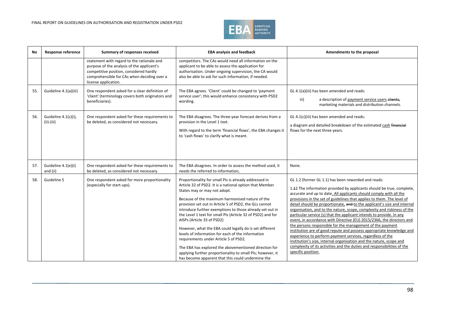

| <b>No</b> | <b>Response reference</b>            | Summary of responses received                                                                                                                                                                              | <b>EBA analysis and feedback</b>                                                                                                                                                                                                                                                                                                                                                                                                                                                                                                                                                                                                                                                                                                                            | Amendments to the proposal                                                                                                                                                                                                                                                                                                                                                                                                                                                                                                                                                                                                                                                                                                                                                                                                                                                                                                                                     |
|-----------|--------------------------------------|------------------------------------------------------------------------------------------------------------------------------------------------------------------------------------------------------------|-------------------------------------------------------------------------------------------------------------------------------------------------------------------------------------------------------------------------------------------------------------------------------------------------------------------------------------------------------------------------------------------------------------------------------------------------------------------------------------------------------------------------------------------------------------------------------------------------------------------------------------------------------------------------------------------------------------------------------------------------------------|----------------------------------------------------------------------------------------------------------------------------------------------------------------------------------------------------------------------------------------------------------------------------------------------------------------------------------------------------------------------------------------------------------------------------------------------------------------------------------------------------------------------------------------------------------------------------------------------------------------------------------------------------------------------------------------------------------------------------------------------------------------------------------------------------------------------------------------------------------------------------------------------------------------------------------------------------------------|
|           |                                      | statement with regard to the rationale and<br>purpose of the analysis of the applicant's<br>competitive position, considered hardly<br>comprehensible for CAs when deciding over a<br>license application. | competitors. The CAs would need all information on the<br>applicant to be able to assess the application for<br>authorisation. Under ongoing supervision, the CA would<br>also be able to ask for such information, if needed.                                                                                                                                                                                                                                                                                                                                                                                                                                                                                                                              |                                                                                                                                                                                                                                                                                                                                                                                                                                                                                                                                                                                                                                                                                                                                                                                                                                                                                                                                                                |
| 55.       | Guideline 4.1(a)(iii)                | One respondent asked for a clear definition of<br>'client' (terminology covers both originators and<br>beneficiaries).                                                                                     | The EBA agrees. 'Client' could be changed to 'payment<br>service user'; this would enhance consistency with PSD2<br>wording.                                                                                                                                                                                                                                                                                                                                                                                                                                                                                                                                                                                                                                | GL 4.1(a)(iii) has been amended and reads:<br>iii)<br>a description of payment service users clients,<br>marketing materials and distribution channels.                                                                                                                                                                                                                                                                                                                                                                                                                                                                                                                                                                                                                                                                                                                                                                                                        |
| 56.       | Guideline 4.1(c)(i),<br>$(ii)-(iii)$ | One respondent asked for these requirements to<br>be deleted, as considered not necessary.                                                                                                                 | The EBA disagrees. The three-year forecast derives from a<br>provision in the Level 1 text.<br>With regard to the term 'financial flows', the EBA changes it<br>to 'cash flows' to clarify what is meant.                                                                                                                                                                                                                                                                                                                                                                                                                                                                                                                                                   | GL 4.1(c)(iii) has been amended and reads:<br>a diagram and detailed breakdown of the estimated cash financial<br>flows for the next three years.                                                                                                                                                                                                                                                                                                                                                                                                                                                                                                                                                                                                                                                                                                                                                                                                              |
| 57.       | Guideline 4.1(e)(i)<br>and (ii)      | One respondent asked for these requirements to<br>be deleted, as considered not necessary.                                                                                                                 | The EBA disagrees. In order to assess the method used, it<br>needs the referred to information.                                                                                                                                                                                                                                                                                                                                                                                                                                                                                                                                                                                                                                                             | None.                                                                                                                                                                                                                                                                                                                                                                                                                                                                                                                                                                                                                                                                                                                                                                                                                                                                                                                                                          |
| 58.       | Guideline 5                          | One respondent asked for more proportionality<br>(especially for start-ups).                                                                                                                               | Proportionality for small PIs is already addressed in<br>Article 32 of PSD2. It is a national option that Member<br>States may or may not adopt.<br>Because of the maximum harmonised nature of the<br>provision set out in Article 5 of PSD2, the GLs cannot<br>introduce further exemptions to those already set out in<br>the Level 1 text for small PIs (Article 32 of PSD2) and for<br>AISPs (Article 33 of PSD2)<br>However, what the EBA could legally do is set different<br>levels of information for each of the information<br>requirements under Article 5 of PSD2.<br>The EBA has explored the abovementioned direction for<br>applying further proportionality to small PIs; however, it<br>has become apparent that this could undermine the | GL 1.2 (former GL 1.1) has been reworded and reads:<br>1.42 The information provided by applicants should be true, complete,<br>accurate and up to date. All applicants should comply with all the<br>provisions in the set of guidelines that applies to them. The level of<br>detail should be proportionate, and to the applicant's size and internal<br>organisation, and to the nature, scope, complexity and riskiness of the<br>particular service (s) that the applicant intends to provide. In any<br>event, in accordance with Directive (EU) 2015/2366, the directors and<br>the persons responsible for the management of the payment<br>institution are of good repute and possess appropriate knowledge and<br>experience to perform payment services, regardless of the<br>institution's size, internal organisation and the nature, scope and<br>complexity of its activities and the duties and responsibilities of the<br>specific position. |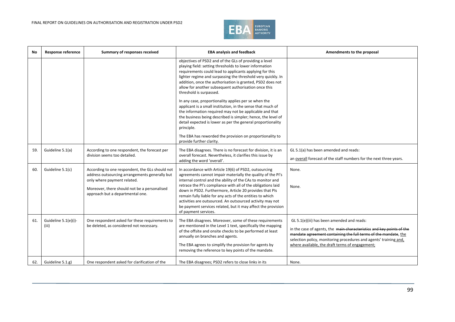

| No  | <b>Response reference</b>     | Summary of responses received                                                                                                                                                                                        | <b>EBA analysis and feedback</b>                                                                                                                                                                                                                                                                                                                                                                                                                                                                                                                                                                                                                                                                                                                                                        | Amendments to the proposal                                                                                                                                                                                                                                                                                     |
|-----|-------------------------------|----------------------------------------------------------------------------------------------------------------------------------------------------------------------------------------------------------------------|-----------------------------------------------------------------------------------------------------------------------------------------------------------------------------------------------------------------------------------------------------------------------------------------------------------------------------------------------------------------------------------------------------------------------------------------------------------------------------------------------------------------------------------------------------------------------------------------------------------------------------------------------------------------------------------------------------------------------------------------------------------------------------------------|----------------------------------------------------------------------------------------------------------------------------------------------------------------------------------------------------------------------------------------------------------------------------------------------------------------|
|     |                               |                                                                                                                                                                                                                      | objectives of PSD2 and of the GLs of providing a level<br>playing field: setting thresholds to lower information<br>requirements could lead to applicants applying for this<br>lighter regime and surpassing the threshold very quickly. In<br>addition, once the authorisation is granted, PSD2 does not<br>allow for another subsequent authorisation once this<br>threshold is surpassed.<br>In any case, proportionality applies per se when the<br>applicant is a small institution, in the sense that much of<br>the information required may not be applicable and that<br>the business being described is simpler; hence, the level of<br>detail expected is lower as per the general proportionality<br>principle.<br>The EBA has reworded the provision on proportionality to |                                                                                                                                                                                                                                                                                                                |
|     |                               |                                                                                                                                                                                                                      | provide further clarity.                                                                                                                                                                                                                                                                                                                                                                                                                                                                                                                                                                                                                                                                                                                                                                |                                                                                                                                                                                                                                                                                                                |
| 59. | Guideline 5.1(a)              | According to one respondent, the forecast per<br>division seems too detailed.                                                                                                                                        | The EBA disagrees. There is no forecast for division, it is an<br>overall forecast. Nevertheless, it clarifies this issue by<br>adding the word 'overall'.                                                                                                                                                                                                                                                                                                                                                                                                                                                                                                                                                                                                                              | GL 5.1(a) has been amended and reads:<br>an overall forecast of the staff numbers for the next three years.                                                                                                                                                                                                    |
| 60. | Guideline 5.1(c)              | According to one respondent, the GLs should not<br>address outsourcing arrangements generally but<br>only where payment related.<br>Moreover, there should not be a personalised<br>approach but a departmental one. | In accordance with Article 19(6) of PSD2, outsourcing<br>agreements cannot impair materially the quality of the PI's<br>internal control and the ability of the CAs to monitor and<br>retrace the PI's compliance with all of the obligations laid<br>down in PSD2. Furthermore, Article 20 provides that PIs<br>remain fully liable for any acts of the entities to which<br>activities are outsourced. An outsourced activity may not<br>be payment services related, but it may affect the provision<br>of payment services.                                                                                                                                                                                                                                                         | None.<br>None.                                                                                                                                                                                                                                                                                                 |
| 61. | Guideline 5.1(e)(i)-<br>(iii) | One respondent asked for these requirements to<br>be deleted, as considered not necessary.                                                                                                                           | The EBA disagrees. Moreover, some of these requirements<br>are mentioned in the Level 1 text, specifically the mapping<br>of the offsite and onsite checks to be performed at least<br>annually on branches and agents.<br>The EBA agrees to simplify the provision for agents by<br>removing the reference to key points of the mandate.                                                                                                                                                                                                                                                                                                                                                                                                                                               | GL 5.1(e)(iii) has been amended and reads:<br>in the case of agents, the main characteristics and key points of the<br>mandate agreement containing the full terms of the mandate, the<br>selection policy, monitoring procedures and agents' training and,<br>where available, the draft terms of engagement; |
| 62. | Guideline 5.1.g)              | One respondent asked for clarification of the                                                                                                                                                                        | The EBA disagrees; PSD2 refers to close links in its                                                                                                                                                                                                                                                                                                                                                                                                                                                                                                                                                                                                                                                                                                                                    | None.                                                                                                                                                                                                                                                                                                          |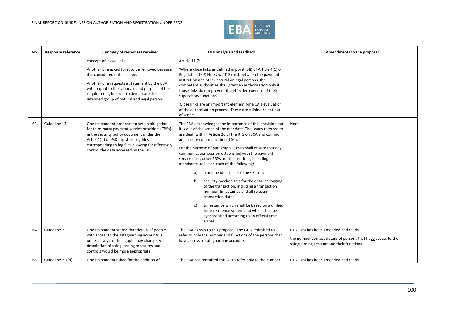

| No  | <b>Response reference</b> | Summary of responses received                                                                                                                                                                                                                                                                              | <b>EBA analysis and feedback</b>                                                                                                                                                                                                                                                                                                                                                                                                                                                                                                                                                                                                                                                                                                                                                                                                 | Amendments to the proposal                                                                                                                          |
|-----|---------------------------|------------------------------------------------------------------------------------------------------------------------------------------------------------------------------------------------------------------------------------------------------------------------------------------------------------|----------------------------------------------------------------------------------------------------------------------------------------------------------------------------------------------------------------------------------------------------------------------------------------------------------------------------------------------------------------------------------------------------------------------------------------------------------------------------------------------------------------------------------------------------------------------------------------------------------------------------------------------------------------------------------------------------------------------------------------------------------------------------------------------------------------------------------|-----------------------------------------------------------------------------------------------------------------------------------------------------|
|     |                           | concept of 'close links'.<br>Another one asked for it to be removed because<br>it is considered out of scope.<br>Another one requests a statement by the EBA<br>with regard to the rationale and purpose of this<br>requirement, in order to demarcate the<br>intended group of natural and legal persons. | Article 11.7:<br>'Where close links as defined in point (38) of Article 4(1) of<br>Regulation (EU) No 575/2013 exist between the payment<br>institution and other natural or legal persons, the<br>competent authorities shall grant an authorisation only if<br>those links do not prevent the effective exercise of their<br>supervisory functions'.<br>Close links are an important element for a CA's evaluation<br>of the authorisation process. These close links are not out<br>of scope.                                                                                                                                                                                                                                                                                                                                 |                                                                                                                                                     |
| 63. | Guideline 13              | One respondent proposes to set an obligation<br>for third-party payment service providers (TPPs)<br>in the security policy document under the<br>Art. 5(1)(j) of PSD2 to store log files<br>corresponding to log files allowing for effectively<br>control the data accessed by the TPP.                   | The EBA acknowledges the importance of this provision but<br>it is out of the scope of the mandate. The issues referred to<br>are dealt with in Article 26 of the RTS on SCA and common<br>and secure communication (CSC).<br>For the purpose of paragraph 1, PSPs shall ensure that any<br>communication session established with the payment<br>service user, other PSPs or other entities, including<br>merchants, relies on each of the following:<br>a unique identifier for the session;<br>a)<br>security mechanisms for the detailed logging<br>b)<br>of the transaction, including a transaction<br>number, timestamps and all relevant<br>transaction data;<br>timestamps which shall be based on a unified<br>C)<br>time-reference system and which shall be<br>synchronised according to an official time<br>signal. | None.                                                                                                                                               |
| 64. | Guideline 7               | One respondent stated that details of people<br>with access to the safeguarding accounts is<br>unnecessary, as the people may change. A<br>description of safeguarding measures and<br>controls would be more appropriate.                                                                                 | The EBA agrees to this proposal. The GL is redrafted to<br>refer to only the number and functions of the persons that<br>have access to safeguarding accounts.                                                                                                                                                                                                                                                                                                                                                                                                                                                                                                                                                                                                                                                                   | GL 7.1(b) has been amended and reads:<br>the number contact details of persons that have access to the<br>safeguarding account and their functions. |
| 65. | Guideline 7.1(b)          | One respondent asked for the addition of                                                                                                                                                                                                                                                                   | The EBA has redrafted this GL to refer only to the number                                                                                                                                                                                                                                                                                                                                                                                                                                                                                                                                                                                                                                                                                                                                                                        | GL 7.1(b) has been amended and reads:                                                                                                               |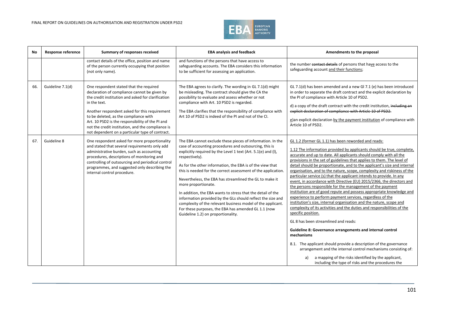

| No  | <b>Response reference</b> | Summary of responses received                                                                                                                                                                                                                                                                                                                                                                                       | <b>EBA analysis and feedback</b>                                                                                                                                                                                                                                                                                                                                                                                                                                                                                                                                                                                                                                                                                  | Amendments to the proposal                                                                                                                                                                                                                                                                                                                                                                                                                                                                                                                                                                                                                                                                                                                                                                                                                                                                                                                                                                                                                                                                                                                                                                                                                                                                                                                  |
|-----|---------------------------|---------------------------------------------------------------------------------------------------------------------------------------------------------------------------------------------------------------------------------------------------------------------------------------------------------------------------------------------------------------------------------------------------------------------|-------------------------------------------------------------------------------------------------------------------------------------------------------------------------------------------------------------------------------------------------------------------------------------------------------------------------------------------------------------------------------------------------------------------------------------------------------------------------------------------------------------------------------------------------------------------------------------------------------------------------------------------------------------------------------------------------------------------|---------------------------------------------------------------------------------------------------------------------------------------------------------------------------------------------------------------------------------------------------------------------------------------------------------------------------------------------------------------------------------------------------------------------------------------------------------------------------------------------------------------------------------------------------------------------------------------------------------------------------------------------------------------------------------------------------------------------------------------------------------------------------------------------------------------------------------------------------------------------------------------------------------------------------------------------------------------------------------------------------------------------------------------------------------------------------------------------------------------------------------------------------------------------------------------------------------------------------------------------------------------------------------------------------------------------------------------------|
|     |                           | contact details of the office, position and name<br>of the person currently occupying that position<br>(not only name).                                                                                                                                                                                                                                                                                             | and functions of the persons that have access to<br>safeguarding accounts. The EBA considers this information<br>to be sufficient for assessing an application.                                                                                                                                                                                                                                                                                                                                                                                                                                                                                                                                                   | the number contact details of persons that have access to the<br>safeguarding account and their functions;                                                                                                                                                                                                                                                                                                                                                                                                                                                                                                                                                                                                                                                                                                                                                                                                                                                                                                                                                                                                                                                                                                                                                                                                                                  |
| 66. | Guideline 7.1(d)          | One respondent stated that the required<br>declaration of compliance cannot be given by<br>the credit institution and asked for clarification<br>in the text.<br>Another respondent asked for this requirement<br>to be deleted, as the compliance with<br>Art. 10 PSD2 is the responsibility of the PI and<br>not the credit institution, and the compliance is<br>not dependent on a particular type of contract. | The EBA agrees to clarify. The wording in GL 7.1(d) might<br>be misleading. The contract should give the CA the<br>possibility to evaluate and assess whether or not<br>compliance with Art. 10 PSD2 is regarded.<br>The EBA clarifies that the responsibility of compliance with<br>Art 10 of PSD2 is indeed of the PI and not of the CI.                                                                                                                                                                                                                                                                                                                                                                        | GL 7.1(d) has been amended and a new GI 7.1 (e) has been introduced<br>in order to separate the draft contract and the explicit declaration by<br>the PI of compliance with Article 10 of PSD2.<br>d) a copy of the draft contract with the credit institution, including an<br>explicit declaration of compliance with Article 10 of PSD2.<br>e)an explicit declaration by the payment institution of compliance with<br>Article 10 of PSD2.                                                                                                                                                                                                                                                                                                                                                                                                                                                                                                                                                                                                                                                                                                                                                                                                                                                                                               |
| 67. | Guideline 8               | One respondent asked for more proportionality<br>and stated that several requirements only add<br>administrative burden, such as accounting<br>procedures, descriptions of monitoring and<br>controlling of outsourcing and periodical control<br>programmes, and suggested only describing the<br>internal control procedure.                                                                                      | The EBA cannot exclude these pieces of information. In the<br>case of accounting procedures and outsourcing, this is<br>explicitly required by the Level 1 text (Art. 5.1(e) and (I),<br>respectively).<br>As for the other information, the EBA is of the view that<br>this is needed for the correct assessment of the application.<br>Nevertheless, the EBA has streamlined the GL to make it<br>more proportionate.<br>In addition, the EBA wants to stress that the detail of the<br>information provided by the GLs should reflect the size and<br>complexity of the relevant business model of the applicant.<br>For these purposes, the EBA has amended GL 1.1 (now<br>Guideline 1.2) on proportionality. | GL 1.2 (former GL 1.1) has been reworded and reads:<br>1.12 The information provided by applicants should be true, complete,<br>accurate and up to date. All applicants should comply with all the<br>provisions in the set of guidelines that applies to them. The level of<br>detail should be proportionate, and to the applicant's size and internal<br>organisation, and to the nature, scope, complexity and riskiness of the<br>particular service (s) that the applicant intends to provide. In any<br>event, in accordance with Directive (EU) 2015/2366, the directors and<br>the persons responsible for the management of the payment<br>institution are of good repute and possess appropriate knowledge and<br>experience to perform payment services, regardless of the<br>institution's size, internal organisation and the nature, scope and<br>complexity of its activities and the duties and responsibilities of the<br>specific position.<br>GL 8 has been streamlined and reads:<br>Guideline 8: Governance arrangements and internal control<br>mechanisms<br>8.1. The applicant should provide a description of the governance<br>arrangement and the internal control mechanisms consisting of:<br>a)<br>a mapping of the risks identified by the applicant,<br>including the type of risks and the procedures the |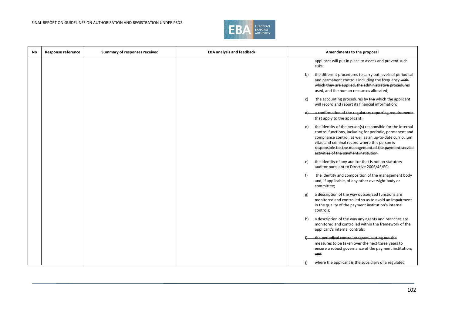

| <b>No</b> | <b>Response reference</b> | Summary of responses received | <b>EBA analysis and feedback</b> | Amendments to the proposal                                                                                                                                                                                                                                                                                                                   |
|-----------|---------------------------|-------------------------------|----------------------------------|----------------------------------------------------------------------------------------------------------------------------------------------------------------------------------------------------------------------------------------------------------------------------------------------------------------------------------------------|
|           |                           |                               |                                  | applicant will put in place to assess and prevent such<br>risks;                                                                                                                                                                                                                                                                             |
|           |                           |                               |                                  | the different procedures to carry out levels of periodical<br>b)<br>and permanent controls including the frequency with<br>which they are applied, the administrative procedures<br>used, and the human resources allocated;                                                                                                                 |
|           |                           |                               |                                  | the accounting procedures by the which the applicant<br>c)<br>will record and report its financial information;                                                                                                                                                                                                                              |
|           |                           |                               |                                  | a confirmation of the regulatory reporting requirements<br>that apply to the applicant;                                                                                                                                                                                                                                                      |
|           |                           |                               |                                  | the identity of the person(s) responsible for the internal<br>d)<br>control functions, including for periodic, permanent and<br>compliance control, as well as an up-to-date curriculum<br>vitae and criminal record where this person is<br>responsible for the management of the payment service<br>activities of the payment institution; |
|           |                           |                               |                                  | the identity of any auditor that is not an statutory<br>e)<br>auditor pursuant to Directive 2006/43/EC;                                                                                                                                                                                                                                      |
|           |                           |                               |                                  | f<br>the identity and composition of the management body<br>and, if applicable, of any other oversight body or<br>committee;                                                                                                                                                                                                                 |
|           |                           |                               |                                  | a description of the way outsourced functions are<br>g)<br>monitored and controlled so as to avoid an impairment<br>in the quality of the payment institution's internal<br>controls;                                                                                                                                                        |
|           |                           |                               |                                  | a description of the way any agents and branches are<br>h)<br>monitored and controlled within the framework of the<br>applicant's internal controls;                                                                                                                                                                                         |
|           |                           |                               |                                  | the periodical control program, setting out the<br>measures to be taken over the next three years to<br>ensure a robust governance of the payment institution;<br>and                                                                                                                                                                        |
|           |                           |                               |                                  | where the applicant is the subsidiary of a regulated<br>j)                                                                                                                                                                                                                                                                                   |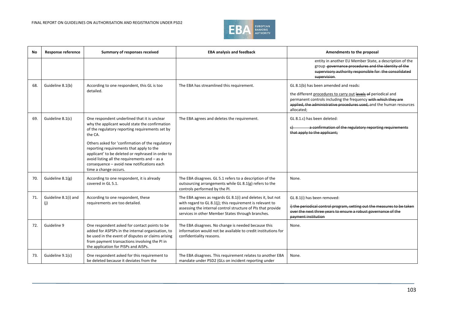

| No  | <b>Response reference</b>   | Summary of responses received                                                                                                                                                                                                                                                                                                                                                                                                             | <b>EBA analysis and feedback</b>                                                                                                                                                                                                              | Amendments to the proposal                                                                                                                                                                                                                                      |
|-----|-----------------------------|-------------------------------------------------------------------------------------------------------------------------------------------------------------------------------------------------------------------------------------------------------------------------------------------------------------------------------------------------------------------------------------------------------------------------------------------|-----------------------------------------------------------------------------------------------------------------------------------------------------------------------------------------------------------------------------------------------|-----------------------------------------------------------------------------------------------------------------------------------------------------------------------------------------------------------------------------------------------------------------|
|     |                             |                                                                                                                                                                                                                                                                                                                                                                                                                                           |                                                                                                                                                                                                                                               | entity in another EU Member State, a description of the<br>group governance procedures and the identity of the<br>supervisory authority responsible for the consolidated<br>supervision.                                                                        |
| 68. | Guideline 8.1(b)            | According to one respondent, this GL is too<br>detailed.                                                                                                                                                                                                                                                                                                                                                                                  | The EBA has streamlined this requirement.                                                                                                                                                                                                     | GL 8.1(b) has been amended and reads:<br>the different procedures to carry out levels of periodical and<br>permanent controls including the frequency with which they are<br>applied, the administrative procedures used, and the human resources<br>allocated; |
| 69. | Guideline 8.1(c)            | One respondent underlined that it is unclear<br>why the applicant would state the confirmation<br>of the regulatory reporting requirements set by<br>the CA.<br>Others asked for 'confirmation of the regulatory<br>reporting requirements that apply to the<br>applicant' to be deleted or rephrased in order to<br>avoid listing all the requirements and - as a<br>consequence - avoid new notifications each<br>time a change occurs. | The EBA agrees and deletes the requirement.                                                                                                                                                                                                   | GL 8.1.c) has been deleted:<br>a confirmation of the regulatory reporting requirements<br>that apply to the applicant;                                                                                                                                          |
| 70. | Guideline 8.1(g)            | According to one respondent, it is already<br>covered in GL 5.1.                                                                                                                                                                                                                                                                                                                                                                          | The EBA disagrees. GL 5.1 refers to a description of the<br>outsourcing arrangements while GL 8.1(g) refers to the<br>controls performed by the PI.                                                                                           | None.                                                                                                                                                                                                                                                           |
| 71. | Guideline 8.1(i) and<br>(i) | According to one respondent, these<br>requirements are too detailed.                                                                                                                                                                                                                                                                                                                                                                      | The EBA agrees as regards GL 8.1(i) and deletes it, but not<br>with regard to GL 8.1(j); this requirement is relevant to<br>assessing the internal control structure of PIs that provide<br>services in other Member States through branches. | GL 8.1(i) has been removed:<br>i) the periodical control program, setting out the measures to be taken<br>over the next three years to ensure a robust governance of the<br>payment institution                                                                 |
| 72. | Guideline 9                 | One respondent asked for contact points to be<br>added for ASPSPs in the internal organisation, to<br>be used in the event of disputes or claims arising<br>from payment transactions involving the PI in<br>the application for PISPs and AISPs.                                                                                                                                                                                         | The EBA disagrees. No change is needed because this<br>information would not be available to credit institutions for<br>confidentiality reasons.                                                                                              | None.                                                                                                                                                                                                                                                           |
| 73. | Guideline 9.1(c)            | One respondent asked for this requirement to<br>be deleted because it deviates from the                                                                                                                                                                                                                                                                                                                                                   | The EBA disagrees. This requirement relates to another EBA<br>mandate under PSD2 (GLs on incident reporting under                                                                                                                             | None.                                                                                                                                                                                                                                                           |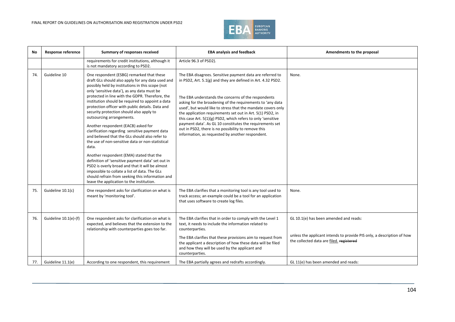

| No  | Response reference       | Summary of responses received                                                                                                                                                                                                                                                                                                                                                                                                                                                                                                                                                                                                                                                                                                                                                                                                                                                                                                                       | <b>EBA analysis and feedback</b>                                                                                                                                                                                                                                                                                                                                                                                                                                                                                                                                                                                    | Amendments to the proposal                                                                                                                                   |
|-----|--------------------------|-----------------------------------------------------------------------------------------------------------------------------------------------------------------------------------------------------------------------------------------------------------------------------------------------------------------------------------------------------------------------------------------------------------------------------------------------------------------------------------------------------------------------------------------------------------------------------------------------------------------------------------------------------------------------------------------------------------------------------------------------------------------------------------------------------------------------------------------------------------------------------------------------------------------------------------------------------|---------------------------------------------------------------------------------------------------------------------------------------------------------------------------------------------------------------------------------------------------------------------------------------------------------------------------------------------------------------------------------------------------------------------------------------------------------------------------------------------------------------------------------------------------------------------------------------------------------------------|--------------------------------------------------------------------------------------------------------------------------------------------------------------|
|     |                          | requirements for credit institutions, although it<br>is not mandatory according to PSD2.                                                                                                                                                                                                                                                                                                                                                                                                                                                                                                                                                                                                                                                                                                                                                                                                                                                            | Article 96.3 of PSD2).                                                                                                                                                                                                                                                                                                                                                                                                                                                                                                                                                                                              |                                                                                                                                                              |
| 74. | Guideline 10             | One respondent (ESBG) remarked that these<br>draft GLs should also apply for any data used and<br>possibly held by institutions in this scope (not<br>only 'sensitive data'), as any data must be<br>protected in line with the GDPR. Therefore, the<br>institution should be required to appoint a data<br>protection officer with public details. Data and<br>security protection should also apply to<br>outsourcing arrangements.<br>Another respondent (EACB) asked for<br>clarification regarding sensitive payment data<br>and believed that the GLs should also refer to<br>the use of non-sensitive data or non-statistical<br>data.<br>Another respondent (EMA) stated that the<br>definition of 'sensitive payment data' set out in<br>PSD2 is overly broad and that it will be almost<br>impossible to collate a list of data. The GLs<br>should refrain from seeking this information and<br>leave the application to the institution. | The EBA disagrees. Sensitive payment data are referred to<br>in PSD2, Art. 5.1(g) and they are defined in Art. 4.32 PSD2.<br>The EBA understands the concerns of the respondents<br>asking for the broadening of the requirements to 'any data<br>used', but would like to stress that the mandate covers only<br>the application requirements set out in Art. 5(1) PSD2, in<br>this case Art. 5(1)(g) PSD2, which refers to only 'sensitive<br>payment data'. As GL 10 constitutes the requirements set<br>out in PSD2, there is no possibility to remove this<br>information, as requested by another respondent. | None.                                                                                                                                                        |
| 75. | Guideline 10.1(c)        | One respondent asks for clarification on what is<br>meant by 'monitoring tool'.                                                                                                                                                                                                                                                                                                                                                                                                                                                                                                                                                                                                                                                                                                                                                                                                                                                                     | The EBA clarifies that a monitoring tool is any tool used to<br>track access; an example could be a tool for an application<br>that uses software to create log files.                                                                                                                                                                                                                                                                                                                                                                                                                                              | None.                                                                                                                                                        |
| 76. | Guideline $10.1(e)$ -(f) | One respondent asks for clarification on what is<br>expected, and believes that the extension to the<br>relationship with counterparties goes too far.                                                                                                                                                                                                                                                                                                                                                                                                                                                                                                                                                                                                                                                                                                                                                                                              | The EBA clarifies that in order to comply with the Level 1<br>text, it needs to include the information related to<br>counterparties.<br>The EBA clarifies that these provisions aim to request from<br>the applicant a description of how these data will be filed<br>and how they will be used by the applicant and<br>counterparties.                                                                                                                                                                                                                                                                            | GL 10.1(e) has been amended and reads:<br>unless the applicant intends to provide PIS only, a description of how<br>the collected data are filed. registered |
| 77. | Guideline 11.1(e)        | According to one respondent, this requirement                                                                                                                                                                                                                                                                                                                                                                                                                                                                                                                                                                                                                                                                                                                                                                                                                                                                                                       | The EBA partially agrees and redrafts accordingly.                                                                                                                                                                                                                                                                                                                                                                                                                                                                                                                                                                  | GL 11(e) has been amended and reads:                                                                                                                         |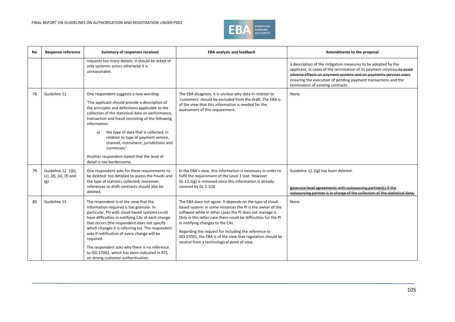

| No  | <b>Response reference</b>                            | Summary of responses received                                                                                                                                                                                                                                                                                                                                                                                                                                                                          | <b>EBA analysis and feedback</b>                                                                                                                                                                                                                                                                                                                                                                                                                                | Amendments to the proposal                                                                                                                                                                                                                                                                                             |
|-----|------------------------------------------------------|--------------------------------------------------------------------------------------------------------------------------------------------------------------------------------------------------------------------------------------------------------------------------------------------------------------------------------------------------------------------------------------------------------------------------------------------------------------------------------------------------------|-----------------------------------------------------------------------------------------------------------------------------------------------------------------------------------------------------------------------------------------------------------------------------------------------------------------------------------------------------------------------------------------------------------------------------------------------------------------|------------------------------------------------------------------------------------------------------------------------------------------------------------------------------------------------------------------------------------------------------------------------------------------------------------------------|
|     |                                                      | requests too many details; it should be asked of<br>only systemic actors otherwise it is<br>unreasonable.                                                                                                                                                                                                                                                                                                                                                                                              |                                                                                                                                                                                                                                                                                                                                                                                                                                                                 | a description of the mitigation measures to be adopted by the<br>applicant, in cases of the termination of its payment services, to avoid<br>adverse effects on payment systems and on payments services users<br>ensuring the execution of pending payment transactions and the<br>termination of existing contracts. |
| 78. | Guideline 12                                         | One respondent suggests a new wording:<br>'The applicant should provide a description of<br>the principles and definitions applicable to the<br>collection of the statistical data on performance,<br>transaction and fraud consisting of the following<br>information:<br>the type of data that is collected, in<br>a)<br>relation to type of payment service,<br>channel, instrument, jurisdictions and<br>currencies;'.<br>Another respondent stated that the level of<br>detail is too burdensome. | The EBA disagrees; it is unclear why data in relation to<br>'customers' should be excluded from the draft. The EBA is<br>of the view that this information is needed for the<br>assessment of this requirement.                                                                                                                                                                                                                                                 | None.                                                                                                                                                                                                                                                                                                                  |
| 79. | Guideline 12. 1(b),<br>(c), (d), (e), (f) and<br>(g) | One respondent asks for these requirements to<br>be deleted: too detailed to assess the frauds and<br>the type of statistics collected; moreover,<br>references to draft contracts should also be<br>deleted.                                                                                                                                                                                                                                                                                          | In the EBA's view, this information is necessary in order to<br>fulfil the requirement of the Level 1 text. However<br>GL 12.1(g) is removed since this information is already<br>covered by GL 5.1(d)                                                                                                                                                                                                                                                          | Guideline 12.1(g) has been deleted:<br>g)service level agreements with outsourcing partner(s) if the<br>outsourcing partner is in charge of the collection of the statistical data:                                                                                                                                    |
| 80. | Guideline 13                                         | The respondent is of the view that the<br>information required is too granular. In<br>particular, PIs with cloud-based systems could<br>have difficulties in notifying CAs of each change<br>that occurs (the respondent does not specify<br>which changes it is referring to). The respondent<br>asks if notification of every change will be<br>required.<br>The respondent asks why there is no reference<br>to ISO 27001, which has been indicated in RTS<br>on strong customer authentication.    | The EBA does not agree. It depends on the type of cloud-<br>based system: in some instances the PI is the owner of the<br>software while in other cases the PI does not manage it.<br>Only in this latter case there could be difficulties for the PI<br>in notifying changes to the CAs.<br>Regarding the request for including the reference to<br>ISO 27001, the EBA is of the view that regulation should be<br>neutral from a technological point of view. | None                                                                                                                                                                                                                                                                                                                   |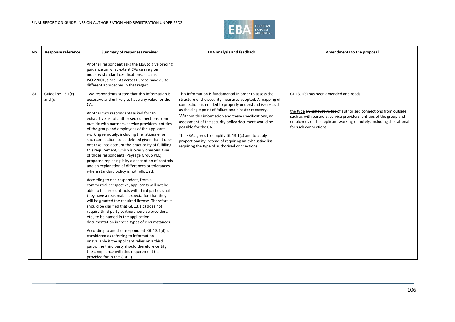

| <b>No</b> | <b>Response reference</b>      | Summary of responses received                                                                                                                                                                                                                                                                                                                                                                                                                                                                                                                                                                                                                                                                                                                                                                                                                                                                                                                                                                                                                                                                                                                                                                                                                                                                                                                                                                                                                            | <b>EBA analysis and feedback</b>                                                                                                                                                                                                                                                                                                                                                                                                                                                                                                                 | Amendments to the proposal                                                                                                                                                                                                                                                            |
|-----------|--------------------------------|----------------------------------------------------------------------------------------------------------------------------------------------------------------------------------------------------------------------------------------------------------------------------------------------------------------------------------------------------------------------------------------------------------------------------------------------------------------------------------------------------------------------------------------------------------------------------------------------------------------------------------------------------------------------------------------------------------------------------------------------------------------------------------------------------------------------------------------------------------------------------------------------------------------------------------------------------------------------------------------------------------------------------------------------------------------------------------------------------------------------------------------------------------------------------------------------------------------------------------------------------------------------------------------------------------------------------------------------------------------------------------------------------------------------------------------------------------|--------------------------------------------------------------------------------------------------------------------------------------------------------------------------------------------------------------------------------------------------------------------------------------------------------------------------------------------------------------------------------------------------------------------------------------------------------------------------------------------------------------------------------------------------|---------------------------------------------------------------------------------------------------------------------------------------------------------------------------------------------------------------------------------------------------------------------------------------|
|           |                                | Another respondent asks the EBA to give binding<br>guidance on what extent CAs can rely on<br>industry standard certifications, such as<br>ISO 27001, since CAs across Europe have quite<br>different approaches in that regard.                                                                                                                                                                                                                                                                                                                                                                                                                                                                                                                                                                                                                                                                                                                                                                                                                                                                                                                                                                                                                                                                                                                                                                                                                         |                                                                                                                                                                                                                                                                                                                                                                                                                                                                                                                                                  |                                                                                                                                                                                                                                                                                       |
| 81.       | Guideline 13.1(c)<br>and $(d)$ | Two respondents stated that this information is<br>excessive and unlikely to have any value for the<br>CA.<br>Another two respondents asked for 'an<br>exhaustive list of authorised connections from<br>outside with partners, service providers, entities<br>of the group and employees of the applicant<br>working remotely, including the rationale for<br>such connection' to be deleted given that it does<br>not take into account the practicality of fulfilling<br>this requirement, which is overly onerous. One<br>of those respondents (Paysage Group PLC)<br>proposed replacing it by a description of controls<br>and an explanation of differences or tolerances<br>where standard policy is not followed.<br>According to one respondent, from a<br>commercial perspective, applicants will not be<br>able to finalise contracts with third parties until<br>they have a reasonable expectation that they<br>will be granted the required license. Therefore it<br>should be clarified that GL 13.1(c) does not<br>require third party partners, service providers,<br>etc., to be named in the application<br>documentation in these types of circumstances.<br>According to another respondent, GL 13.1(d) is<br>considered as referring to information<br>unavailable if the applicant relies on a third<br>party; the third party should therefore certify<br>the compliance with this requirement (as<br>provided for in the GDPR). | This information is fundamental in order to assess the<br>structure of the security measures adopted. A mapping of<br>connections is needed to properly understand issues such<br>as the single point of failure and disaster recovery.<br>Without this information and these specifications, no<br>assessment of the security policy document would be<br>possible for the CA.<br>The EBA agrees to simplify GL 13.1(c) and to apply<br>proportionality instead of requiring an exhaustive list<br>requiring the type of authorised connections | GL 13.1(c) has been amended and reads:<br>the type an exhaustive list of authorised connections from outside,<br>such as with partners, service providers, entities of the group and<br>employees of the applicant working remotely, including the rationale<br>for such connections. |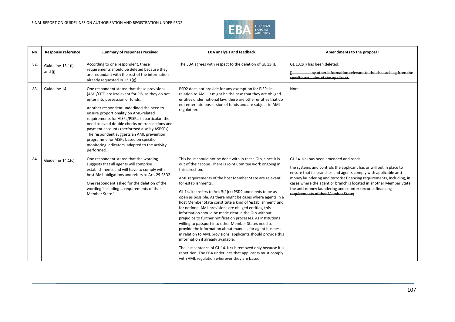

| No  | <b>Response reference</b>    | Summary of responses received                                                                                                                                                                                                                                                                                                                                                                                                                                                                                                         | <b>EBA analysis and feedback</b>                                                                                                                                                                                                                                                                                                                                                                                                                                                                                                                                                                                                                                                                                                                                                                                                                                                                                                                                                                                      | Amendments to the proposal                                                                                                                                                                                                                                                                                                                                                                                                         |
|-----|------------------------------|---------------------------------------------------------------------------------------------------------------------------------------------------------------------------------------------------------------------------------------------------------------------------------------------------------------------------------------------------------------------------------------------------------------------------------------------------------------------------------------------------------------------------------------|-----------------------------------------------------------------------------------------------------------------------------------------------------------------------------------------------------------------------------------------------------------------------------------------------------------------------------------------------------------------------------------------------------------------------------------------------------------------------------------------------------------------------------------------------------------------------------------------------------------------------------------------------------------------------------------------------------------------------------------------------------------------------------------------------------------------------------------------------------------------------------------------------------------------------------------------------------------------------------------------------------------------------|------------------------------------------------------------------------------------------------------------------------------------------------------------------------------------------------------------------------------------------------------------------------------------------------------------------------------------------------------------------------------------------------------------------------------------|
| 82. | Guideline 13.1(i)<br>and (j) | According to one respondent, these<br>requirements should be deleted because they<br>are redundant with the rest of the information<br>already requested in 13.1(g).                                                                                                                                                                                                                                                                                                                                                                  | The EBA agrees with respect to the deletion of GL 13(j).                                                                                                                                                                                                                                                                                                                                                                                                                                                                                                                                                                                                                                                                                                                                                                                                                                                                                                                                                              | GL 13.1(j) has been deleted:<br>any other information relevant to the risks arising from the<br>specific activities of the applicant.                                                                                                                                                                                                                                                                                              |
| 83. | Guideline 14                 | One respondent stated that these provisions<br>(AML/CFT) are irrelevant for PIS, as they do not<br>enter into possession of funds.<br>Another respondent underlined the need to<br>ensure proportionality on AML-related<br>requirements for AISPs/PISPs: in particular, the<br>need to avoid double checks on transactions and<br>payment accounts (performed also by ASPSPs).<br>The respondent suggests an AML prevention<br>programme for AISPs based on specific<br>monitoring indicators, adapted to the activity<br>performed. | PSD2 does not provide for any exemption for PISPs in<br>relation to AML. It might be the case that they are obliged<br>entities under national law: there are other entities that do<br>not enter into possession of funds and are subject to AML<br>regulation.                                                                                                                                                                                                                                                                                                                                                                                                                                                                                                                                                                                                                                                                                                                                                      | None.                                                                                                                                                                                                                                                                                                                                                                                                                              |
| 84. | Guideline 14.1(c)            | One respondent stated that the wording<br>suggests that all agents will comprise<br>establishments and will have to comply with<br>host AML obligations and refers to Art. 29 PSD2.<br>One respondent asked for the deletion of the<br>wording 'including  requirements of that<br>Member State.'                                                                                                                                                                                                                                     | This issue should not be dealt with in these GLs, since it is<br>out of their scope. There is Joint Comitee work ongoing in<br>this direction.<br>AML requirements of the host Member State are relevant<br>for establishments.<br>GL 14.1(c) refers to Art. $5(1)(k)$ PSD2 and needs to be as<br>open as possible. As there might be cases where agents in a<br>host Member State constitute a kind of 'establishment' and<br>for national AML provisions are obliged entities, this<br>information should be made clear in the GLs without<br>prejudice to further notification processes. As institutions<br>willing to passport into other Member States need to<br>provide the information about manuals for agent business<br>in relation to AML provisions, applicants should provide this<br>information if already available.<br>The last sentence of GL 14.1(c) is removed only because it is<br>repetition. The EBA underlines that applicants must comply<br>with AML regulation wherever they are based. | GL 14.1(c) has been amended and reads:<br>the systems and controls the applicant has or will put in place to<br>ensure that its branches and agents comply with applicable anti-<br>money laundering and terrorist financing requirements, including, in<br>cases where the agent or branch is located in another Member State,<br>the anti-money laundering and counter terrorist financing<br>requirements of that Member State: |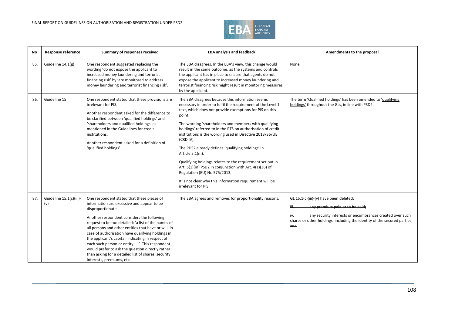

| <b>No</b> | <b>Response reference</b>      | Summary of responses received                                                                                                                                                                                                                                                                                                                                                                                                                                                                                                                                                  | <b>EBA analysis and feedback</b>                                                                                                                                                                                                                                                                                                                                                                                                                                                                                                                                                                                                                                                                        | Amendments to the proposal                                                                                                                                                                                               |
|-----------|--------------------------------|--------------------------------------------------------------------------------------------------------------------------------------------------------------------------------------------------------------------------------------------------------------------------------------------------------------------------------------------------------------------------------------------------------------------------------------------------------------------------------------------------------------------------------------------------------------------------------|---------------------------------------------------------------------------------------------------------------------------------------------------------------------------------------------------------------------------------------------------------------------------------------------------------------------------------------------------------------------------------------------------------------------------------------------------------------------------------------------------------------------------------------------------------------------------------------------------------------------------------------------------------------------------------------------------------|--------------------------------------------------------------------------------------------------------------------------------------------------------------------------------------------------------------------------|
| 85.       | Guideline 14.1(g)              | One respondent suggested replacing the<br>wording 'do not expose the applicant to<br>increased money laundering and terrorist<br>financing risk' by 'are monitored to address<br>money laundering and terrorist financing risk'.                                                                                                                                                                                                                                                                                                                                               | The EBA disagrees. In the EBA's view, this change would<br>result in the same outcome, as the systems and controls<br>the applicant has in place to ensure that agents do not<br>expose the applicant to increased money laundering and<br>terrorist financing risk might result in monitoring measures<br>by the applicant.                                                                                                                                                                                                                                                                                                                                                                            | None.                                                                                                                                                                                                                    |
| 86.       | Guideline 15                   | One respondent stated that these provisions are<br>irrelevant for PIS.<br>Another respondent asked for the difference to<br>be clarified between 'qualified holdings' and<br>'shareholders and qualified holdings' as<br>mentioned in the Guidelines for credit<br>institutions.<br>Another respondent asked for a definition of<br>'qualified holdings'.                                                                                                                                                                                                                      | The EBA disagrees because this information seems<br>necessary in order to fulfil the requirement of the Level 1<br>text, which does not provide exemptions for PIS on this<br>point.<br>The wording 'shareholders and members with qualifying<br>holdings' referred to in the RTS on authorisation of credit<br>institutions is the wording used in Directive 2013/36/UE<br>(CRD IV).<br>The PDS2 already defines 'qualifying holdings' in<br>Article 5.1(m).<br>Qualifying holdings relates to the requirement set out in<br>Art. 5(1)(m) PSD2 in conjunction with Art. 4(1)(36) of<br>Regulation (EU) No 575/2013.<br>It is not clear why this information requirement will be<br>irrelevant for PIS. | The term 'Qualified holdings' has been amended to 'qualifying<br>holdings' throughout the GLs, in line with PSD2.                                                                                                        |
| 87.       | Guideline 15.1(c)(iii)-<br>(v) | One respondent stated that these pieces of<br>information are excessive and appear to be<br>disproportionate.<br>Another respondent considers the following<br>request to be too detailed: 'a list of the names of<br>all persons and other entities that have or will, in<br>case of authorisation have qualifying holdings in<br>the applicant's capital, indicating in respect of<br>each such person or entity: '. This respondent<br>would prefer to ask the question directly rather<br>than asking for a detailed list of shares, security<br>interests, premiums, etc. | The EBA agrees and removes for proportionality reasons.                                                                                                                                                                                                                                                                                                                                                                                                                                                                                                                                                                                                                                                 | GL 15.1(c)(iii)-(v) have been deleted:<br>any premium paid or to be paid;<br>any security interests or encumbrances created over such<br>shares or other holdings, including the identity of the secured parties;<br>and |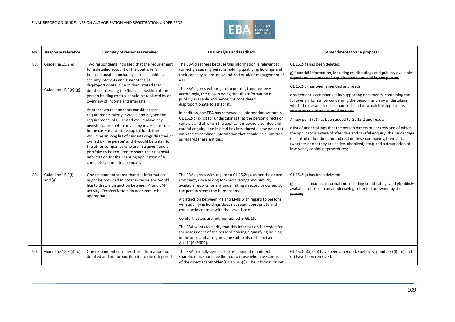

| No  | <b>Response reference</b>                  | Summary of responses received                                                                                                                                                                                                                                                                                                                                                                                                                                                                                                                                                                                                                                                                                                                                                                                                                                                                                                  | <b>EBA analysis and feedback</b>                                                                                                                                                                                                                                                                                                                                                                                                                                                                                                                                                                                                                                                                                                                            | Amendments to the proposal                                                                                                                                                                                                                                                                                                                                                                                                                                                                                                                                                                                                                                                                                                                                                                                                                                                       |
|-----|--------------------------------------------|--------------------------------------------------------------------------------------------------------------------------------------------------------------------------------------------------------------------------------------------------------------------------------------------------------------------------------------------------------------------------------------------------------------------------------------------------------------------------------------------------------------------------------------------------------------------------------------------------------------------------------------------------------------------------------------------------------------------------------------------------------------------------------------------------------------------------------------------------------------------------------------------------------------------------------|-------------------------------------------------------------------------------------------------------------------------------------------------------------------------------------------------------------------------------------------------------------------------------------------------------------------------------------------------------------------------------------------------------------------------------------------------------------------------------------------------------------------------------------------------------------------------------------------------------------------------------------------------------------------------------------------------------------------------------------------------------------|----------------------------------------------------------------------------------------------------------------------------------------------------------------------------------------------------------------------------------------------------------------------------------------------------------------------------------------------------------------------------------------------------------------------------------------------------------------------------------------------------------------------------------------------------------------------------------------------------------------------------------------------------------------------------------------------------------------------------------------------------------------------------------------------------------------------------------------------------------------------------------|
| 88. | Guideline 15.2(e)<br>Guideline 15.2(e)-(g) | Two respondents indicated that the requirement<br>for a detailed account of the controller's<br>financial position including assets, liabilities,<br>security interests and guarantees, is<br>disproportionate. One of them stated that<br>details concerning the financial position of the<br>person holding control should be replaced by an<br>overview of income and interests.<br>Another two respondents consider these<br>requirements overly invasive and beyond the<br>requirements of PSD2 and would make any<br>investor pause before investing in a PI start-up.<br>In the case of a venture capital fund, there<br>would be an long list of 'undertakings directed or<br>owned by the person' and it would be unfair for<br>the other companies who are in a given fund's<br>portfolio to be required to share their financial<br>information for the licensing application of a<br>completely unrelated company. | The EBA disagrees because this information is relevant to<br>correctly assessing persons holding qualifying holdings and<br>their capacity to ensure sound and prudent management of<br>a PI.<br>The EBA agrees with regard to point (g) and removes<br>accordingly, the reason being that this information is<br>publicly available and hence it is considered<br>disproportionate to ask for it.<br>In addition, the EBA has removed all information set out in<br>GL 15.2(c)(i)-(xi) for undertakings that the person directs or<br>controls and of which the applicant is aware after due and<br>careful enquiry, and instead has introduced a new point (d)<br>with the streamlined information that should be submitted<br>as regards these entities. | GL 15.2(g) has been deleted:<br>g) financial information, including credit ratings and publicly available<br>reports on any undertakings directed or owned by the person;<br>GL 15.2(c) has been amended and reads:<br>a statement, accompanied by supporting documents, containing the<br>following information concerning the person: and any undertaking<br>which the person directs or controls and of which the applicant is<br>aware after due and careful enquiry:<br>A new point (d) has been added to GL 15.2 and reads:<br>a list of undertakings that the person directs or controls and of which<br>the applicant is aware of after due and careful enguiry; the percentage<br>of control either direct or indirect in these companies; their status<br>(whether or not they are active, dissolved, etc.); and a description of<br>insolvency or similar procedures; |
| 89. | Guideline 15.2(f)<br>and $(g)$             | One respondent stated that this information<br>might be provided in broader terms and would<br>like to draw a distinction between PI and EMI<br>activity. Comfort letters do not seem to be<br>appropriate.                                                                                                                                                                                                                                                                                                                                                                                                                                                                                                                                                                                                                                                                                                                    | The EBA agrees with regard to GL 15.2(g), as per the above<br>comment, since asking for credit ratings and publicly<br>available reports for any undertaking directed or owned by<br>the person seems too burdensome.<br>A distinction between PIs and EMIs with regard to persons<br>with qualifying holdings does not seem appropriate and<br>could be in contrast with the Level 1 text.<br>Comfort letters are not mentioned in GL 15.<br>The EBA wants to clarify that this information is needed for<br>the assessment of the persons holding a qualifying holding<br>in the applicant as regards the suitability of them (see<br>Art. 11(6) PSD2).                                                                                                   | GL 15.2(g) has been deleted:<br>financial information, including credit ratings and g)publicly<br>g) -<br>available reports on any undertakings directed or owned by the<br>person;                                                                                                                                                                                                                                                                                                                                                                                                                                                                                                                                                                                                                                                                                              |
| 90. | Guideline 15.3 (j)-(o)                     | One respondent considers this information too<br>detailed and not proportionate to the risk posed                                                                                                                                                                                                                                                                                                                                                                                                                                                                                                                                                                                                                                                                                                                                                                                                                              | The EBA partially agrees. The assessment of indirect<br>shareholders should be limited to those who have control<br>of the direct shareholder (GL 15.3(j)(i)). The information set                                                                                                                                                                                                                                                                                                                                                                                                                                                                                                                                                                          | GL 15.3(n),(j)-(o) have been amended, spefically points (k) (l) (m) and<br>(n) have been removed.                                                                                                                                                                                                                                                                                                                                                                                                                                                                                                                                                                                                                                                                                                                                                                                |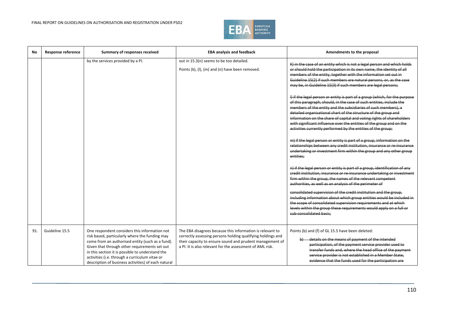

| No  | <b>Response reference</b> | Summary of responses received                                                                                                                                                                                                                                                                                                                                     | <b>EBA analysis and feedback</b>                                                                                                                                                                                                                  | Amendments to the proposal                                                                                                                                                                                                                                                                                                                                                                                                                                                                                                                                                                                                                                                                                                                                                                                                                                                                                                                                                                                                                                                                                          |
|-----|---------------------------|-------------------------------------------------------------------------------------------------------------------------------------------------------------------------------------------------------------------------------------------------------------------------------------------------------------------------------------------------------------------|---------------------------------------------------------------------------------------------------------------------------------------------------------------------------------------------------------------------------------------------------|---------------------------------------------------------------------------------------------------------------------------------------------------------------------------------------------------------------------------------------------------------------------------------------------------------------------------------------------------------------------------------------------------------------------------------------------------------------------------------------------------------------------------------------------------------------------------------------------------------------------------------------------------------------------------------------------------------------------------------------------------------------------------------------------------------------------------------------------------------------------------------------------------------------------------------------------------------------------------------------------------------------------------------------------------------------------------------------------------------------------|
|     |                           | by the services provided by a PI.                                                                                                                                                                                                                                                                                                                                 | out in 15.3(n) seems to be too detailed.<br>Points (k), (l), (m) and (n) have been removed.                                                                                                                                                       | K) in the case of an entity which is not a legal person and which holds<br>or should hold the participation in its own name, the identity of all<br>members of the entity, together with the information set out in<br>Guideline 15(2) if such members are natural persons, or, as the case<br>may be, in Guideline 15(3) if such members are legal persons;<br>I) if the legal person or entity is part of a group (which, for the purpose<br>of this paragraph, should, in the case of such entities, include the<br>members of the entity and the subsidiaries of such members), a<br>detailed organisational chart of the structure of the group and<br>information on the share of capital and voting rights of shareholders<br>with significant influence over the entities of the group and on the<br>activities currently performed by the entities of the group;<br>m) if the legal person or entity is part of a group, information on the<br>relationships between any credit institution, insurance or re-insurance<br>undertaking or investment firm within the group and any other group<br>entities: |
|     |                           |                                                                                                                                                                                                                                                                                                                                                                   |                                                                                                                                                                                                                                                   | n) if the legal person or entity is part of a group, identification of any<br>credit institution, insurance or re-insurance undertaking or investment<br>firm within the group, the names of the relevant competent<br>authorities, as well as an analysis of the perimeter of<br>consolidated supervision of the credit institution and the group.<br>including information about which group entities would be included in<br>the scope of consolidated supervision requirements and at which<br>levels within the group these requirements would apply on a full or<br>sub consolidated basis:                                                                                                                                                                                                                                                                                                                                                                                                                                                                                                                   |
| 91. | Guideline 15.5            | One respondent considers this information not<br>risk based, particularly where the funding may<br>come from an authorised entity (such as a fund).<br>Given that through other requirements set out<br>in this section it is possible to understand the<br>activities (i.e. through a curriculum vitae or<br>description of business activities) of each natural | The EBA disagrees because this information is relevant to<br>correctly assessing persons holding qualifying holdings and<br>their capacity to ensure sound and prudent management of<br>a PI. It is also relevant for the assessment of AML risk. | Points (b) and (f) of GL 15.5 have been deleted:<br>b) details on the means of payment of the intended<br>participation, of the payment service provider used to<br>transfer funds and, where the head office of the payment<br>service provider is not established in a Member State.<br>evidence that the funds used for the participation are                                                                                                                                                                                                                                                                                                                                                                                                                                                                                                                                                                                                                                                                                                                                                                    |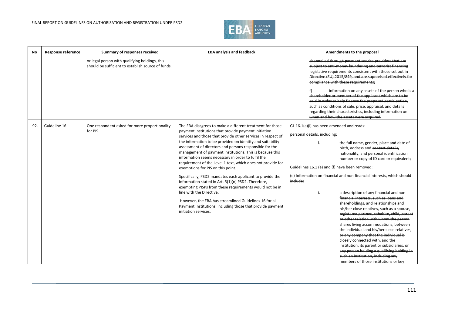

| No  | <b>Response reference</b> | Summary of responses received                                                                        | <b>EBA analysis and feedback</b>                                                                                                                                                                                                                                                                                                                                                                                                                                                                                                                                                                                                                                                                                                                                                                                                                                                            | Amendments to the proposal                                                                                                                                                                                                                                                                                                                                                                                                                                                                                                                                                                                                                                                                                                                                                                                                                                                                                                                                                                                      |
|-----|---------------------------|------------------------------------------------------------------------------------------------------|---------------------------------------------------------------------------------------------------------------------------------------------------------------------------------------------------------------------------------------------------------------------------------------------------------------------------------------------------------------------------------------------------------------------------------------------------------------------------------------------------------------------------------------------------------------------------------------------------------------------------------------------------------------------------------------------------------------------------------------------------------------------------------------------------------------------------------------------------------------------------------------------|-----------------------------------------------------------------------------------------------------------------------------------------------------------------------------------------------------------------------------------------------------------------------------------------------------------------------------------------------------------------------------------------------------------------------------------------------------------------------------------------------------------------------------------------------------------------------------------------------------------------------------------------------------------------------------------------------------------------------------------------------------------------------------------------------------------------------------------------------------------------------------------------------------------------------------------------------------------------------------------------------------------------|
|     |                           | or legal person with qualifying holdings, this<br>should be sufficient to establish source of funds. |                                                                                                                                                                                                                                                                                                                                                                                                                                                                                                                                                                                                                                                                                                                                                                                                                                                                                             | channelled through payment service providers that are<br>subject to anti-money laundering and terrorist financing<br>legislative requirements consistent with those set out in<br>Directive (EU) 2015/849, and are supervised effectively for<br>compliance with these requirements;<br>information on any assets of the person who is a<br>shareholder or member of the applicant which are to be<br>sold in order to help finance the proposed participation.<br>such as conditions of sale, price, appraisal, and details<br>regarding their characteristics, including information on<br>when and how the assets were acquired.                                                                                                                                                                                                                                                                                                                                                                             |
| 92. | Guideline 16              | One respondent asked for more proportionality<br>for PIS.                                            | The EBA disagrees to make a different treatment for those<br>payment institutions that provide payment initiation<br>services and those that provide other services in respect of<br>the information to be provided on identity and suitability<br>assessment of directors and persons responsible for the<br>management of payment institutions. This is because this<br>information seems necessary in order to fulfil the<br>requirement of the Level 1 text, which does not provide for<br>exemptions for PIS on this point.<br>Specifically, PSD2 mandates each applicant to provide the<br>information stated in Art. 5(1)(n) PSD2. Therefore,<br>exempting PISPs from these requirements would not be in<br>line with the Directive.<br>However, the EBA has streamlined Guidelines 16 for all<br>Payment Institutions, including those that provide payment<br>initiation services. | GL 16.1(a)(i) has been amended and reads:<br>personal details, including:<br>the full name, gender, place and date of<br>birth, address and contact details,<br>nationality, and personal identification<br>number or copy of ID card or equivalent;<br>Guidelines 16.1 (e) and (f) have been removed:<br>(e) Information on financial and non financial interests, which should<br>include:<br>a description of any financial and non-<br>financial interests, such as loans and<br>shareholdings, and relationships and<br>his/her close relatives, such as a spouse,<br>registered partner, cohabite, child, parent<br>or other relation with whom the person<br>shares living accommodations, between<br>the individual and his/her close relatives,<br>or any company that the individual is<br>closely connected with, and the<br>institution, its parent or subsidiaries, or<br>any person holding a qualifying holding in<br>such an institution, including any<br>members of those institutions or key |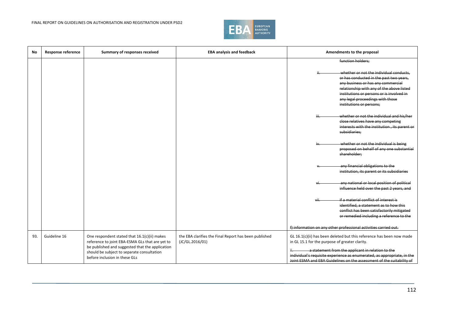

| No  | <b>Response reference</b> | Summary of responses received                                                                                                                                                                                                     | <b>EBA analysis and feedback</b>                                         | Amendments to the proposal                                                                                                                                                                                                                                                                                                      |
|-----|---------------------------|-----------------------------------------------------------------------------------------------------------------------------------------------------------------------------------------------------------------------------------|--------------------------------------------------------------------------|---------------------------------------------------------------------------------------------------------------------------------------------------------------------------------------------------------------------------------------------------------------------------------------------------------------------------------|
|     |                           |                                                                                                                                                                                                                                   |                                                                          | function holders;                                                                                                                                                                                                                                                                                                               |
|     |                           |                                                                                                                                                                                                                                   |                                                                          | whether or not the individual conducts,<br>or has conducted in the past two years,<br>any business or has any commercial<br>relationship with any of the above listed<br>institutions or persons or is involved in<br>any legal proceedings with those<br>institutions or persons;                                              |
|     |                           |                                                                                                                                                                                                                                   |                                                                          | whether or not the individual and his/her<br>close relatives have any competing<br>interests with the institution, its parent or<br>subsidiaries;                                                                                                                                                                               |
|     |                           |                                                                                                                                                                                                                                   |                                                                          | whether or not the individual is being<br>proposed on behalf of any one substantial<br>shareholder:                                                                                                                                                                                                                             |
|     |                           |                                                                                                                                                                                                                                   |                                                                          | any financial obligations to the<br>institution, its parent or its subsidiaries                                                                                                                                                                                                                                                 |
|     |                           |                                                                                                                                                                                                                                   |                                                                          | any national or local position of political<br>influence held over the past 2 years, and                                                                                                                                                                                                                                        |
|     |                           |                                                                                                                                                                                                                                   |                                                                          | if a material conflict of interest is<br>vii<br>identified, a statement as to how this<br>conflict has been satisfactorily mitigated<br>or remedied including a reference to the                                                                                                                                                |
|     |                           |                                                                                                                                                                                                                                   |                                                                          | f) information on any other professional activities carried out.                                                                                                                                                                                                                                                                |
| 93. | Guideline 16              | One respondent stated that 16.1(c)(ii) makes<br>reference to joint EBA-ESMA GLs that are yet to<br>be published and suggested that the application<br>should be subject to separate consultation<br>before inclusion in these GLs | the EBA clarifies the Final Report has been published<br>(JC/GL.2016/01) | GL 16.1(c)(ii) has been deleted but this reference has been now made<br>in GL 15.1 for the purpose of greater clarity.<br>a statement from the applicant in relation to the<br>individual's requisite experience as enumerated, as appropriate, in the<br>Joint ESMA and EBA Guidelines on the assessment of the suitability of |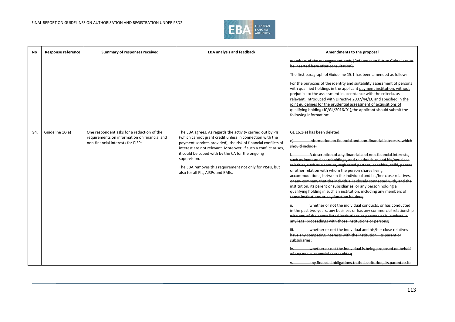

| No  | <b>Response reference</b> | Summary of responses received                                                                                                    | <b>EBA analysis and feedback</b>                                                                                                                                                                                                                                                                                                                                                                                                 | Amendments to the proposal                                                                                                                                                                                                                                                                                                                                                                                                                                                                                                                                                                                                                                                                                                                                                                                                                                                                                                                                                                                                                                                                                                                                                                                                                                                                                                                     |
|-----|---------------------------|----------------------------------------------------------------------------------------------------------------------------------|----------------------------------------------------------------------------------------------------------------------------------------------------------------------------------------------------------------------------------------------------------------------------------------------------------------------------------------------------------------------------------------------------------------------------------|------------------------------------------------------------------------------------------------------------------------------------------------------------------------------------------------------------------------------------------------------------------------------------------------------------------------------------------------------------------------------------------------------------------------------------------------------------------------------------------------------------------------------------------------------------------------------------------------------------------------------------------------------------------------------------------------------------------------------------------------------------------------------------------------------------------------------------------------------------------------------------------------------------------------------------------------------------------------------------------------------------------------------------------------------------------------------------------------------------------------------------------------------------------------------------------------------------------------------------------------------------------------------------------------------------------------------------------------|
|     |                           |                                                                                                                                  |                                                                                                                                                                                                                                                                                                                                                                                                                                  | members of the management body [Reference to future Guidelines to<br>be inserted here after consultation).<br>The first paragraph of Guideline 15.1 has been amended as follows:<br>For the purposes of the identity and suitability assessment of persons<br>with qualified holdings in the applicant payment institution, without<br>prejudice to the assessment in accordance with the criteria, as<br>relevant, introduced with Directive 2007/44/EC and specified in the<br>joint guidelines for the prudential assessment of acquisitions of<br>qualifying holding (JC/GL/2016/01), the applicant should submit the<br>following information:                                                                                                                                                                                                                                                                                                                                                                                                                                                                                                                                                                                                                                                                                            |
| 94. | Guideline 16(e)           | One respondent asks for a reduction of the<br>requirements on information on financial and<br>non-financial interests for PISPs. | The EBA agrees. As regards the activity carried out by PIs<br>(which cannot grant credit unless in connection with the<br>payment services provided), the risk of financial conflicts of<br>interest are not relevant. Moreover, if such a conflict arises,<br>it could be coped with by the CA for the ongoing<br>supervision.<br>The EBA removes this requirement not only for PISPs, but<br>also for all PIs, AISPs and EMIs. | GL 16.1(e) has been deleted:<br>Information on financial and non-financial interests, which<br>e<br>should include:<br>A description of any financial and non financial interests,<br>such as loans and shareholdings, and relationships and his/her close<br>relatives, such as a spouse, registered partner, cohabite, child, parent<br>or other relation with whom the person shares living<br>accommodations, between the individual and his/her close relatives.<br>or any company that the individual is closely connected with, and the<br>institution, its parent or subsidiaries, or any person holding a<br>qualifying holding in such an institution, including any members of<br>those institutions or key function holders;<br>whether or not the individual conducts, or has conducted<br>in the past two years, any business or has any commercial relationship<br>with any of the above listed institutions or persons or is involved in<br>any legal proceedings with those institutions or persons;<br>whether or not the individual and his/her close relatives<br>have any competing interests with the institution, its parent or<br>subsidiaries:<br>whether or not the individual is being proposed on behalf<br>of any one substantial shareholder;<br>any financial obligations to the institution, its parent or its |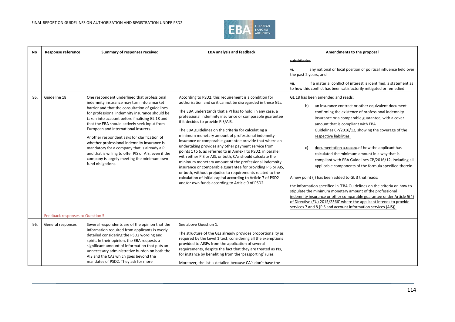

| No  | <b>Response reference</b>        | Summary of responses received                                                                                                                                                                                                                                                                                                                                                                                                                                                                                                                                                                                      | <b>EBA analysis and feedback</b>                                                                                                                                                                                                                                                                                                                                                                                                                                                                                                                                                                                                                                                                                                                                                                                                                                                                                                                           | Amendments to the proposal                                                                                                                                                                                                                                                                                                                                                                                                                                                                                                                                                                                                                                                                                                                                                                                                                                                                                                                                                                                                                                                                                                                                                   |
|-----|----------------------------------|--------------------------------------------------------------------------------------------------------------------------------------------------------------------------------------------------------------------------------------------------------------------------------------------------------------------------------------------------------------------------------------------------------------------------------------------------------------------------------------------------------------------------------------------------------------------------------------------------------------------|------------------------------------------------------------------------------------------------------------------------------------------------------------------------------------------------------------------------------------------------------------------------------------------------------------------------------------------------------------------------------------------------------------------------------------------------------------------------------------------------------------------------------------------------------------------------------------------------------------------------------------------------------------------------------------------------------------------------------------------------------------------------------------------------------------------------------------------------------------------------------------------------------------------------------------------------------------|------------------------------------------------------------------------------------------------------------------------------------------------------------------------------------------------------------------------------------------------------------------------------------------------------------------------------------------------------------------------------------------------------------------------------------------------------------------------------------------------------------------------------------------------------------------------------------------------------------------------------------------------------------------------------------------------------------------------------------------------------------------------------------------------------------------------------------------------------------------------------------------------------------------------------------------------------------------------------------------------------------------------------------------------------------------------------------------------------------------------------------------------------------------------------|
| 95. | Guideline 18                     | One respondent underlined that professional<br>indemnity insurance may turn into a market<br>barrier and that the consultation of guidelines<br>for professional indemnity insurance should be<br>taken into account before finalising GL 18 and<br>that the EBA should actively seek input from<br>European and international insurers.<br>Another respondent asks for clarification of<br>whether professional indemnity insurance is<br>mandatory for a company that is already a PI<br>and that is willing to offer PIS or AIS, even if the<br>company is largely meeting the minimum own<br>fund obligations. | According to PSD2, this requirement is a condition for<br>authorisation and so it cannot be disregarded in these GLs.<br>The EBA understands that a PI has to hold, in any case, a<br>professional indemnity insurance or comparable guarantee<br>if it decides to provide PIS/AIS.<br>The EBA guidelines on the criteria for calculating a<br>minimum monetary amount of professional indemnity<br>insurance or comparable guarantee provide that where an<br>undertaking provides any other payment service from<br>points 1 to 6, as referred to in Annex I to PSD2, in parallel<br>with either PIS or AIS, or both, CAs should calculate the<br>minimum monetary amount of the professional indemnity<br>insurance or comparable guarantee for providing PIS or AIS,<br>or both, without prejudice to requirements related to the<br>calculation of initial capital according to Article 7 of PSD2<br>and/or own funds according to Article 9 of PSD2. | subsidiaries<br>any national or local position of political influence held over<br>the past 2 years, and<br>if a material conflict of interest is identified, a statement as<br>to how this conflict has been satisfactorily mitigated or remedied.<br>GL 18 has been amended and reads:<br>an insurance contract or other equivalent document<br>b)<br>confirming the existence of professional indemnity<br>insurance or a comparable guarantee, with a cover<br>amount that is compliant with EBA<br>Guidelines CP/2016/12, showing the coverage of the<br>respective liabilities;<br>$\mathsf{C}$<br>documentation a record of how the applicant has<br>calculated the minimum amount in a way that is<br>compliant with EBA Guidelines CP/2016/12, including all<br>applicable components of the formula specified therein.<br>A new point (j) has been added to GL 3 that reads:<br>the information specified in 'EBA Guidelines on the criteria on how to<br>stipulate the minimum monetary amount of the professional<br>indemnity insurance or other comparable guarantee under Article 5(4)<br>of Directive (EU) 2015/2366' where the applicant intends to provide |
|     |                                  |                                                                                                                                                                                                                                                                                                                                                                                                                                                                                                                                                                                                                    |                                                                                                                                                                                                                                                                                                                                                                                                                                                                                                                                                                                                                                                                                                                                                                                                                                                                                                                                                            | services 7 and 8 (PIS and account information services (AIS)).                                                                                                                                                                                                                                                                                                                                                                                                                                                                                                                                                                                                                                                                                                                                                                                                                                                                                                                                                                                                                                                                                                               |
|     | Feedback responses to Question 5 |                                                                                                                                                                                                                                                                                                                                                                                                                                                                                                                                                                                                                    |                                                                                                                                                                                                                                                                                                                                                                                                                                                                                                                                                                                                                                                                                                                                                                                                                                                                                                                                                            |                                                                                                                                                                                                                                                                                                                                                                                                                                                                                                                                                                                                                                                                                                                                                                                                                                                                                                                                                                                                                                                                                                                                                                              |
| 96. | General responses                | Several respondents are of the opinion that the<br>information required from applicants is overly<br>detailed considering the PSD2 wording and<br>spirit. In their opinion, the EBA requests a<br>significant amount of information that puts an<br>unnecessary administrative burden on both the<br>AIS and the CAs which goes beyond the<br>mandates of PSD2. They ask for more                                                                                                                                                                                                                                  | See above Question 1.<br>The structure of the GLs already provides proportionality as<br>required by the Level 1 text, considering all the exemptions<br>provided to AISPs from the application of several<br>requirements, despite the fact that they are treated as PIs,<br>for instance by benefiting from the 'passporting' rules.<br>Moreover, the list is detailed because CA's don't have the                                                                                                                                                                                                                                                                                                                                                                                                                                                                                                                                                       |                                                                                                                                                                                                                                                                                                                                                                                                                                                                                                                                                                                                                                                                                                                                                                                                                                                                                                                                                                                                                                                                                                                                                                              |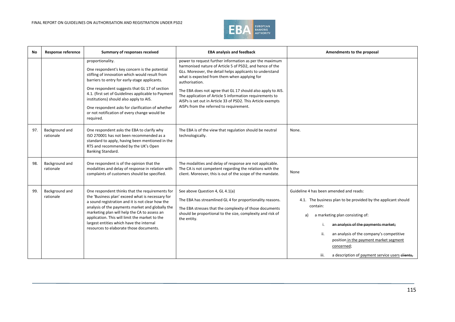

| No  | <b>Response reference</b>   | Summary of responses received                                                                                                                                                                                                                                                                                                                                                                                                            | <b>EBA analysis and feedback</b>                                                                                                                                                                                                                                                                                                                                                                                                                                                        | Amendments to the proposal                                                                                                                                                                                                                                                                                                                                                 |
|-----|-----------------------------|------------------------------------------------------------------------------------------------------------------------------------------------------------------------------------------------------------------------------------------------------------------------------------------------------------------------------------------------------------------------------------------------------------------------------------------|-----------------------------------------------------------------------------------------------------------------------------------------------------------------------------------------------------------------------------------------------------------------------------------------------------------------------------------------------------------------------------------------------------------------------------------------------------------------------------------------|----------------------------------------------------------------------------------------------------------------------------------------------------------------------------------------------------------------------------------------------------------------------------------------------------------------------------------------------------------------------------|
|     |                             | proportionality.<br>One respondent's key concern is the potential<br>stifling of innovation which would result from<br>barriers to entry for early-stage applicants.<br>One respondent suggests that GL 17 of section<br>4.1. (first set of Guidelines applicable to Payment<br>institutions) should also apply to AIS.<br>One respondent asks for clarification of whether<br>or not notification of every change would be<br>required. | power to request further information as per the maximum<br>harmonised nature of Article 5 of PSD2, and hence of the<br>GLs. Moreover, the detail helps applicants to understand<br>what is expected from them when applying for<br>authorisation.<br>The EBA does not agree that GL 17 should also apply to AIS.<br>The application of Article 5 information requirements to<br>AISPs is set out in Article 33 of PSD2. This Article exempts<br>AISPs from the referred to requirement. |                                                                                                                                                                                                                                                                                                                                                                            |
| 97. | Background and<br>rationale | One respondent asks the EBA to clarify why<br>ISO 270001 has not been recommended as a<br>standard to apply, having been mentioned in the<br>RTS and recommended by the UK's Open<br>Banking Standard.                                                                                                                                                                                                                                   | The EBA is of the view that regulation should be neutral<br>technologically.                                                                                                                                                                                                                                                                                                                                                                                                            | None.                                                                                                                                                                                                                                                                                                                                                                      |
| 98. | Background and<br>rationale | One respondent is of the opinion that the<br>modalities and delay of response in relation with<br>complaints of customers should be specified.                                                                                                                                                                                                                                                                                           | The modalities and delay of response are not applicable.<br>The CA is not competent regarding the relations with the<br>client. Moreover, this is out of the scope of the mandate.                                                                                                                                                                                                                                                                                                      | None                                                                                                                                                                                                                                                                                                                                                                       |
| 99. | Background and<br>rationale | One respondent thinks that the requirements for<br>the 'Business plan' exceed what is necessary for<br>a sound registration and it is not clear how the<br>analysis of the payments market and globally the<br>marketing plan will help the CA to assess an<br>application. This will limit the market to the<br>largest entities which have the internal<br>resources to elaborate those documents.                                     | See above Question 4, GL 4.1(a)<br>The EBA has streamlined GL 4 for proportionality reasons.<br>The EBA stresses that the complexity of those documents<br>should be proportional to the size, complexity and risk of<br>the entity.                                                                                                                                                                                                                                                    | Guideline 4 has been amended and reads:<br>4.1. The business plan to be provided by the applicant should<br>contain:<br>a marketing plan consisting of:<br>a)<br>an analysis of the payments market;<br>an analysis of the company's competitive<br>ii.<br>position in the payment market segment<br>concerned;<br>iii.<br>a description of payment service users clients, |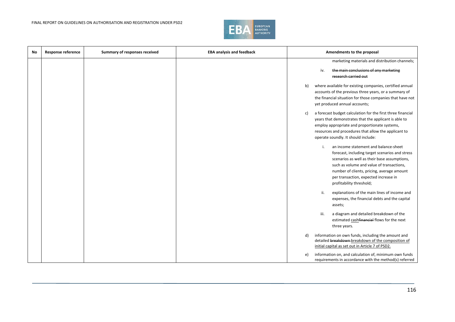

| No | Response reference | Summary of responses received | <b>EBA analysis and feedback</b> | Amendments to the proposal                                                                                                                                                                                                                                                                                     |
|----|--------------------|-------------------------------|----------------------------------|----------------------------------------------------------------------------------------------------------------------------------------------------------------------------------------------------------------------------------------------------------------------------------------------------------------|
|    |                    |                               |                                  | marketing materials and distribution channels;                                                                                                                                                                                                                                                                 |
|    |                    |                               |                                  | the main conclusions of any marketing<br>iv.<br>research carried out                                                                                                                                                                                                                                           |
|    |                    |                               |                                  | where available for existing companies, certified annual<br>b)<br>accounts of the previous three years, or a summary of<br>the financial situation for those companies that have not<br>yet produced annual accounts;                                                                                          |
|    |                    |                               |                                  | a forecast budget calculation for the first three financial<br>c)<br>years that demonstrates that the applicant is able to<br>employ appropriate and proportionate systems,<br>resources and procedures that allow the applicant to<br>operate soundly. It should include:                                     |
|    |                    |                               |                                  | an income statement and balance-sheet<br>i.<br>forecast, including target scenarios and stress<br>scenarios as well as their base assumptions,<br>such as volume and value of transactions,<br>number of clients, pricing, average amount<br>per transaction, expected increase in<br>profitability threshold; |
|    |                    |                               |                                  | explanations of the main lines of income and<br>ii.<br>expenses, the financial debts and the capital<br>assets;                                                                                                                                                                                                |
|    |                    |                               |                                  | iii.<br>a diagram and detailed breakdown of the<br>estimated cashfinancial flows for the next<br>three years.                                                                                                                                                                                                  |
|    |                    |                               |                                  | information on own funds, including the amount and<br>d)<br>detailed breakdown-breakdown of the composition of<br>initial capital as set out in Article 7 of PSD2.                                                                                                                                             |
|    |                    |                               |                                  | information on, and calculation of, minimum own funds<br>e)<br>requirements in accordance with the method(s) referred                                                                                                                                                                                          |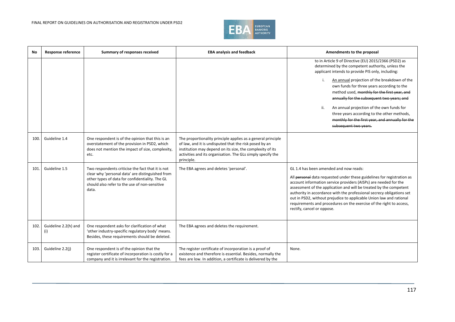

| No   | <b>Response reference</b>   | Summary of responses received                                                                                                                                                                                      | <b>EBA analysis and feedback</b>                                                                                                                                                                                                                                 | Amendments to the proposal                                                                                                                                                                                                                                                                                                                                                                                                                                                                                      |
|------|-----------------------------|--------------------------------------------------------------------------------------------------------------------------------------------------------------------------------------------------------------------|------------------------------------------------------------------------------------------------------------------------------------------------------------------------------------------------------------------------------------------------------------------|-----------------------------------------------------------------------------------------------------------------------------------------------------------------------------------------------------------------------------------------------------------------------------------------------------------------------------------------------------------------------------------------------------------------------------------------------------------------------------------------------------------------|
|      |                             |                                                                                                                                                                                                                    |                                                                                                                                                                                                                                                                  | to in Article 9 of Directive (EU) 2015/2366 (PSD2) as<br>determined by the competent authority, unless the<br>applicant intends to provide PIS only, including:<br>An annual projection of the breakdown of the<br>own funds for three years according to the<br>method used, monthly for the first year, and<br>annually for the subsequent two years; and<br>ii.<br>An annual projection of the own funds for<br>three years according to the other methods,                                                  |
|      |                             |                                                                                                                                                                                                                    |                                                                                                                                                                                                                                                                  | monthly for the first year, and annually for the<br>subsequent two years.                                                                                                                                                                                                                                                                                                                                                                                                                                       |
| 100  | Guideline 1.4               | One respondent is of the opinion that this is an<br>overstatement of the provision in PSD2, which<br>does not mention the impact of size, complexity,<br>etc.                                                      | The proportionality principle applies as a general principle<br>of law, and it is undisputed that the risk posed by an<br>institution may depend on its size, the complexity of its<br>activities and its organisation. The GLs simply specify the<br>principle. |                                                                                                                                                                                                                                                                                                                                                                                                                                                                                                                 |
| 101  | Guideline 1.5               | Two respondents criticise the fact that it is not<br>clear why 'personal data' are distinguished from<br>other types of data for confidentiality. The GL<br>should also refer to the use of non-sensitive<br>data. | The EBA agrees and deletes 'personal'.                                                                                                                                                                                                                           | GL 1.4 has been amended and now reads:<br>All personal data requested under these guidelines for registration as<br>account information service providers (AISPs) are needed for the<br>assessment of the application and will be treated by the competent<br>authority in accordance with the professional secrecy obligations set<br>out in PSD2, without prejudice to applicable Union law and rational<br>requirements and procedures on the exercise of the right to access,<br>rectify, cancel or oppose. |
| 102. | Guideline 2.2(h) and<br>(i) | One respondent asks for clarification of what<br>'other industry-specific regulatory body' means.<br>Besides, these requirements should be deleted.                                                                | The EBA agrees and deletes the requirement.                                                                                                                                                                                                                      |                                                                                                                                                                                                                                                                                                                                                                                                                                                                                                                 |
| 103. | Guideline 2.2(j)            | One respondent is of the opinion that the<br>register certificate of incorporation is costly for a<br>company and it is irrelevant for the registration.                                                           | The register certificate of incorporation is a proof of<br>existence and therefore is essential. Besides, normally the<br>fees are low. In addition, a certificate is delivered by the                                                                           | None.                                                                                                                                                                                                                                                                                                                                                                                                                                                                                                           |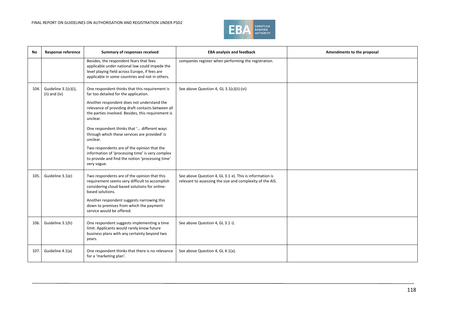

| No.  | <b>Response reference</b>                 | Summary of responses received                                                                                                                                                                                                                                                             | <b>EBA analysis and feedback</b>                                                                                     | Amendments to the proposal |
|------|-------------------------------------------|-------------------------------------------------------------------------------------------------------------------------------------------------------------------------------------------------------------------------------------------------------------------------------------------|----------------------------------------------------------------------------------------------------------------------|----------------------------|
|      |                                           | Besides, the respondent fears that fees<br>applicable under national law could impede the<br>level playing field across Europe, if fees are<br>applicable in some countries and not in others.                                                                                            | companies register when performing the registration.                                                                 |                            |
| 104. | Guideline 3.1(c)(i),<br>$(ii)$ and $(iv)$ | One respondent thinks that this requirement is<br>far too detailed for the application.                                                                                                                                                                                                   | See above Question 4, GL 3.1(c)(ii)-(vi)                                                                             |                            |
|      |                                           | Another respondent does not understand the<br>relevance of providing draft contacts between all<br>the parties involved. Besides, this requirement is<br>unclear.                                                                                                                         |                                                                                                                      |                            |
|      |                                           | One respondent thinks that ' different ways<br>through which these services are provided' is<br>unclear.                                                                                                                                                                                  |                                                                                                                      |                            |
|      |                                           | Two respondents are of the opinion that the<br>information of 'processing time' is very complex<br>to provide and find the notion 'processing time'<br>very vague.                                                                                                                        |                                                                                                                      |                            |
| 105. | Guideline 3.1(e)                          | Two respondents are of the opinion that this<br>requirement seems very difficult to accomplish<br>considering cloud-based solutions for online-<br>based solutions.<br>Another respondent suggests narrowing this<br>down to premises from which the payment<br>service would be offered. | See above Question 4, GL 3.1 e). This is information is<br>relevant to assessing the size and complexity of the AIS. |                            |
| 106. | Guideline 3.1(h)                          | One respondent suggests implementing a time<br>limit. Applicants would rarely know future<br>business plans with any certainty beyond two<br>years.                                                                                                                                       | See above Question 4, GL 3.1 i).                                                                                     |                            |
| 107. | Guideline 4.1(a)                          | One respondent thinks that there is no relevance<br>for a 'marketing plan'.                                                                                                                                                                                                               | See above Question 4, GL 4.1(a).                                                                                     |                            |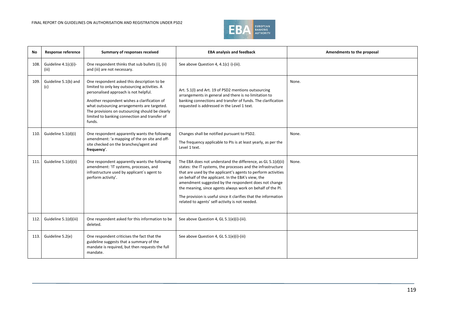

| No   | <b>Response reference</b>     | Summary of responses received                                                                                                                                                                                                                                                                                                                      | <b>EBA analysis and feedback</b>                                                                                                                                                                                                                                                                                                                                                                                                                                                                 | Amendments to the proposal |
|------|-------------------------------|----------------------------------------------------------------------------------------------------------------------------------------------------------------------------------------------------------------------------------------------------------------------------------------------------------------------------------------------------|--------------------------------------------------------------------------------------------------------------------------------------------------------------------------------------------------------------------------------------------------------------------------------------------------------------------------------------------------------------------------------------------------------------------------------------------------------------------------------------------------|----------------------------|
| 108. | Guideline 4.1(c)(i)-<br>(iii) | One respondent thinks that sub bullets (i), (ii)<br>and (iii) are not necessary.                                                                                                                                                                                                                                                                   | See above Question 4, 4.1(c) i)-(iii).                                                                                                                                                                                                                                                                                                                                                                                                                                                           |                            |
| 109. | Guideline 5.1(b) and<br>(c)   | One respondent asked this description to be<br>limited to only key outsourcing activities. A<br>personalised approach is not helpful.<br>Another respondent wishes a clarification of<br>what outsourcing arrangements are targeted.<br>The provisions on outsourcing should be clearly<br>limited to banking connection and transfer of<br>funds. | Art. 5.1(I) and Art. 19 of PSD2 mentions outsourcing<br>arrangements in general and there is no limitation to<br>banking connections and transfer of funds. The clarification<br>requested is addressed in the Level 1 text.                                                                                                                                                                                                                                                                     | None.                      |
| 110. | Guideline 5.1(d)(i)           | One respondent apparently wants the following<br>amendment: 'a mapping of the on site and off-<br>site checked on the branches/agent and<br>frequency'.                                                                                                                                                                                            | Changes shall be notified pursuant to PSD2.<br>The frequency applicable to PIs is at least yearly, as per the<br>Level 1 text.                                                                                                                                                                                                                                                                                                                                                                   | None.                      |
| 111. | Guideline 5.1(d)(ii)          | One respondent apparently wants the following<br>amendment: 'IT systems, processes, and<br>infrastructure used by applicant's agent to<br>perform activity'.                                                                                                                                                                                       | The EBA does not understand the difference, as GL 5.1(d)(ii)<br>states: the IT systems, the processes and the infrastructure<br>that are used by the applicant's agents to perform activities<br>on behalf of the applicant. In the EBA's view, the<br>amendment suggested by the respondent does not change<br>the meaning, since agents always work on behalf of the PI.<br>The provision is useful since it clarifies that the information<br>related to agents' self-activity is not needed. | None.                      |
| 112. | Guideline 5.1(d)(iii)         | One respondent asked for this information to be<br>deleted.                                                                                                                                                                                                                                                                                        | See above Question 4, GL 5.1(e)(i)-(iii).                                                                                                                                                                                                                                                                                                                                                                                                                                                        |                            |
| 113. | Guideline 5.2(e)              | One respondent criticises the fact that the<br>guideline suggests that a summary of the<br>mandate is required, but then requests the full<br>mandate.                                                                                                                                                                                             | See above Question 4, GL 5.1(e)(i)-(iii)                                                                                                                                                                                                                                                                                                                                                                                                                                                         |                            |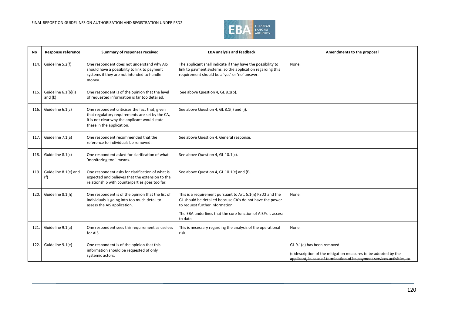

| No   | Response reference               | Summary of responses received                                                                                                                                                   | <b>EBA analysis and feedback</b>                                                                                                                                            | Amendments to the proposal                                                                                                                                                |
|------|----------------------------------|---------------------------------------------------------------------------------------------------------------------------------------------------------------------------------|-----------------------------------------------------------------------------------------------------------------------------------------------------------------------------|---------------------------------------------------------------------------------------------------------------------------------------------------------------------------|
| 114. | Guideline 5.2(f)                 | One respondent does not understand why AIS<br>should have a possibility to link to payment<br>systems if they are not intended to handle<br>money.                              | The applicant shall indicate if they have the possibility to<br>link to payment systems, so the application regarding this<br>requirement should be a 'yes' or 'no' answer. | None.                                                                                                                                                                     |
| 115. | Guideline 6.1(b)(j)<br>and $(k)$ | One respondent is of the opinion that the level<br>of requested information is far too detailed.                                                                                | See above Question 4, GL 8.1(b).                                                                                                                                            |                                                                                                                                                                           |
| 116. | Guideline 6.1(c)                 | One respondent criticises the fact that, given<br>that regulatory requirements are set by the CA,<br>it is not clear why the applicant would state<br>these in the application. | See above Question 4, GL 8.1(i) and (j).                                                                                                                                    |                                                                                                                                                                           |
| 117. | Guideline 7.1(a)                 | One respondent recommended that the<br>reference to individuals be removed.                                                                                                     | See above Question 4, General response.                                                                                                                                     |                                                                                                                                                                           |
| 118. | Guideline 8.1(c)                 | One respondent asked for clarification of what<br>'monitoring tool' means.                                                                                                      | See above Question 4, GL 10.1(c).                                                                                                                                           |                                                                                                                                                                           |
| 119. | Guideline 8.1(e) and<br>(f)      | One respondent asks for clarification of what is<br>expected and believes that the extension to the<br>relationship with counterparties goes too far.                           | See above Question 4, GL 10.1(e) and (f).                                                                                                                                   |                                                                                                                                                                           |
| 120. | Guideline 8.1(h)                 | One respondent is of the opinion that the list of<br>individuals is going into too much detail to<br>assess the AIS application.                                                | This is a requirement pursuant to Art. 5.1(n) PSD2 and the<br>GL should be detailed because CA's do not have the power<br>to request further information.                   | None.                                                                                                                                                                     |
|      |                                  |                                                                                                                                                                                 | The EBA underlines that the core function of AISPs is access<br>to data.                                                                                                    |                                                                                                                                                                           |
| 121  | Guideline 9.1(a)                 | One respondent sees this requirement as useless<br>for AIS.                                                                                                                     | This is necessary regarding the analysis of the operational<br>risk.                                                                                                        | None.                                                                                                                                                                     |
| 122. | Guideline 9.1(e)                 | One respondent is of the opinion that this<br>information should be requested of only<br>systemic actors.                                                                       |                                                                                                                                                                             | GL 9.1(e) has been removed:<br>(e)description of the mitigation measures to be adopted by the<br>applicant, in case of termination of its payment services activities, to |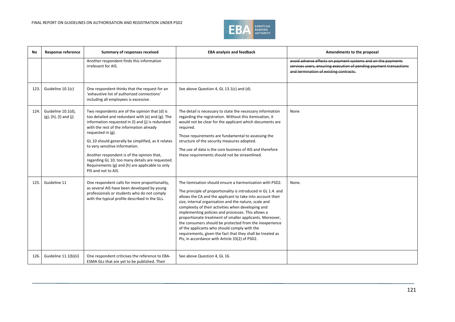

| No   | Response reference                             | Summary of responses received                                                                                                                                                                                                                                                                                                                                                                                                                                                                 | <b>EBA analysis and feedback</b>                                                                                                                                                                                                                                                                                                                                                                                                                                                                                                                                                                                                                    | Amendments to the proposal                                                                                                                                                   |
|------|------------------------------------------------|-----------------------------------------------------------------------------------------------------------------------------------------------------------------------------------------------------------------------------------------------------------------------------------------------------------------------------------------------------------------------------------------------------------------------------------------------------------------------------------------------|-----------------------------------------------------------------------------------------------------------------------------------------------------------------------------------------------------------------------------------------------------------------------------------------------------------------------------------------------------------------------------------------------------------------------------------------------------------------------------------------------------------------------------------------------------------------------------------------------------------------------------------------------------|------------------------------------------------------------------------------------------------------------------------------------------------------------------------------|
|      |                                                | Another respondent finds this information<br>irrelevant for AIS.                                                                                                                                                                                                                                                                                                                                                                                                                              |                                                                                                                                                                                                                                                                                                                                                                                                                                                                                                                                                                                                                                                     | avoid adverse effects on payment systems and on the payments<br>services users, ensuring execution of pending payment transactions<br>and termination of existing contracts. |
| 123. | Guideline 10.1(c)                              | One respondent thinks that the request for an<br>'exhaustive list of authorized connections'<br>including all employees is excessive.                                                                                                                                                                                                                                                                                                                                                         | See above Question 4, GL 13.1(c) and (d).                                                                                                                                                                                                                                                                                                                                                                                                                                                                                                                                                                                                           |                                                                                                                                                                              |
| 124. | Guideline 10.1(d),<br>$(g)$ , (h), (l) and (j) | Two respondents are of the opinion that (d) is<br>too detailed and redundant with (e) and (g). The<br>information requested in (I) and (j) is redundant<br>with the rest of the information already<br>requested in (g).<br>GL 10 should generally be simplified, as it relates<br>to very sensitive information.<br>Another respondent is of the opinion that,<br>regarding GL 10, too many details are requested.<br>Requirements (g) and (h) are applicable to only<br>PIS and not to AIS. | The detail is necessary to state the necessary information<br>regarding the registration. Without this itemisation, it<br>would not be clear for the applicant which documents are<br>required.<br>Those requirements are fundamental to assessing the<br>structure of the security measures adopted.<br>The use of data is the core business of AIS and therefore<br>these requirements should not be streamlined.                                                                                                                                                                                                                                 | None                                                                                                                                                                         |
| 125. | Guideline 11                                   | One respondent calls for more proportionality,<br>as several AIS have been developed by young<br>professionals or students who do not comply<br>with the typical profile described in the GLs.                                                                                                                                                                                                                                                                                                | The itemisation should ensure a harmonisation with PSD2.<br>The principle of proportionality is introduced in GL 1.4. and<br>allows the CA and the applicant to take into account their<br>size, internal organisation and the nature, scale and<br>complexity of their activities when developing and<br>implementing policies and processes. This allows a<br>proportionate treatment of smaller applicants. Moreover,<br>the consumers should be protected from the inexperience<br>of the applicants who should comply with the<br>requirements, given the fact that they shall be treated as<br>Pls, in accordance with Article 33(2) of PSD2. | None.                                                                                                                                                                        |
| 126. | Guideline 11.1(b)(ii)                          | One respondent criticises the reference to EBA-<br>ESMA GLs that are yet to be published. Their                                                                                                                                                                                                                                                                                                                                                                                               | See above Question 4, GL 16.                                                                                                                                                                                                                                                                                                                                                                                                                                                                                                                                                                                                                        |                                                                                                                                                                              |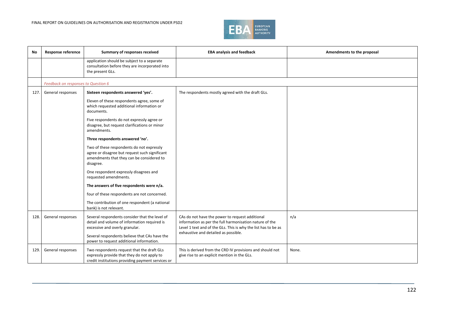

| <b>No</b> | Response reference                  | Summary of responses received                                                                                                                         | <b>EBA analysis and feedback</b>                                                                                                                                                                                     | Amendments to the proposal |
|-----------|-------------------------------------|-------------------------------------------------------------------------------------------------------------------------------------------------------|----------------------------------------------------------------------------------------------------------------------------------------------------------------------------------------------------------------------|----------------------------|
|           |                                     | application should be subject to a separate<br>consultation before they are incorporated into<br>the present GLs.                                     |                                                                                                                                                                                                                      |                            |
|           | Feedback on responses to Question 6 |                                                                                                                                                       |                                                                                                                                                                                                                      |                            |
| 127.      | General responses                   | Sixteen respondents answered 'yes'.                                                                                                                   | The respondents mostly agreed with the draft GLs.                                                                                                                                                                    |                            |
|           |                                     | Eleven of these respondents agree, some of<br>which requested additional information or<br>documents.                                                 |                                                                                                                                                                                                                      |                            |
|           |                                     | Five respondents do not expressly agree or<br>disagree, but request clarifications or minor<br>amendments.                                            |                                                                                                                                                                                                                      |                            |
|           |                                     | Three respondents answered 'no'.                                                                                                                      |                                                                                                                                                                                                                      |                            |
|           |                                     | Two of these respondents do not expressly<br>agree or disagree but request such significant<br>amendments that they can be considered to<br>disagree. |                                                                                                                                                                                                                      |                            |
|           |                                     | One respondent expressly disagrees and<br>requested amendments.                                                                                       |                                                                                                                                                                                                                      |                            |
|           |                                     | The answers of five respondents were n/a.                                                                                                             |                                                                                                                                                                                                                      |                            |
|           |                                     | four of these respondents are not concerned.                                                                                                          |                                                                                                                                                                                                                      |                            |
|           |                                     | The contribution of one respondent (a national<br>bank) is not relevant.                                                                              |                                                                                                                                                                                                                      |                            |
| 128.      | General responses                   | Several respondents consider that the level of<br>detail and volume of information required is<br>excessive and overly granular.                      | CAs do not have the power to request additional<br>information as per the full harmonisation nature of the<br>Level 1 text and of the GLs. This is why the list has to be as<br>exhaustive and detailed as possible. | n/a                        |
|           |                                     | Several respondents believe that CAs have the<br>power to request additional information.                                                             |                                                                                                                                                                                                                      |                            |
| 129.      | General responses                   | Two respondents request that the draft GLs<br>expressly provide that they do not apply to<br>credit institutions providing payment services or        | This is derived from the CRD IV provisions and should not<br>give rise to an explicit mention in the GLs.                                                                                                            | None.                      |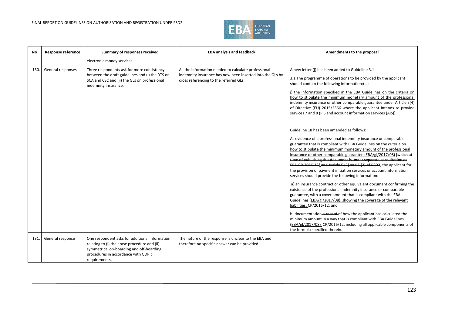## FINAL REPORT ON GUIDELINES ON AUTHORISATION AND REGISTRATION UNDER PSD2



| <b>No</b> | <b>Response reference</b> | Summary of responses received                                                                                                                                                                     | <b>EBA analysis and feedback</b>                                                                                                                            | Amendments to the proposal                                                                                                                                                                                                                                                                                                                                                                                                                                                                                                                                                                                 |
|-----------|---------------------------|---------------------------------------------------------------------------------------------------------------------------------------------------------------------------------------------------|-------------------------------------------------------------------------------------------------------------------------------------------------------------|------------------------------------------------------------------------------------------------------------------------------------------------------------------------------------------------------------------------------------------------------------------------------------------------------------------------------------------------------------------------------------------------------------------------------------------------------------------------------------------------------------------------------------------------------------------------------------------------------------|
|           |                           | electronic money services.                                                                                                                                                                        |                                                                                                                                                             |                                                                                                                                                                                                                                                                                                                                                                                                                                                                                                                                                                                                            |
| 130.      | General responses         | Three respondents ask for more consistency<br>between the draft guidelines and (i) the RTS on<br>SCA and CSC and (ii) the GLs on professional<br>indemnity insurance.                             | All the information needed to calculate professional<br>indemnity insurance has now been inserted into the GLs by<br>cross referencing to the referred GLs. | A new letter (j) has been added to Guideline 3.1<br>3.1 The programme of operations to be provided by the applicant<br>should contain the following information:()<br>j) the information specified in the EBA Guidelines on the criteria on<br>how to stipulate the minimum monetary amount of the professional<br>indemnity insurance or other comparable guarantee under Article 5(4)<br>of Directive (EU) 2015/2366 where the applicant intends to provide<br>services 7 and 8 (PIS and account information services (AIS)).                                                                            |
|           |                           |                                                                                                                                                                                                   |                                                                                                                                                             | Guideline 18 has been amended as follows:<br>As evidence of a professional indemnity insurance or comparable<br>guarantee that is compliant with EBA Guidelines on the criteria on<br>how to stipulate the minimum monetary amount of the professional<br>insurance or other comparable guarantee (EBA/gl/2017/08) [which at<br>time of publishing this document is under separate consultation as<br>EBA CP 2016 12], and Article 5 (2) and 5 (3) of PSD2, the applicant for<br>the provision of payment initiation services or account information<br>services should provide the following information: |
|           |                           |                                                                                                                                                                                                   |                                                                                                                                                             | a) an insurance contract or other equivalent document confirming the<br>existence of the professional indemnity insurance or comparable<br>guarantee, with a cover amount that is compliant with the EBA<br>Guidelines (EBA/gl/2017/08), showing the coverage of the relevant<br>liabilities; CP/2016/12; and                                                                                                                                                                                                                                                                                              |
|           |                           |                                                                                                                                                                                                   |                                                                                                                                                             | b) documentation a record of how the applicant has calculated the<br>minimum amount in a way that is compliant with EBA Guidelines<br>(EBA/gl/2017/08) CP/2016/12, including all applicable components of<br>the formula specified therein.                                                                                                                                                                                                                                                                                                                                                                |
| 131.      | General response          | One respondent asks for additional information<br>relating to (i) the erase procedure and (ii)<br>symmetrical on-boarding and off-boarding<br>procedures in accordance with GDPR<br>requirements. | The nature of the response is unclear to the EBA and<br>therefore no specific answer can be provided.                                                       |                                                                                                                                                                                                                                                                                                                                                                                                                                                                                                                                                                                                            |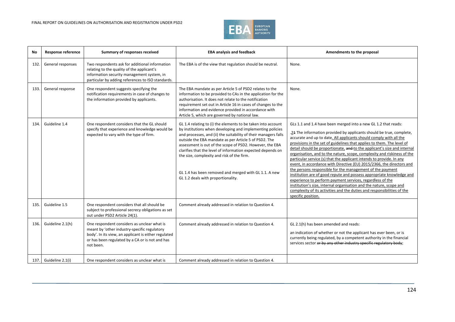

| <b>No</b> | <b>Response reference</b> | Summary of responses received                                                                                                                                                                                       | <b>EBA analysis and feedback</b>                                                                                                                                                                                                                                                                                                                                                                                                                                                                                              | Amendments to the proposal                                                                                                                                                                                                                                                                                                                                                                                                                                                                                                                                                                                                                                                                                                                                                                                                                                                                                                                                               |
|-----------|---------------------------|---------------------------------------------------------------------------------------------------------------------------------------------------------------------------------------------------------------------|-------------------------------------------------------------------------------------------------------------------------------------------------------------------------------------------------------------------------------------------------------------------------------------------------------------------------------------------------------------------------------------------------------------------------------------------------------------------------------------------------------------------------------|--------------------------------------------------------------------------------------------------------------------------------------------------------------------------------------------------------------------------------------------------------------------------------------------------------------------------------------------------------------------------------------------------------------------------------------------------------------------------------------------------------------------------------------------------------------------------------------------------------------------------------------------------------------------------------------------------------------------------------------------------------------------------------------------------------------------------------------------------------------------------------------------------------------------------------------------------------------------------|
| 132.      | General responses         | Two respondents ask for additional information<br>relating to the quality of the applicant's<br>information security management system, in<br>particular by adding references to ISO standards.                     | The EBA is of the view that regulation should be neutral.                                                                                                                                                                                                                                                                                                                                                                                                                                                                     | None.                                                                                                                                                                                                                                                                                                                                                                                                                                                                                                                                                                                                                                                                                                                                                                                                                                                                                                                                                                    |
| 133.      | General response          | One respondent suggests specifying the<br>notification requirements in case of changes to<br>the information provided by applicants.                                                                                | The EBA mandate as per Article 5 of PSD2 relates to the<br>information to be provided to CAs in the application for the<br>authorisation. It does not relate to the notification<br>requirement set out in Article 16 in cases of changes to the<br>information and evidence provided in accordance with<br>Article 5, which are governed by national law.                                                                                                                                                                    | None.                                                                                                                                                                                                                                                                                                                                                                                                                                                                                                                                                                                                                                                                                                                                                                                                                                                                                                                                                                    |
| 134.      | Guideline 1.4             | One respondent considers that the GL should<br>specify that experience and knowledge would be<br>expected to vary with the type of firm.                                                                            | GL 1.4 relating to (i) the elements to be taken into account<br>by institutions when developing and implementing policies<br>and processes, and (ii) the suitability of their managers falls<br>outside the EBA mandate as per Article 5 of PSD2. The<br>assessment is out of the scope of PSD2. However, the EBA<br>clarifies that the level of information expected depends on<br>the size, complexity and risk of the firm.<br>GL 1.4 has been removed and merged with GL 1.1. A new<br>GL 1.2 deals with proportionality. | GLs 1.1 and 1.4 have been merged into a new GL 1.2 that reads:<br>.21 The information provided by applicants should be true, complete,<br>accurate and up to date. All applicants should comply with all the<br>provisions in the set of guidelines that applies to them. The level of<br>detail should be proportionate, and to the applicant's size and internal<br>organisation, and to the nature, scope, complexity and riskiness of the<br>particular service (s) that the applicant intends to provide. In any<br>event, in accordance with Directive (EU) 2015/2366, the directors and<br>the persons responsible for the management of the payment<br>institution are of good repute and possess appropriate knowledge and<br>experience to perform payment services, regardless of the<br>institution's size, internal organisation and the nature, scope and<br>complexity of its activities and the duties and responsibilities of the<br>specific position. |
| 135.      | Guideline 1.5             | One respondent considers that all should be<br>subject to professional secrecy obligations as set<br>out under PSD2 Article 24(1).                                                                                  | Comment already addressed in relation to Question 4.                                                                                                                                                                                                                                                                                                                                                                                                                                                                          |                                                                                                                                                                                                                                                                                                                                                                                                                                                                                                                                                                                                                                                                                                                                                                                                                                                                                                                                                                          |
| 136.      | Guideline 2.1(h)          | One respondent considers as unclear what is<br>meant by 'other industry-specific regulatory<br>body'. In its view, an applicant is either regulated<br>or has been regulated by a CA or is not and has<br>not been. | Comment already addressed in relation to Question 4.                                                                                                                                                                                                                                                                                                                                                                                                                                                                          | GL 2.1(h) has been amended and reads:<br>an indication of whether or not the applicant has ever been, or is<br>currently being regulated, by a competent authority in the financial<br>services sector or by any other industry specific regulatory body;                                                                                                                                                                                                                                                                                                                                                                                                                                                                                                                                                                                                                                                                                                                |
| 137.1     | Guideline 2.1(i)          | One respondent considers as unclear what is                                                                                                                                                                         | Comment already addressed in relation to Question 4.                                                                                                                                                                                                                                                                                                                                                                                                                                                                          |                                                                                                                                                                                                                                                                                                                                                                                                                                                                                                                                                                                                                                                                                                                                                                                                                                                                                                                                                                          |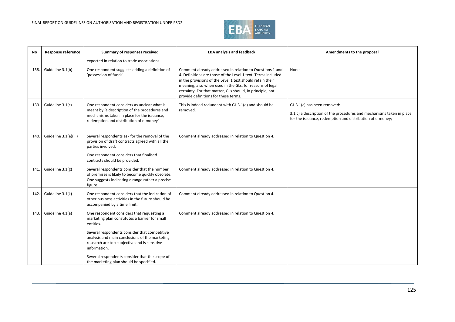

| No   | <b>Response reference</b> | Summary of responses received                                                                                                                                                                                                                                                                                                  | <b>EBA analysis and feedback</b>                                                                                                                                                                                                                                                                                                                       | Amendments to the proposal                                                                                                                                       |
|------|---------------------------|--------------------------------------------------------------------------------------------------------------------------------------------------------------------------------------------------------------------------------------------------------------------------------------------------------------------------------|--------------------------------------------------------------------------------------------------------------------------------------------------------------------------------------------------------------------------------------------------------------------------------------------------------------------------------------------------------|------------------------------------------------------------------------------------------------------------------------------------------------------------------|
|      |                           | expected in relation to trade associations.                                                                                                                                                                                                                                                                                    |                                                                                                                                                                                                                                                                                                                                                        |                                                                                                                                                                  |
| 138. | Guideline 3.1(b)          | One respondent suggests adding a definition of<br>'possession of funds'.                                                                                                                                                                                                                                                       | Comment already addressed in relation to Questions 1 and<br>4. Definitions are those of the Level 1 text. Terms included<br>in the provisions of the Level 1 text should retain their<br>meaning, also when used in the GLs, for reasons of legal<br>certainty. For that matter, GLs should, in principle, not<br>provide definitions for these terms. | None.                                                                                                                                                            |
| 139. | Guideline 3.1(c)          | One respondent considers as unclear what is<br>meant by 'a description of the procedures and<br>mechanisms taken in place for the issuance,<br>redemption and distribution of e-money'                                                                                                                                         | This is indeed redundant with GL 3.1(e) and should be<br>removed.                                                                                                                                                                                                                                                                                      | GL 3.1(c) has been removed:<br>3.1 c) a description of the procedures and mechanisms taken in place<br>for the issuance, redemption and distribution of e-money; |
| 140. | Guideline 3.1(e)(iii)     | Several respondents ask for the removal of the<br>provision of draft contracts agreed with all the<br>parties involved.<br>One respondent considers that finalised<br>contracts should be provided.                                                                                                                            | Comment already addressed in relation to Question 4.                                                                                                                                                                                                                                                                                                   |                                                                                                                                                                  |
| 141. | Guideline 3.1(g)          | Several respondents consider that the number<br>of premises is likely to become quickly obsolete.<br>One suggests indicating a range rather a precise<br>figure.                                                                                                                                                               | Comment already addressed in relation to Question 4.                                                                                                                                                                                                                                                                                                   |                                                                                                                                                                  |
| 142. | Guideline 3.1(k)          | One respondent considers that the indication of<br>other business activities in the future should be<br>accompanied by a time limit.                                                                                                                                                                                           | Comment already addressed in relation to Question 4.                                                                                                                                                                                                                                                                                                   |                                                                                                                                                                  |
| 143. | Guideline 4.1(a)          | One respondent considers that requesting a<br>marketing plan constitutes a barrier for small<br>entities.<br>Several respondents consider that competitive<br>analysis and main conclusions of the marketing<br>research are too subjective and is sensitive<br>information.<br>Several respondents consider that the scope of | Comment already addressed in relation to Question 4.                                                                                                                                                                                                                                                                                                   |                                                                                                                                                                  |
|      |                           | the marketing plan should be specified.                                                                                                                                                                                                                                                                                        |                                                                                                                                                                                                                                                                                                                                                        |                                                                                                                                                                  |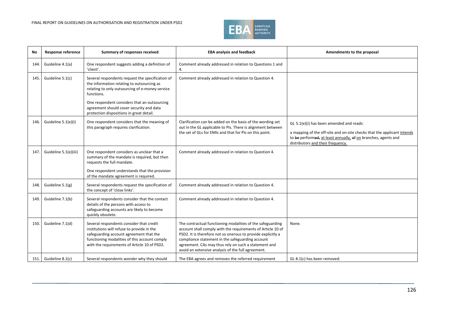

| No    | <b>Response reference</b> | Summary of responses received                                                                                                                                                                                                      | <b>EBA analysis and feedback</b>                                                                                                                                                                                                                                                                                                                            | Amendments to the proposal                                                                                                                                                                                                 |
|-------|---------------------------|------------------------------------------------------------------------------------------------------------------------------------------------------------------------------------------------------------------------------------|-------------------------------------------------------------------------------------------------------------------------------------------------------------------------------------------------------------------------------------------------------------------------------------------------------------------------------------------------------------|----------------------------------------------------------------------------------------------------------------------------------------------------------------------------------------------------------------------------|
| 144.  | Guideline 4.1(a)          | One respondent suggests adding a definition of<br>'client'.                                                                                                                                                                        | Comment already addressed in relation to Questions 1 and<br>4.                                                                                                                                                                                                                                                                                              |                                                                                                                                                                                                                            |
| 145.  | Guideline 5.1(c)          | Several respondents request the specification of<br>the information relating to outsourcing as<br>relating to only outsourcing of e-money service<br>functions.                                                                    | Comment already addressed in relation to Question 4.                                                                                                                                                                                                                                                                                                        |                                                                                                                                                                                                                            |
|       |                           | One respondent considers that an outsourcing<br>agreement should cover security and data<br>protection dispositions in great detail.                                                                                               |                                                                                                                                                                                                                                                                                                                                                             |                                                                                                                                                                                                                            |
| 146.  | Guideline 5.1(e)(i)       | One respondent considers that the meaning of<br>this paragraph requires clarification.                                                                                                                                             | Clarification can be added on the basis of the wording set<br>out in the GL applicable to PIs. There is alignment between<br>the set of GLs for EMIs and that for PIs on this point.                                                                                                                                                                        | GL 5.1(e)(i) has been amended and reads:<br>a mapping of the off-site and on-site checks that the applicant intends<br>to be performed, at least annually, of on branches, agents and<br>distributors and their frequency. |
| 147.  | Guideline 5.1(e)(iii)     | One respondent considers as unclear that a<br>summary of the mandate is required, but then<br>requests the full mandate.<br>One respondent understands that the provision<br>of the mandate agreement is required.                 | Comment already addressed in relation to Question 4.                                                                                                                                                                                                                                                                                                        |                                                                                                                                                                                                                            |
| 148.  | Guideline 5.1(g)          | Several respondents request the specification of<br>the concept of 'close links'.                                                                                                                                                  | Comment already addressed in relation to Question 4.                                                                                                                                                                                                                                                                                                        |                                                                                                                                                                                                                            |
| 149.  | Guideline 7.1(b)          | Several respondents consider that the contact<br>details of the persons with access to<br>safeguarding accounts are likely to become<br>quickly obsolete.                                                                          | Comment already addressed in relation to Question 4.                                                                                                                                                                                                                                                                                                        |                                                                                                                                                                                                                            |
| 150.  | Guideline 7.1(d)          | Several respondents consider that credit<br>institutions will refuse to provide in the<br>safeguarding account agreement that the<br>functioning modalities of this account comply<br>with the requirements of Article 10 of PSD2. | The contractual functioning modalities of the safeguarding<br>account shall comply with the requirements of Article 10 of<br>PSD2. It is therefore not so onerous to provide explicitly a<br>compliance statement in the safeguarding account<br>agreement. CAs may thus rely on such a statement and<br>avoid an extensive analysis of the full agreement. | None.                                                                                                                                                                                                                      |
| 151.1 | Guideline 8.1(c)          | Several respondents wonder why they should                                                                                                                                                                                         | The EBA agrees and removes the referred requirement                                                                                                                                                                                                                                                                                                         | GL 8.1(c) has been removed:                                                                                                                                                                                                |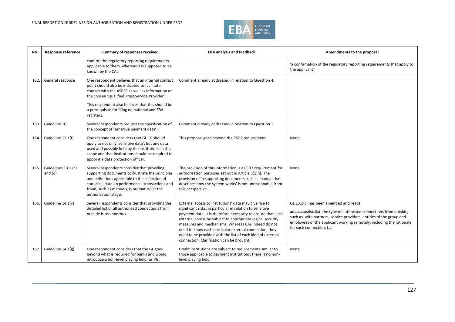

| No   | <b>Response reference</b>        | Summary of responses received                                                                                                                                                                                                                                                                                              | <b>EBA analysis and feedback</b>                                                                                                                                                                                                                                                                                                                                                                                                                                            | Amendments to the proposal                                                                                                                                                                                                                                                              |
|------|----------------------------------|----------------------------------------------------------------------------------------------------------------------------------------------------------------------------------------------------------------------------------------------------------------------------------------------------------------------------|-----------------------------------------------------------------------------------------------------------------------------------------------------------------------------------------------------------------------------------------------------------------------------------------------------------------------------------------------------------------------------------------------------------------------------------------------------------------------------|-----------------------------------------------------------------------------------------------------------------------------------------------------------------------------------------------------------------------------------------------------------------------------------------|
|      |                                  | confirm the regulatory reporting requirements<br>applicable to them, whereas it is supposed to be<br>known by the CAs.                                                                                                                                                                                                     |                                                                                                                                                                                                                                                                                                                                                                                                                                                                             | 'a confirmation of the regulatory reporting requirements that apply to<br>the applicant;'                                                                                                                                                                                               |
| 152. | General response                 | One respondent believes that an internal contact<br>point should also be indicated to facilitate<br>contact with the ASPSP as well as information on<br>the chosen 'Qualified Trust Service Provider'.<br>This respondent also believes that this should be<br>a prerequisite for filing on national and EBA<br>registers. | Comment already addressed in relation to Question 4.                                                                                                                                                                                                                                                                                                                                                                                                                        |                                                                                                                                                                                                                                                                                         |
| 153. | Guideline 10                     | Several respondents request the specification of<br>the concept of 'sensitive payment data'.                                                                                                                                                                                                                               | Comment already addressed in relation to Question 1.                                                                                                                                                                                                                                                                                                                                                                                                                        |                                                                                                                                                                                                                                                                                         |
| 154. | Guideline 12.1(f)                | One respondent considers that GL 10 should<br>apply to not only 'sensitive data', but any data<br>used and possibly held by the institutions in this<br>scope and that institutions should be required to<br>appoint a data protection officer.                                                                            | This proposal goes beyond the PSD2 requirement.                                                                                                                                                                                                                                                                                                                                                                                                                             | None.                                                                                                                                                                                                                                                                                   |
| 155. | Guidelines 13.1 (c)<br>and $(d)$ | Several respondents consider that providing<br>supporting documents to illustrate the principles<br>and definitions applicable to the collection of<br>statistical data on performance, transactions and<br>fraud, such as manuals, is premature at the<br>authorisation stage.                                            | The provision of this information is a PSD2 requirement for<br>authorisation purposes set out in Article 5(1)(i). The<br>provision of 'a supporting documents such as manual that<br>describes how the system works' is not unreasonable from<br>this perspective.                                                                                                                                                                                                          | None.                                                                                                                                                                                                                                                                                   |
| 156. | Guideline 14.1(c)                | Several respondents consider that providing the<br>detailed list of all authorised connections from<br>outside is too onerous.                                                                                                                                                                                             | External access to institutions' data may give rise to<br>significant risks, in particular in relation to sensitive<br>payment data. It is therefore necessary to ensure that such<br>external access be subject to appropriate logical security<br>measures and mechanisms. Whereas CAs indeed do not<br>need to know each particular external connection, they<br>need to be provided with the list of each kind of external<br>connection. Clarification can be brought. | GL 13.1(c) has been amended and reads:<br>an exhaustive list the type of authorised connections from outside,<br>such as with partners, service providers, entities of the group and<br>employees of the applicant working remotely, including the rationale<br>for such connection; () |
| 157  | Guideline 14.1(g)                | One respondent considers that the GL goes<br>beyond what is required for banks and would<br>introduce a non-level playing field for PIs.                                                                                                                                                                                   | Credit institutions are subject to requirements similar to<br>those applicable to payment institutions; there is no non-<br>level playing field.                                                                                                                                                                                                                                                                                                                            | None.                                                                                                                                                                                                                                                                                   |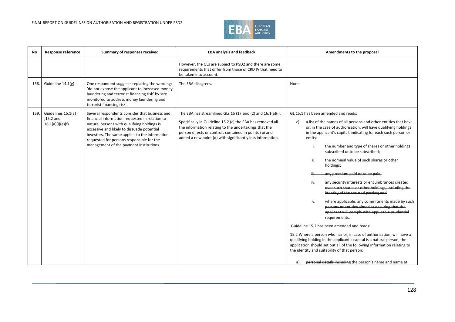

| No   | <b>Response reference</b>                           | Summary of responses received                                                                                                                                                                                                                                                                                                           | <b>EBA analysis and feedback</b>                                                                                                                                                                                                                                                                              | Amendments to the proposal                                                                                                                                                                                                                                                                                                                                                                                                                                                                                                                                                                                                                                                                                                                                                                                                                                                                                                                                                                                                                                                                                 |
|------|-----------------------------------------------------|-----------------------------------------------------------------------------------------------------------------------------------------------------------------------------------------------------------------------------------------------------------------------------------------------------------------------------------------|---------------------------------------------------------------------------------------------------------------------------------------------------------------------------------------------------------------------------------------------------------------------------------------------------------------|------------------------------------------------------------------------------------------------------------------------------------------------------------------------------------------------------------------------------------------------------------------------------------------------------------------------------------------------------------------------------------------------------------------------------------------------------------------------------------------------------------------------------------------------------------------------------------------------------------------------------------------------------------------------------------------------------------------------------------------------------------------------------------------------------------------------------------------------------------------------------------------------------------------------------------------------------------------------------------------------------------------------------------------------------------------------------------------------------------|
|      |                                                     |                                                                                                                                                                                                                                                                                                                                         | However, the GLs are subject to PSD2 and there are some<br>requirements that differ from those of CRD IV that need to<br>be taken into account.                                                                                                                                                               |                                                                                                                                                                                                                                                                                                                                                                                                                                                                                                                                                                                                                                                                                                                                                                                                                                                                                                                                                                                                                                                                                                            |
| 158. | Guideline 14.1(g)                                   | One respondent suggests replacing the wording:<br>'do not expose the applicant to increased money<br>laundering and terrorist financing risk' by 'are<br>monitored to address money laundering and<br>terrorist financing risk'.                                                                                                        | The EBA disagrees.                                                                                                                                                                                                                                                                                            | None.                                                                                                                                                                                                                                                                                                                                                                                                                                                                                                                                                                                                                                                                                                                                                                                                                                                                                                                                                                                                                                                                                                      |
| 159. | Guidelines 15.1(a)<br>;15.2 and<br>16.1(a)(i)(e)(f) | Several respondents consider that business and<br>financial information requested in relation to<br>natural persons with qualifying holdings is<br>excessive and likely to dissuade potential<br>investors. The same applies to the information<br>requested for persons responsible for the<br>management of the payment institutions. | The EBA has streamlined GLs 15 (1) and (2) and $16.1(a)(i)$ .<br>Specifically in Guideline 15.2 (c) the EBA has removed all<br>the information relating to the undertakings that the<br>person directs or controls contained in points i-xi and<br>added a new point (d) with significantly less information. | GL 15.1 has been amended and reads:<br>a list of the names of all persons and other entities that have<br>c)<br>or, in the case of authorisation, will have qualifying holdings<br>in the applicant's capital, indicating for each such person or<br>entity:<br>the number and type of shares or other holdings<br>subscribed or to be subscribed;<br>ii.<br>the nominal value of such shares or other<br>holdings;<br>any premium paid or to be paid.<br>any security interests or encumbrances created<br>over such shares or other holdings, including the<br>identity of the secured parties: and<br>where applicable, any commitments made by such<br>persons or entities aimed at ensuring that the<br>applicant will comply with applicable prudential<br>requirements.<br>Guideline 15.2 has been amended and reads:<br>15.2 Where a person who has or, in case of authorisation, will have a<br>qualifying holding in the applicant's capital is a natural person, the<br>application should set out all of the following information relating to<br>the identity and suitability of that person: |
|      |                                                     |                                                                                                                                                                                                                                                                                                                                         |                                                                                                                                                                                                                                                                                                               | personal details including the person's name and name at<br>a)                                                                                                                                                                                                                                                                                                                                                                                                                                                                                                                                                                                                                                                                                                                                                                                                                                                                                                                                                                                                                                             |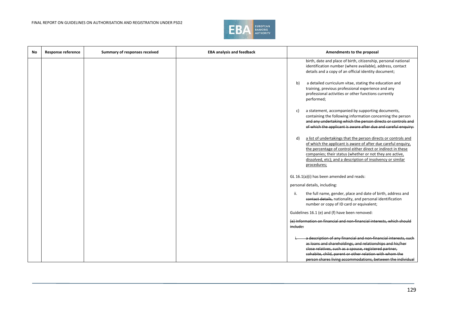

| No | Response reference | Summary of responses received | <b>EBA analysis and feedback</b> | Amendments to the proposal                                                                                                                                                                                                                                                                                                                      |
|----|--------------------|-------------------------------|----------------------------------|-------------------------------------------------------------------------------------------------------------------------------------------------------------------------------------------------------------------------------------------------------------------------------------------------------------------------------------------------|
|    |                    |                               |                                  | birth, date and place of birth, citizenship, personal national<br>identification number (where available), address, contact<br>details and a copy of an official identity document;                                                                                                                                                             |
|    |                    |                               |                                  | a detailed curriculum vitae, stating the education and<br>b)<br>training, previous professional experience and any<br>professional activities or other functions currently<br>performed;                                                                                                                                                        |
|    |                    |                               |                                  | a statement, accompanied by supporting documents,<br>c)<br>containing the following information concerning the person<br>and any undertaking which the person directs or controls and<br>of which the applicant is aware after due and careful enquiry:                                                                                         |
|    |                    |                               |                                  | a list of undertakings that the person directs or controls and<br>d)<br>of which the applicant is aware of after due careful enquiry,<br>the percentage of control either direct or indirect in these<br>companies; their status (whether or not they are active,<br>dissolved, etc); and a description of insolvency or similar<br>procedures; |
|    |                    |                               |                                  | GL 16.1(a)(i) has been amended and reads:                                                                                                                                                                                                                                                                                                       |
|    |                    |                               |                                  | personal details, including:                                                                                                                                                                                                                                                                                                                    |
|    |                    |                               |                                  | the full name, gender, place and date of birth, address and<br>ii.<br>contact details, nationality, and personal identification<br>number or copy of ID card or equivalent;                                                                                                                                                                     |
|    |                    |                               |                                  | Guidelines 16.1 (e) and (f) have been removed:                                                                                                                                                                                                                                                                                                  |
|    |                    |                               |                                  | (e) Information on financial and non-financial interests, which should<br>include:                                                                                                                                                                                                                                                              |
|    |                    |                               |                                  | a description of any financial and non-financial interests, such<br>as loans and shareholdings, and relationships and his/her<br>close relatives, such as a spouse, registered partner,<br>cohabite, child, parent or other relation with whom the<br>person shares living accommodations, between the individual                               |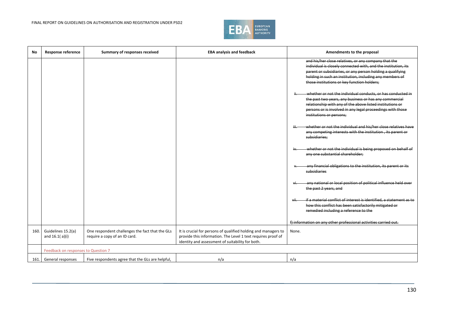

| No   | <b>Response reference</b>               | Summary of responses received                                                    | <b>EBA analysis and feedback</b>                                                                                                                                                   | Amendments to the proposal                                                                                                                                                                                                                                                                      |
|------|-----------------------------------------|----------------------------------------------------------------------------------|------------------------------------------------------------------------------------------------------------------------------------------------------------------------------------|-------------------------------------------------------------------------------------------------------------------------------------------------------------------------------------------------------------------------------------------------------------------------------------------------|
|      |                                         |                                                                                  |                                                                                                                                                                                    | and his/her close relatives, or any company that the<br>individual is closely connected with, and the institution, its<br>parent or subsidiaries, or any person holding a qualifying<br>holding in such an institution, including any members of<br>those institutions or key function holders; |
|      |                                         |                                                                                  |                                                                                                                                                                                    | whether or not the individual conducts, or has conducted in<br>the past two years, any business or has any commercial<br>relationship with any of the above listed institutions or<br>persons or is involved in any legal proceedings with those<br>institutions or persons;                    |
|      |                                         |                                                                                  |                                                                                                                                                                                    | whether or not the individual and his/her close relatives have<br>any competing interests with the institution, its parent or<br>subsidiaries;                                                                                                                                                  |
|      |                                         |                                                                                  |                                                                                                                                                                                    | whether or not the individual is being proposed on behalf of<br>any one substantial shareholder;                                                                                                                                                                                                |
|      |                                         |                                                                                  |                                                                                                                                                                                    | any financial obligations to the institution, its parent or its<br>subsidiaries                                                                                                                                                                                                                 |
|      |                                         |                                                                                  |                                                                                                                                                                                    | any national or local position of political influence held over<br>the past 2 years, and                                                                                                                                                                                                        |
|      |                                         |                                                                                  |                                                                                                                                                                                    | if a material conflict of interest is identified, a statement as to<br>how this conflict has been satisfactorily mitigated or<br>remedied including a reference to the                                                                                                                          |
|      |                                         |                                                                                  |                                                                                                                                                                                    | f) information on any other professional activities carried out.                                                                                                                                                                                                                                |
| 160. | Guidelines 15.2(a)<br>and $16.1( a)(i)$ | One respondent challenges the fact that the GLs<br>require a copy of an ID card. | It is crucial for persons of qualified holding and managers to<br>provide this information. The Level 1 text requires proof of<br>identity and assessment of suitability for both. | None.                                                                                                                                                                                                                                                                                           |
|      | Feedback on responses to Question 7     |                                                                                  |                                                                                                                                                                                    |                                                                                                                                                                                                                                                                                                 |
| 161. | General responses                       | Five respondents agree that the GLs are helpful,                                 | n/a                                                                                                                                                                                | n/a                                                                                                                                                                                                                                                                                             |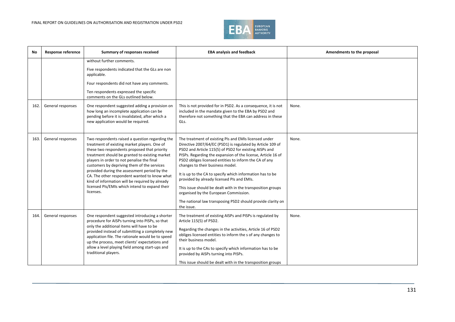

| No   | <b>Response reference</b> | Summary of responses received                                                                                                                                                                                                                                                                                                                                                                                                                                                                                    | <b>EBA analysis and feedback</b>                                                                                                                                                                                                                                                                                                                                                                                                                                                                                                                                                                                                            | Amendments to the proposal |
|------|---------------------------|------------------------------------------------------------------------------------------------------------------------------------------------------------------------------------------------------------------------------------------------------------------------------------------------------------------------------------------------------------------------------------------------------------------------------------------------------------------------------------------------------------------|---------------------------------------------------------------------------------------------------------------------------------------------------------------------------------------------------------------------------------------------------------------------------------------------------------------------------------------------------------------------------------------------------------------------------------------------------------------------------------------------------------------------------------------------------------------------------------------------------------------------------------------------|----------------------------|
| 162. | General responses         | without further comments.<br>Five respondents indicated that the GLs are non<br>applicable.<br>Four respondents did not have any comments.<br>Ten respondents expressed the specific<br>comments on the GLs outlined below.<br>One respondent suggested adding a provision on<br>how long an incomplete application can be<br>pending before it is invalidated, after which a<br>new application would be required.                                                                                              | This is not provided for in PSD2. As a consequence, it is not<br>included in the mandate given to the EBA by PSD2 and<br>therefore not something that the EBA can address in these<br>GLs.                                                                                                                                                                                                                                                                                                                                                                                                                                                  | None.                      |
| 163. | General responses         | Two respondents raised a question regarding the<br>treatment of existing market players. One of<br>these two respondents proposed that priority<br>treatment should be granted to existing market<br>players in order to not penalise the final<br>customers by depriving them of the services<br>provided during the assessment period by the<br>CA. The other respondent wanted to know what<br>kind of information will be required by already<br>licensed PIs/EMIs which intend to expand their<br>licenses. | The treatment of existing PIs and EMIs licensed under<br>Directive 2007/64/EC (PSD1) is regulated by Article 109 of<br>PSD2 and Article 115(5) of PSD2 for existing AISPs and<br>PISPs. Regarding the expansion of the license, Article 16 of<br>PSD2 obliges licensed entities to inform the CA of any<br>changes to their business model.<br>It is up to the CA to specify which information has to be<br>provided by already licensed PIs and EMIs.<br>This issue should be dealt with in the transposition groups<br>organised by the European Commission.<br>The national law transposing PSD2 should provide clarity on<br>the issue. | None.                      |
| 164. | General responses         | One respondent suggested introducing a shorter<br>procedure for AISPs turning into PISPs, so that<br>only the additional items will have to be<br>provided instead of submitting a completely new<br>application file. The rationale would be to speed<br>up the process, meet clients' expectations and<br>allow a level playing field among start-ups and<br>traditional players.                                                                                                                              | The treatment of existing AISPs and PISPs is regulated by<br>Article 115(5) of PSD2.<br>Regarding the changes in the activities, Article 16 of PSD2<br>obliges licensed entities to inform the s of any changes to<br>their business model.<br>It is up to the CAs to specify which information has to be<br>provided by AISPs turning into PISPs.<br>This issue should be dealt with in the transposition groups                                                                                                                                                                                                                           | None.                      |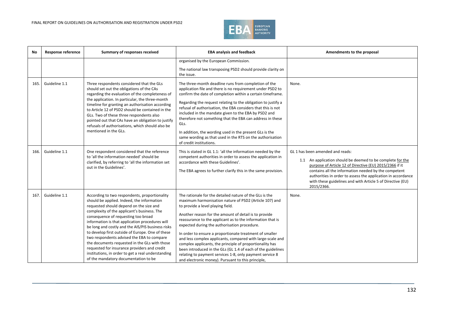

| No   | <b>Response reference</b> | Summary of responses received                                                                                                                                                                                                                                                                                                                                                                                                                                                                                                                                                                                                         | <b>EBA analysis and feedback</b>                                                                                                                                                                                                                                                                                                                                                                                                                                                                                                                                                                                                                                                                     | Amendments to the proposal                                                                                                                                                                                                                                                                                                                                    |
|------|---------------------------|---------------------------------------------------------------------------------------------------------------------------------------------------------------------------------------------------------------------------------------------------------------------------------------------------------------------------------------------------------------------------------------------------------------------------------------------------------------------------------------------------------------------------------------------------------------------------------------------------------------------------------------|------------------------------------------------------------------------------------------------------------------------------------------------------------------------------------------------------------------------------------------------------------------------------------------------------------------------------------------------------------------------------------------------------------------------------------------------------------------------------------------------------------------------------------------------------------------------------------------------------------------------------------------------------------------------------------------------------|---------------------------------------------------------------------------------------------------------------------------------------------------------------------------------------------------------------------------------------------------------------------------------------------------------------------------------------------------------------|
|      |                           |                                                                                                                                                                                                                                                                                                                                                                                                                                                                                                                                                                                                                                       | organised by the European Commission.<br>The national law transposing PSD2 should provide clarity on<br>the issue.                                                                                                                                                                                                                                                                                                                                                                                                                                                                                                                                                                                   |                                                                                                                                                                                                                                                                                                                                                               |
| 165. | Guideline 1.1             | Three respondents considered that the GLs<br>should set out the obligations of the CAs<br>regarding the evaluation of the completeness of<br>the application. In particular, the three-month<br>timeline for granting an authorisation according<br>to Article 12 of PSD2 should be contained in the<br>GLs. Two of these three respondents also<br>pointed out that CAs have an obligation to justify<br>refusals of authorisations, which should also be<br>mentioned in the GLs.                                                                                                                                                   | The three-month deadline runs from completion of the<br>application file and there is no requirement under PSD2 to<br>confirm the date of completion within a certain timeframe.<br>Regarding the request relating to the obligation to justify a<br>refusal of authorisation, the EBA considers that this is not<br>included in the mandate given to the EBA by PSD2 and<br>therefore not something that the EBA can address in these<br>GLs.<br>In addition, the wording used in the present GLs is the<br>same wording as that used in the RTS on the authorisation<br>of credit institutions.                                                                                                    | None.                                                                                                                                                                                                                                                                                                                                                         |
| 166. | Guideline 1.1             | One respondent considered that the reference<br>to 'all the information needed' should be<br>clarified, by referring to 'all the information set<br>out in the Guidelines'.                                                                                                                                                                                                                                                                                                                                                                                                                                                           | This is stated in GL 1.1: 'all the information needed by the<br>competent authorities in order to assess the application in<br>accordance with these Guidelines'.<br>The EBA agrees to further clarify this in the same provision.                                                                                                                                                                                                                                                                                                                                                                                                                                                                   | GL 1 has been amended and reads:<br>1.1 An application should be deemed to be complete for the<br>purpose of Article 12 of Directive (EU) 2015/2366 if it<br>contains all the information needed by the competent<br>authorities in order to assess the application in accordance<br>with these guidelines and with Article 5 of Directive (EU)<br>2015/2366. |
| 167. | Guideline 1.1             | According to two respondents, proportionality<br>should be applied. Indeed, the information<br>requested should depend on the size and<br>complexity of the applicant's business. The<br>consequence of requesting too broad<br>information is that application procedures will<br>be long and costly and the AIS/PIS business risks<br>to develop first outside of Europe. One of these<br>two respondents advised the EBA to compare<br>the documents requested in the GLs with those<br>requested for insurance providers and credit<br>institutions, in order to get a real understanding<br>of the mandatory documentation to be | The rationale for the detailed nature of the GLs is the<br>maximum harmonisation nature of PSD2 (Article 107) and<br>to provide a level playing field.<br>Another reason for the amount of detail is to provide<br>reassurance to the applicant as to the information that is<br>expected during the authorisation procedure.<br>In order to ensure a proportionate treatment of smaller<br>and less complex applicants, compared with large-scale and<br>complex applicants, the principle of proportionality has<br>been introduced in the GLs (GL 1.4 of each of the guidelines<br>relating to payment services 1-8, only payment service 8<br>and electronic money). Pursuant to this principle, | None.                                                                                                                                                                                                                                                                                                                                                         |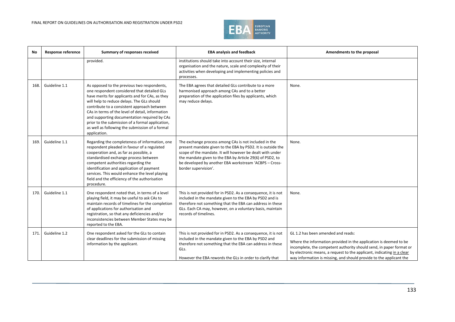

| No   | <b>Response reference</b> | Summary of responses received                                                                                                                                                                                                                                                                                                                                                                                                                                         | <b>EBA analysis and feedback</b>                                                                                                                                                                                                                                                                                                 | Amendments to the proposal                                                                                                                                                                                                                                                                                                      |
|------|---------------------------|-----------------------------------------------------------------------------------------------------------------------------------------------------------------------------------------------------------------------------------------------------------------------------------------------------------------------------------------------------------------------------------------------------------------------------------------------------------------------|----------------------------------------------------------------------------------------------------------------------------------------------------------------------------------------------------------------------------------------------------------------------------------------------------------------------------------|---------------------------------------------------------------------------------------------------------------------------------------------------------------------------------------------------------------------------------------------------------------------------------------------------------------------------------|
|      |                           | provided.                                                                                                                                                                                                                                                                                                                                                                                                                                                             | institutions should take into account their size, internal<br>organisation and the nature, scale and complexity of their<br>activities when developing and implementing policies and<br>processes.                                                                                                                               |                                                                                                                                                                                                                                                                                                                                 |
| 168. | Guideline 1.1             | As opposed to the previous two respondents,<br>one respondent considered that detailed GLs<br>have merits for applicants and for CAs, as they<br>will help to reduce delays. The GLs should<br>contribute to a consistent approach between<br>CAs in terms of the level of detail, information<br>and supporting documentation required by CAs<br>prior to the submission of a formal application,<br>as well as following the submission of a formal<br>application. | The EBA agrees that detailed GLs contribute to a more<br>harmonised approach among CAs and to a better<br>preparation of the application files by applicants, which<br>may reduce delays.                                                                                                                                        | None.                                                                                                                                                                                                                                                                                                                           |
| 169. | Guideline 1.1             | Regarding the completeness of information, one<br>respondent pleaded in favour of a regulated<br>cooperation and, as far as possible, a<br>standardised exchange process between<br>competent authorities regarding the<br>identification and application of payment<br>services. This would enhance the level playing<br>field and the efficiency of the authorisation<br>procedure.                                                                                 | The exchange process among CAs is not included in the<br>present mandate given to the EBA by PSD2. It is outside the<br>scope of the mandate. It will however be dealt with under<br>the mandate given to the EBA by Article 29(6) of PSD2, to<br>be developed by another EBA workstream 'ACBPS - Cross-<br>border supervision'. | None.                                                                                                                                                                                                                                                                                                                           |
| 170. | Guideline 1.1             | One respondent noted that, in terms of a level<br>playing field, it may be useful to ask CAs to<br>maintain records of timelines for the completion<br>of applications for authorisation and<br>registration, so that any deficiencies and/or<br>inconsistencies between Member States may be<br>reported to the EBA.                                                                                                                                                 | This is not provided for in PSD2. As a consequence, it is not<br>included in the mandate given to the EBA by PSD2 and is<br>therefore not something that the EBA can address in these<br>GLs. Each CA may, however, on a voluntary basis, maintain<br>records of timelines.                                                      | None.                                                                                                                                                                                                                                                                                                                           |
| 171. | Guideline 1.2             | One respondent asked for the GLs to contain<br>clear deadlines for the submission of missing<br>information by the applicant.                                                                                                                                                                                                                                                                                                                                         | This is not provided for in PSD2. As a consequence, it is not<br>included in the mandate given to the EBA by PSD2 and<br>therefore not something that the EBA can address in these<br>GLs.<br>However the EBA rewords the GLs in order to clarify that                                                                           | GL 1.2 has been amended and reads:<br>Where the information provided in the application is deemed to be<br>incomplete, the competent authority should send, in paper format or<br>by electronic means, a request to the applicant, indicating in a clear<br>way information is missing, and should provide to the applicant the |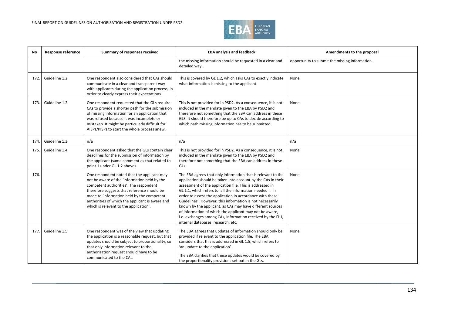

| No   | <b>Response reference</b> | Summary of responses received                                                                                                                                                                                                                                                                                                   | <b>EBA analysis and feedback</b>                                                                                                                                                                                                                                                                                                                                                                                                                                                                                                                                                                         | Amendments to the proposal                     |
|------|---------------------------|---------------------------------------------------------------------------------------------------------------------------------------------------------------------------------------------------------------------------------------------------------------------------------------------------------------------------------|----------------------------------------------------------------------------------------------------------------------------------------------------------------------------------------------------------------------------------------------------------------------------------------------------------------------------------------------------------------------------------------------------------------------------------------------------------------------------------------------------------------------------------------------------------------------------------------------------------|------------------------------------------------|
|      |                           |                                                                                                                                                                                                                                                                                                                                 | the missing information should be requested in a clear and<br>detailed way.                                                                                                                                                                                                                                                                                                                                                                                                                                                                                                                              | opportunity to submit the missing information. |
| 172. | Guideline 1.2             | One respondent also considered that CAs should<br>communicate in a clear and transparent way<br>with applicants during the application process, in<br>order to clearly express their expectations.                                                                                                                              | This is covered by GL 1.2, which asks CAs to exactly indicate<br>what information is missing to the applicant.                                                                                                                                                                                                                                                                                                                                                                                                                                                                                           | None.                                          |
| 173. | Guideline 1.2             | One respondent requested that the GLs require<br>CAs to provide a shorter path for the submission<br>of missing information for an application that<br>was refused because it was incomplete or<br>mistaken. It might be particularly difficult for<br>AISPs/PISPs to start the whole process anew.                             | This is not provided for in PSD2. As a consequence, it is not<br>included in the mandate given to the EBA by PSD2 and<br>therefore not something that the EBA can address in these<br>GLS. It should therefore be up to CAs to decide according to<br>which path missing information has to be submitted.                                                                                                                                                                                                                                                                                                | None.                                          |
| 174. | Guideline 1.3             | n/a                                                                                                                                                                                                                                                                                                                             | n/a                                                                                                                                                                                                                                                                                                                                                                                                                                                                                                                                                                                                      | n/a                                            |
| 175. | Guideline 1.4             | One respondent asked that the GLs contain clear<br>deadlines for the submission of information by<br>the applicant (same comment as that related to<br>point 1 under GL 1.2 above).                                                                                                                                             | This is not provided for in PSD2. As a consequence, it is not<br>included in the mandate given to the EBA by PSD2 and<br>therefore not something that the EBA can address in these<br>GLs.                                                                                                                                                                                                                                                                                                                                                                                                               | None.                                          |
| 176. |                           | One respondent noted that the applicant may<br>not be aware of the 'information held by the<br>competent authorities'. The respondent<br>therefore suggests that reference should be<br>made to 'information held by the competent<br>authorities of which the applicant is aware and<br>which is relevant to the application'. | The EBA agrees that only information that is relevant to the<br>application should be taken into account by the CAs in their<br>assessment of the application file. This is addressed in<br>GL 1.1, which refers to 'all the information needed  in<br>order to assess the application in accordance with these<br>Guidelines'. However, this information is not necessarily<br>known by the applicant, as CAs may have different sources<br>of information of which the applicant may not be aware,<br>i.e. exchanges among CAs, information received by the FIU,<br>internal databases, research, etc. | None.                                          |
| 177. | Guideline 1.5             | One respondent was of the view that updating<br>the application is a reasonable request, but that<br>updates should be subject to proportionality, so<br>that only information relevant to the<br>authorisation request should have to be<br>communicated to the CAs.                                                           | The EBA agrees that updates of information should only be<br>provided if relevant to the application file. The EBA<br>considers that this is addressed in GL 1.5, which refers to<br>'an update to the application'.<br>The EBA clarifies that these updates would be covered by<br>the proportionality provisions set out in the GLs.                                                                                                                                                                                                                                                                   | None.                                          |